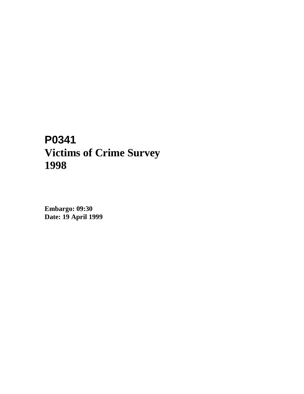# **P0341 Victims of Crime Survey 1998**

**Embargo: 09:30 Date: 19 April 1999**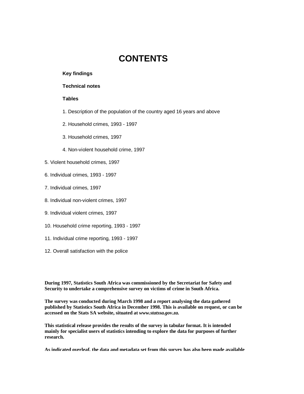## **CONTENTS**

#### **Key findings**

## **Technical notes**

## **Tables**

- 1. Description of the population of the country aged 16 years and above
- 2. Household crimes, 1993 1997
- 3. Household crimes, 1997
- 4. Non-violent household crime, 1997
- 5. Violent household crimes, 1997
- 6. Individual crimes, 1993 1997
- 7. Individual crimes, 1997
- 8. Individual non-violent crimes, 1997
- 9. Individual violent crimes, 1997
- 10. Household crime reporting, 1993 1997
- 11. Individual crime reporting, 1993 1997
- 12. Overall satisfaction with the police

**During 1997, Statistics South Africa was commissioned by the Secretariat for Safety and Security to undertake a comprehensive survey on victims of crime in South Africa.**

**The survey was conducted during March 1998 and a report analysing the data gathered published by Statistics South Africa in December 1998. This is available on request, or can be accessed on the Stats SA website, situated at** *www.statssa.gov.za***.**

**This statistical release provides the results of the survey in tabular format. It is intended mainly for specialist users of statistics intending to explore the data for purposes of further research.**

**As indicated overleaf, the data and metadata set from this survey has also been made available**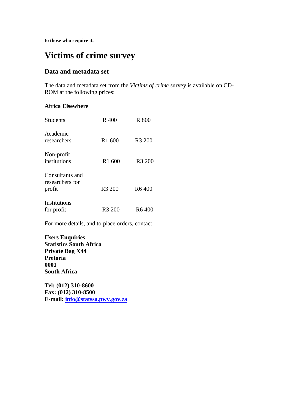**to those who require it.**

## **Victims of crime survey**

## **Data and metadata set**

The data and metadata set from the *Victims of crime* survey is available on CD-ROM at the following prices:

## **Africa Elsewhere**

| <b>Students</b>                              | R 400              | R 800              |
|----------------------------------------------|--------------------|--------------------|
| Academic<br>researchers                      | R1 600             | R <sub>3</sub> 200 |
| Non-profit<br>institutions                   | R1 600             | R <sub>3</sub> 200 |
| Consultants and<br>researchers for<br>profit | R <sub>3</sub> 200 | R <sub>6</sub> 400 |
| Institutions<br>for profit                   | R <sub>3</sub> 200 | R <sub>6</sub> 400 |

For more details, and to place orders, contact

**Users Enquiries Statistics South Africa Private Bag X44 Pretoria 0001 South Africa**

**Tel: (012) 310-8600 Fax: (012) 310-8500 E-mail: info@statssa.pwv.gov.za**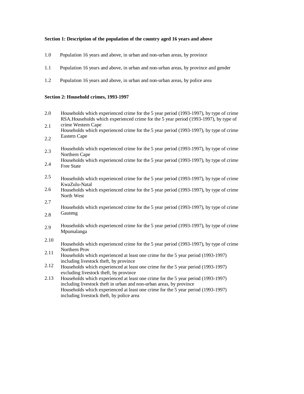#### **Section 1: Description of the population of the country aged 16 years and above**

- 1.0 Population 16 years and above, in urban and non-urban areas, by province
- 1.1 Population 16 years and above, in urban and non-urban areas, by province and gender
- 1.2 Population 16 years and above, in urban and non-urban areas, by police area

#### **Section 2: Household crimes, 1993-1997**

- 2.0 Households which experienced crime for the 5 year period (1993-1997), by type of crime RSA.Households which experienced crime for the 5 year period (1993-1997), by type of
- 2.1 2.2 crime Western Cape Households which experienced crime for the 5 year period (1993-1997), by type of crime Eastern Cape
- 2.3 Households which experienced crime for the 5 year period (1993-1997), by type of crime Northern Cape
- 2.4 Households which experienced crime for the 5 year period (1993-1997), by type of crime Free State
- 2.5 Households which experienced crime for the 5 year period (1993-1997), by type of crime KwaZulu-Natal
- 2.6 Households which experienced crime for the 5 year period (1993-1997), by type of crime North West
- 2.7

2.8

Households which experienced crime for the 5 year period (1993-1997), by type of crime Gauteng

- 2.9 Households which experienced crime for the 5 year period (1993-1997), by type of crime Mpumalanga
- 2.10
- 2.11 Households which experienced crime for the 5 year period (1993-1997), by type of crime Northern Prov
- Households which experienced at least one crime for the 5 year period (1993-1997) including livestock theft, by province
- 2.12 Households which experienced at least one crime for the 5 year period (1993-1997) excluding livestock theft, by province
- 2.13 Households which experienced at least one crime for the 5 year period (1993-1997) including livestock theft in urban and non-urban areas, by province Households which experienced at least one crime for the 5 year period (1993-1997) including livestock theft, by police area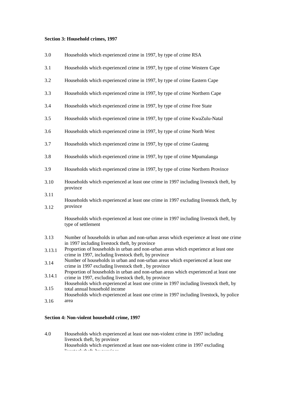#### **Section 3: Household crimes, 1997**

| 3.0          | Households which experienced crime in 1997, by type of crime RSA                                                                                                                                                 |  |  |  |  |
|--------------|------------------------------------------------------------------------------------------------------------------------------------------------------------------------------------------------------------------|--|--|--|--|
| 3.1          | Households which experienced crime in 1997, by type of crime Western Cape                                                                                                                                        |  |  |  |  |
| 3.2          | Households which experienced crime in 1997, by type of crime Eastern Cape                                                                                                                                        |  |  |  |  |
| 3.3          | Households which experienced crime in 1997, by type of crime Northern Cape                                                                                                                                       |  |  |  |  |
| 3.4          | Households which experienced crime in 1997, by type of crime Free State                                                                                                                                          |  |  |  |  |
| 3.5          | Households which experienced crime in 1997, by type of crime KwaZulu-Natal                                                                                                                                       |  |  |  |  |
| 3.6          | Households which experienced crime in 1997, by type of crime North West                                                                                                                                          |  |  |  |  |
| 3.7          | Households which experienced crime in 1997, by type of crime Gauteng                                                                                                                                             |  |  |  |  |
| 3.8          | Households which experienced crime in 1997, by type of crime Mpumalanga                                                                                                                                          |  |  |  |  |
| 3.9          | Households which experienced crime in 1997, by type of crime Northern Province                                                                                                                                   |  |  |  |  |
| 3.10         | Households which experienced at least one crime in 1997 including livestock theft, by<br>province                                                                                                                |  |  |  |  |
| 3.11<br>3.12 | Households which experienced at least one crime in 1997 excluding livestock theft, by<br>province                                                                                                                |  |  |  |  |
|              | Households which experienced at least one crime in 1997 including livestock theft, by<br>type of settlement                                                                                                      |  |  |  |  |
| 3.13         | Number of households in urban and non-urban areas which experience at least one crime<br>in 1997 including livestock theft, by province                                                                          |  |  |  |  |
| 3.13.1       | Proportion of households in urban and non-urban areas which experience at least one<br>crime in 1997, including livestock theft, by province                                                                     |  |  |  |  |
| 3.14         | Number of households in urban and non-urban areas which experienced at least one<br>crime in 1997 excluding livestock theft, by province                                                                         |  |  |  |  |
| 3.14.1       | Proportion of households in urban and non-urban areas which experienced at least one<br>crime in 1997, excluding livestock theft, by province                                                                    |  |  |  |  |
| 3.15         | Households which experienced at least one crime in 1997 including livestock theft, by<br>total annual household income<br>Households which experienced at least one crime in 1997 including livestock, by police |  |  |  |  |
| 3.16         | area                                                                                                                                                                                                             |  |  |  |  |

## **Section 4: Non-violent household crime, 1997**

4.0 Households which experienced at least one non-violent crime in 1997 including livestock theft, by province Households which experienced at least one non-violent crime in 1997 excluding livestock theft, by province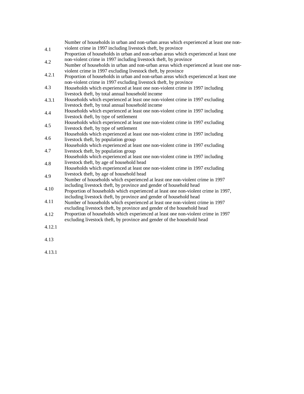| 4.1                 | Number of households in urban and non-urban areas which experienced at least one non-<br>violent crime in 1997 including livestock theft, by province                                                                           |
|---------------------|---------------------------------------------------------------------------------------------------------------------------------------------------------------------------------------------------------------------------------|
|                     | Proportion of households in urban and non-urban areas which experienced at least one                                                                                                                                            |
| 4.2                 | non-violent crime in 1997 including livestock theft, by province<br>Number of households in urban and non-urban areas which experienced at least one non-                                                                       |
| 4.2.1               | violent crime in 1997 excluding livestock theft, by province<br>Proportion of households in urban and non-urban areas which experienced at least one                                                                            |
| 4.3                 | non-violent crime in 1997 excluding livestock theft, by province<br>Households which experienced at least one non-violent crime in 1997 including<br>livestock theft, by total annual household income                          |
| 4.3.1               | Households which experienced at least one non-violent crime in 1997 excluding<br>livestock theft, by total annual household income                                                                                              |
| 4.4                 | Households which experienced at least one non-violent crime in 1997 including<br>livestock theft, by type of settlement                                                                                                         |
| 4.5                 | Households which experienced at least one non-violent crime in 1997 excluding<br>livestock theft, by type of settlement                                                                                                         |
| 4.6                 | Households which experienced at least one non-violent crime in 1997 including<br>livestock theft, by population group                                                                                                           |
| 4.7                 | Households which experienced at least one non-violent crime in 1997 excluding<br>livestock theft, by population group<br>Households which experienced at least one non-violent crime in 1997 including                          |
| 4.8                 | livestock theft, by age of household head<br>Households which experienced at least one non-violent crime in 1997 excluding                                                                                                      |
| 4.9                 | livestock theft, by age of household head<br>Number of households which experienced at least one non-violent crime in 1997                                                                                                      |
| 4.10                | including livestock theft, by province and gender of household head<br>Proportion of households which experienced at least one non-violent crime in 1997,                                                                       |
| 4.11                | including livestock theft, by province and gender of household head<br>Number of households which experienced at least one non-violent crime in 1997<br>excluding livestock theft, by province and gender of the household head |
| 4.12                | Proportion of households which experienced at least one non-violent crime in 1997<br>excluding livestock theft, by province and gender of the household head                                                                    |
| 4.12.1              |                                                                                                                                                                                                                                 |
| $\lambda$ $\lambda$ |                                                                                                                                                                                                                                 |

- 4.13
- 4.13.1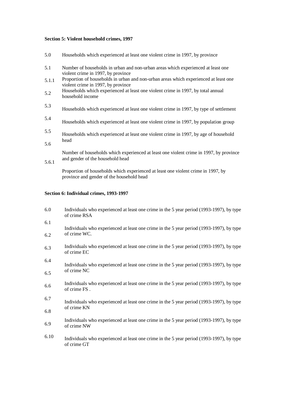## **Section 5: Violent household crimes, 1997**

| 5.0   | Households which experienced at least one violent crime in 1997, by province                                               |
|-------|----------------------------------------------------------------------------------------------------------------------------|
| 5.1   | Number of households in urban and non-urban areas which experienced at least one<br>violent crime in 1997, by province     |
| 5.1.1 | Proportion of households in urban and non-urban areas which experienced at least one<br>violent crime in 1997, by province |
| 5.2   | Households which experienced at least one violent crime in 1997, by total annual<br>household income                       |
| 5.3   | Households which experienced at least one violent crime in 1997, by type of settlement                                     |
| 5.4   | Households which experienced at least one violent crime in 1997, by population group                                       |
| 5.5   | Households which experienced at least one violent crime in 1997, by age of household                                       |
| 5.6   | head                                                                                                                       |
|       | Number of households which experienced at least one violent crime in 1997, by province<br>and gender of the household head |
| 5.6.1 |                                                                                                                            |

Proportion of households which experienced at least one violent crime in 1997, by province and gender of the household head

## **Section 6: Individual crimes, 1993-1997**

| 6.0  | Individuals who experienced at least one crime in the 5 year period (1993-1997), by type<br>of crime RSA |  |  |  |  |
|------|----------------------------------------------------------------------------------------------------------|--|--|--|--|
| 6.1  | Individuals who experienced at least one crime in the 5 year period (1993-1997), by type                 |  |  |  |  |
| 6.2  | of crime WC.                                                                                             |  |  |  |  |
| 6.3  | Individuals who experienced at least one crime in the 5 year period (1993-1997), by type<br>of crime EC  |  |  |  |  |
| 6.4  | Individuals who experienced at least one crime in the 5 year period (1993-1997), by type                 |  |  |  |  |
| 6.5  | of crime NC                                                                                              |  |  |  |  |
| 6.6  | Individuals who experienced at least one crime in the 5 year period (1993-1997), by type<br>of crime FS. |  |  |  |  |
| 6.7  | Individuals who experienced at least one crime in the 5 year period (1993-1997), by type                 |  |  |  |  |
| 6.8  | of crime KN                                                                                              |  |  |  |  |
| 6.9  | Individuals who experienced at least one crime in the 5 year period (1993-1997), by type<br>of crime NW  |  |  |  |  |
| 6.10 | Individuals who experienced at least one crime in the 5 year period (1993-1997), by type<br>of crime GT  |  |  |  |  |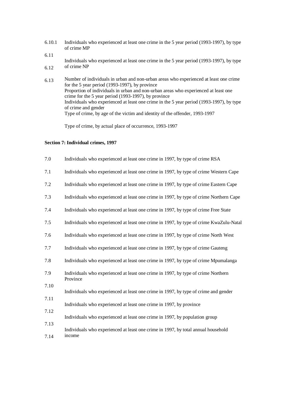- 6.10.1 Individuals who experienced at least one crime in the 5 year period (1993-1997), by type of crime MP
- 6.11
- 6.12 Individuals who experienced at least one crime in the 5 year period (1993-1997), by type of crime NP
- 6.13 Number of individuals in urban and non-urban areas who experienced at least one crime for the 5 year period (1993-1997), by province Proportion of individuals in urban and non-urban areas who experienced at least one crime for the 5 year period (1993-1997), by province Individuals who experienced at least one crime in the 5 year period (1993-1997), by type of crime and gender Type of crime, by age of the victim and identity of the offender, 1993-1997

Type of crime, by actual place of occurrence, 1993-1997

#### **Section 7: Individual crimes, 1997**

| 7.0  | Individuals who experienced at least one crime in 1997, by type of crime RSA                  |
|------|-----------------------------------------------------------------------------------------------|
| 7.1  | Individuals who experienced at least one crime in 1997, by type of crime Western Cape         |
| 7.2  | Individuals who experienced at least one crime in 1997, by type of crime Eastern Cape         |
| 7.3  | Individuals who experienced at least one crime in 1997, by type of crime Northern Cape        |
| 7.4  | Individuals who experienced at least one crime in 1997, by type of crime Free State           |
| 7.5  | Individuals who experienced at least one crime in 1997, by type of crime KwaZulu-Natal        |
| 7.6  | Individuals who experienced at least one crime in 1997, by type of crime North West           |
| 7.7  | Individuals who experienced at least one crime in 1997, by type of crime Gauteng              |
| 7.8  | Individuals who experienced at least one crime in 1997, by type of crime Mpumalanga           |
| 7.9  | Individuals who experienced at least one crime in 1997, by type of crime Northern<br>Province |
| 7.10 | Individuals who experienced at least one crime in 1997, by type of crime and gender           |
| 7.11 | Individuals who experienced at least one crime in 1997, by province                           |
| 7.12 | Individuals who experienced at least one crime in 1997, by population group                   |
| 7.13 |                                                                                               |
| 7.14 | Individuals who experienced at least one crime in 1997, by total annual household<br>income   |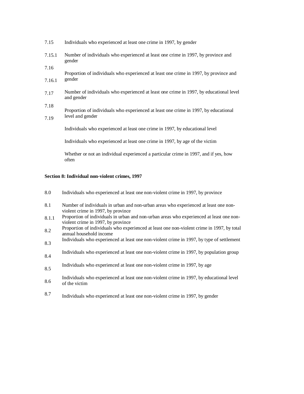| 7.15.1 | Number of individuals who experienced at least one crime in 1997, by province and<br>gender          |  |  |  |  |
|--------|------------------------------------------------------------------------------------------------------|--|--|--|--|
| 7.16   | Proportion of individuals who experienced at least one crime in 1997, by province and                |  |  |  |  |
| 7.16.1 | gender                                                                                               |  |  |  |  |
| 7.17   | Number of individuals who experienced at least one crime in 1997, by educational level<br>and gender |  |  |  |  |
| 7.18   | Proportion of individuals who experienced at least one crime in 1997, by educational                 |  |  |  |  |
| 7.19   | level and gender                                                                                     |  |  |  |  |
|        | Individuals who experienced at least one crime in 1997, by educational level                         |  |  |  |  |
|        | Individuals who experienced at least one crime in 1997, by age of the victim                         |  |  |  |  |
|        | Whether or not an individual experienced a particular crime in 1997, and if yes, how                 |  |  |  |  |

Individuals who experienced at least one crime in 1997, by gender

## **Section 8: Individual non-violent crimes, 1997**

often

7.15

| 8.0 |  | Individuals who experienced at least one non-violent crime in 1997, by province |
|-----|--|---------------------------------------------------------------------------------|
|-----|--|---------------------------------------------------------------------------------|

- 8.1 Number of individuals in urban and non-urban areas who experienced at least one nonviolent crime in 1997, by province
- 8.1.1 Proportion of individuals in urban and non-urban areas who experienced at least one nonviolent crime in 1997, by province
- 8.2 Proportion of individuals who experienced at least one non-violent crime in 1997, by total annual household income
- 8.3 Individuals who experienced at least one non-violent crime in 1997, by type of settlement
- 8.4 Individuals who experienced at least one non-violent crime in 1997, by population group
- 8.5 Individuals who experienced at least one non-violent crime in 1997, by age
- 8.6 Individuals who experienced at least one non-violent crime in 1997, by educational level of the victim
- 8.7 Individuals who experienced at least one non-violent crime in 1997, by gender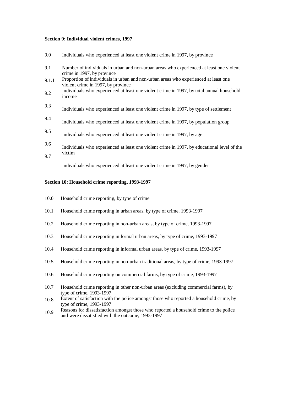#### **Section 9: Individual violent crimes, 1997**

| 9.0   | Individuals who experienced at least one violent crime in 1997, by province                                               |
|-------|---------------------------------------------------------------------------------------------------------------------------|
| 9.1   | Number of individuals in urban and non-urban areas who experienced at least one violent<br>crime in 1997, by province     |
| 9.1.1 | Proportion of individuals in urban and non-urban areas who experienced at least one<br>violent crime in 1997, by province |
| 9.2   | Individuals who experienced at least one violent crime in 1997, by total annual household<br>income                       |
| 9.3   | Individuals who experienced at least one violent crime in 1997, by type of settlement                                     |
| 9.4   | Individuals who experienced at least one violent crime in 1997, by population group                                       |
| 9.5   | Individuals who experienced at least one violent crime in 1997, by age                                                    |
| 9.6   | Individuals who experienced at least one violent crime in 1997, by educational level of the                               |
| 9.7   | victim                                                                                                                    |
|       | Individuals who experienced at least one violent crime in 1997, by gender                                                 |

#### **Section 10: Household crime reporting, 1993-1997**

|  | 10.0 |  |  |  | Household crime reporting, by type of crime |  |  |
|--|------|--|--|--|---------------------------------------------|--|--|
|--|------|--|--|--|---------------------------------------------|--|--|

- 10.1 Household crime reporting in urban areas, by type of crime, 1993-1997
- 10.2 Household crime reporting in non-urban areas, by type of crime, 1993-1997
- 10.3 Household crime reporting in formal urban areas, by type of crime, 1993-1997
- 10.4 Household crime reporting in informal urban areas, by type of crime, 1993-1997
- 10.5 Household crime reporting in non-urban traditional areas, by type of crime, 1993-1997
- 10.6 Household crime reporting on commercial farms, by type of crime, 1993-1997
- 10.7 Household crime reporting in other non-urban areas (excluding commercial farms), by type of crime, 1993-1997
- 10.8 Extent of satisfaction with the police amongst those who reported a household crime, by type of crime, 1993-1997
- 10.9 Reasons for dissatisfaction amongst those who reported a household crime to the police and were dissatisfied with the outcome, 1993-1997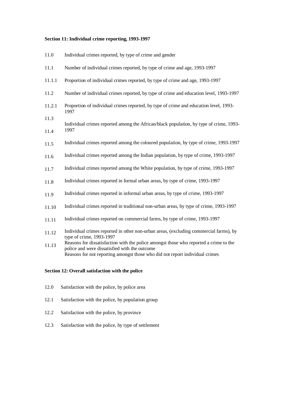## **Section 11: Individual crime reporting, 1993-1997**

| 11.0   | Individual crimes reported, by type of crime and gender                                                                                                                                                                |  |  |  |
|--------|------------------------------------------------------------------------------------------------------------------------------------------------------------------------------------------------------------------------|--|--|--|
| 11.1   | Number of individual crimes reported, by type of crime and age, 1993-1997                                                                                                                                              |  |  |  |
| 11.1.1 | Proportion of individual crimes reported, by type of crime and age, 1993-1997                                                                                                                                          |  |  |  |
| 11.2   | Number of individual crimes reported, by type of crime and education level, 1993-1997                                                                                                                                  |  |  |  |
| 11.2.1 | Proportion of individual crimes reported, by type of crime and education level, 1993-<br>1997                                                                                                                          |  |  |  |
| 11.3   | Individual crimes reported among the African/black population, by type of crime, 1993-                                                                                                                                 |  |  |  |
| 11.4   | 1997                                                                                                                                                                                                                   |  |  |  |
| 11.5   | Individual crimes reported among the coloured population, by type of crime, 1993-1997                                                                                                                                  |  |  |  |
| 11.6   | Individual crimes reported among the Indian population, by type of crime, 1993-1997                                                                                                                                    |  |  |  |
| 11.7   | Individual crimes reported among the White population, by type of crime, 1993-1997                                                                                                                                     |  |  |  |
| 11.8   | Individual crimes reported in formal urban areas, by type of crime, 1993-1997                                                                                                                                          |  |  |  |
| 11.9   | Individual crimes reported in informal urban areas, by type of crime, 1993-1997                                                                                                                                        |  |  |  |
| 11.10  | Individual crimes reported in traditional non-urban areas, by type of crime, 1993-1997                                                                                                                                 |  |  |  |
| 11.11  | Individual crimes reported on commercial farms, by type of crime, 1993-1997                                                                                                                                            |  |  |  |
| 11.12  | Individual crimes reported in other non-urban areas, (excluding commercial farms), by<br>type of crime, 1993-1997                                                                                                      |  |  |  |
| 11.13  | Reasons for dissatisfaction with the police amongst those who reported a crime to the<br>police and were dissatisfied with the outcome<br>Reasons for not reporting amongst those who did not report individual crimes |  |  |  |

## **Section 12: Overall satisfaction with the police**

- 12.0 Satisfaction with the police, by police area
- 12.1 Satisfaction with the police, by population group
- 12.2 Satisfaction with the police, by province
- 12.3 Satisfaction with the police, by type of settlement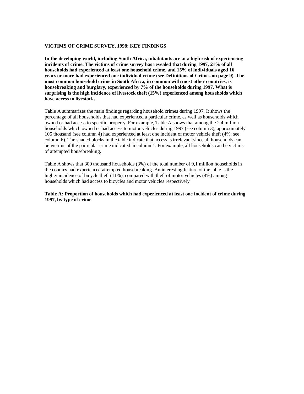#### **VICTIMS OF CRIME SURVEY, 1998: KEY FINDINGS**

**In the developing world, including South Africa, inhabitants are at a high risk of experiencing incidents of crime. The victims of crime survey has revealed that during 1997, 21% of all households had experienced at least one household crime, and 15% of individuals aged 16 years or more had experienced one individual crime (see Definitions of Crimes on page 9). The most common household crime in South Africa, in common with most other countries, is housebreaking and burglary, experienced by 7% of the households during 1997. What is surprising is the high incidence of livestock theft (15%) experienced among households which have access to livestock.**

Table A summarizes the main findings regarding household crimes during 1997. It shows the percentage of all households that had experienced a particular crime, as well as households which owned or had access to specific property. For example, Table A shows that among the 2.4 million households which owned or had access to motor vehicles during 1997 (see column 3), approximately 105 thousand (see column 4) had experienced at least one incident of motor vehicle theft (4%; see column 6). The shaded blocks in the table indicate that access is irrelevant since all households can be victims of the particular crime indicated in column 1. For example, all households can be victims of attempted housebreaking.

Table A shows that 300 thousand households (3%) of the total number of 9,1 million households in the country had experienced attempted housebreaking. An interesting feature of the table is the higher incidence of bicycle theft (11%), compared with theft of motor vehicles (4%) among households which had access to bicycles and motor vehicles respectively.

#### **Table A: Proportion of households which had experienced at least one incident of crime during 1997, by type of crime**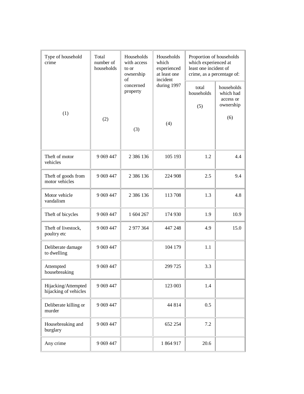| Type of household<br>crime                   | Total<br>number of<br>households | Households<br>with access<br>to or<br>ownership<br>of | Households<br>which<br>experienced<br>at least one<br>incident | Proportion of households<br>which experienced at<br>least one incident of<br>crime, as a percentage of: |                                                          |
|----------------------------------------------|----------------------------------|-------------------------------------------------------|----------------------------------------------------------------|---------------------------------------------------------------------------------------------------------|----------------------------------------------------------|
| (1)                                          | (2)                              | concerned<br>property                                 | during 1997<br>(4)                                             | total<br>households<br>(5)                                                                              | households<br>which had<br>access or<br>ownership<br>(6) |
|                                              |                                  | (3)                                                   |                                                                |                                                                                                         |                                                          |
| Theft of motor<br>vehicles                   | 9 0 69 4 47                      | 2 386 136                                             | 105 193                                                        | 1.2                                                                                                     | 4.4                                                      |
| Theft of goods from<br>motor vehicles        | 9 0 69 4 47                      | 2 386 136                                             | 224 908                                                        | 2.5                                                                                                     | 9.4                                                      |
| Motor vehicle<br>vandalism                   | 9 0 69 4 47                      | 2 386 136                                             | 113 708                                                        | 1.3                                                                                                     | 4.8                                                      |
| Theft of bicycles                            | 9 0 69 4 47                      | 1 604 267                                             | 174 930                                                        | 1.9                                                                                                     | 10.9                                                     |
| Theft of livestock,<br>poultry etc           | 9 0 69 4 47                      | 2 977 364                                             | 447 248                                                        | 4.9                                                                                                     | 15.0                                                     |
| Deliberate damage<br>to dwelling             | 9 0 69 4 47                      |                                                       | 104 179                                                        | 1.1                                                                                                     |                                                          |
| Attempted<br>housebreaking                   | 9 0 69 4 47                      |                                                       | 299 725                                                        | 3.3                                                                                                     |                                                          |
| Hijacking/Attempted<br>hijacking of vehicles | 9 0 69 4 47                      |                                                       | 123 003                                                        | 1.4                                                                                                     |                                                          |
| Deliberate killing or<br>murder              | 9 0 69 4 47                      |                                                       | 44 814                                                         | 0.5                                                                                                     |                                                          |
| Housebreaking and<br>burglary                | 9 0 69 4 47                      |                                                       | 652 254                                                        | 7.2                                                                                                     |                                                          |
| Any crime                                    | 9 0 69 4 47                      |                                                       | 1 864 917                                                      | 20.6                                                                                                    |                                                          |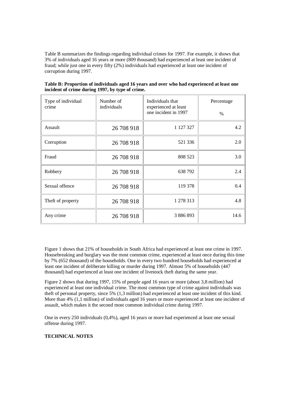Table B summarizes the findings regarding individual crimes for 1997. For example, it shows that 3% of individuals aged 16 years or more (809 thousand) had experienced at least one incident of fraud; while just one in every fifty (2%) individuals had experienced at least one incident of corruption during 1997.

| Type of individual<br>crime | Number of<br>individuals | Individuals that<br>experienced at least<br>one incident in 1997 | Percentage<br>$\frac{0}{0}$ |  |
|-----------------------------|--------------------------|------------------------------------------------------------------|-----------------------------|--|
| Assault                     | 26 708 918               | 1 127 327                                                        | 4.2                         |  |
| Corruption                  | 26 708 918               | 521 336                                                          | 2.0                         |  |
| Fraud                       | 26 708 918               | 808 523                                                          | 3.0                         |  |
| Robbery                     | 26 708 918               | 638 792                                                          | 2.4                         |  |
| Sexual offence              | 26 708 918               | 119 378                                                          | 0.4                         |  |
| Theft of property           | 26 708 918               | 1 278 313                                                        | 4.8                         |  |
| Any crime                   | 26 708 918               | 3 886 893                                                        | 14.6                        |  |

**Table B: Proportion of individuals aged 16 years and over who had experienced at least one incident of crime during 1997, by type of crime.**

Figure 1 shows that 21% of households in South Africa had experienced at least one crime in 1997. Housebreaking and burglary was the most common crime, experienced at least once during this time by 7% (652 thousand) of the households. One in every two hundred households had experienced at least one incident of deliberate killing or murder during 1997. Almost 5% of households (447 thousand) had experienced at least one incident of livestock theft during the same year.

Figure 2 shows that during 1997, 15% of people aged 16 years or more (about 3,8 million) had experienced at least one individual crime. The most common type of crime against individuals was theft of personal property, since 5% (1,3 million) had experienced at least one incident of this kind. More than 4% (1,1 million) of individuals aged 16 years or more experienced at least one incident of assault, which makes it the second most common individual crime during 1997.

One in every 250 individuals (0,4%), aged 16 years or more had experienced at least one sexual offense during 1997.

### **TECHNICAL NOTES**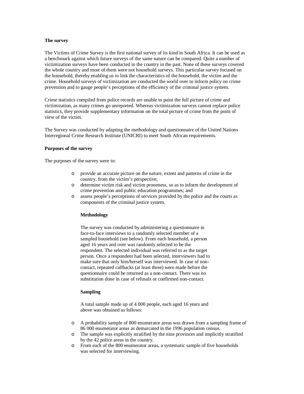#### **The survey**

The Victims of Crime Survey is the first national survey of its kind in South Africa. It can be used as a benchmark against which future surveys of the same nature can be compared. Quite a number of victimization surveys have been conducted in the country in the past. None of these surveys covered the whole country and most of them were not household surveys. This particular survey focused on the household, thereby enabling us to link the characteristics of the household, the victim and the crime. Household surveys of victimization are conducted the world over to inform policy on crime prevention and to gauge people's perceptions of the efficiency of the criminal justice system.

Crime statistics compiled from police records are unable to paint the full picture of crime and victimization, as many crimes go unreported. Whereas victimization surveys cannot replace police statistics, they provide supplementary information on the total picture of crime from the point of view of the victim.

The Survey was conducted by adapting the methodology and questionnaire of the United Nations Interregional Crime Research Institute (UNICRI) to meet South African requirements.

#### **Purposes of the survey**

The purposes of the survey were to:

- o provide an accurate picture on the nature, extent and patterns of crime in the country, from the victim's perspective;
- o determine victim risk and victim proneness, so as to inform the development of crime prevention and public education programmes; and
- o assess people's perceptions of services provided by the police and the courts as components of the criminal justice system.

#### **Methodology**

The survey was conducted by administering a questionnaire in face-to-face interviews to a randomly selected member of a sampled household (see below). From each household, a person aged 16 years and over was randomly selected to be the respondent. The selected individual was referred to as the target person. Once a respondent had been selected, interviewers had to make sure that only him/herself was interviewed. In case of noncontact, repeated callbacks (at least three) were made before the questionnaire could be returned as a non-contact. There was no substitution done in case of refusals or confirmed non-contact.

#### **Sampling**

A total sample made up of 4 000 people, each aged 16 years and above was obtained as follows:

- o A probability sample of 800 enumerator areas was drawn from a sampling frame of 86 000 enumerator areas as demarcated in the 1996 population census.
- o The sample was explicitly stratified by the nine provinces and implicitly stratified by the 42 police areas in the country.
- o From each of the 800 enumerator areas, a systematic sample of five households was selected for interviewing.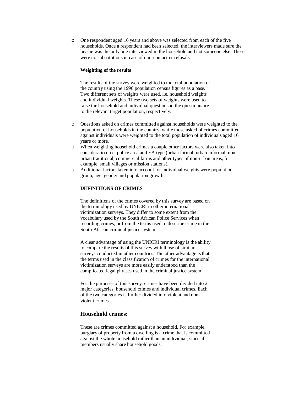o One respondent aged 16 years and above was selected from each of the five households. Once a respondent had been selected, the interviewers made sure the he/she was the only one interviewed in the household and not someone else. There were no substitutions in case of non-contact or refusals.

#### **Weighting of the results**

The results of the survey were weighted to the total population of the country using the 1996 population census figures as a base. Two different sets of weights were used, i.e. household weights and individual weights. These two sets of weights were used to raise the household and individual questions in the questionnaire to the relevant target population, respectively.

- o Questions asked on crimes committed against households were weighted to the population of households in the country, while those asked of crimes committed against individuals were weighted to the total population of individuals aged 16 years or more.
- o When weighting household crimes a couple other factors were also taken into consideration, i.e. police area and EA type (urban formal, urban informal, nonurban traditional, commercial farms and other types of non-urban areas, for example, small villages or mission stations).
- o Additional factors taken into account for individual weights were population group, age, gender and population growth.

#### **DEFINITIONS OF CRIMES**

The definitions of the crimes covered by this survey are based on the terminology used by UNICRI in other international victimization surveys. They differ to some extent from the vocabulary used by the South African Police Services when recording crimes, or from the terms used to describe crime in the South African criminal justice system.

A clear advantage of using the UNICRI terminology is the ability to compare the results of this survey with those of similar surveys conducted in other countries. The other advantage is that the terms used in the classification of crimes for the international victimization surveys are more easily understood than the complicated legal phrases used in the criminal justice system.

For the purposes of this survey, crimes have been divided into 2 major categories: household crimes and individual crimes. Each of the two categories is further divided into violent and nonviolent crimes.

#### **Household crimes:**

These are crimes committed against a household. For example, burglary of property from a dwelling is a crime that is committed against the whole household rather than an individual, since all members usually share household goods.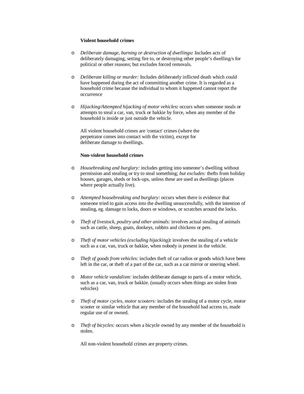#### **Violent household crimes**

- o *Deliberate damage, burning or destruction of dwellings:* Includes acts of deliberately damaging, setting fire to, or destroying other people's dwelling/s for political or other reasons; but excludes forced removals.
- o *Deliberate killing or murder:* Includes deliberately inflicted death which could have happened during the act of committing another crime. It is regarded as a household crime because the individual to whom it happened cannot report the occurrence
- o *Hijacking/Attempted hijacking of motor vehicles:* occurs when someone steals or attempts to steal a car, van, truck or bakkie by force, when any member of the household is inside or just outside the vehicle.

All violent household crimes are 'contact' crimes (where the perpetrator comes into contact with the victim), except for deliberate damage to dwellings.

#### **Non-violent household crimes**

- o *Housebreaking and burglary:* includes getting into someone's dwelling without permission and stealing or try to steal something; *but excludes:* thefts from holiday houses, garages, sheds or lock-ups, unless these are used as dwellings (places where people actually live).
- o *Attempted housebreaking and burglary:* occurs when there is evidence that someone tried to gain access into the dwelling unsuccessfully, with the intention of stealing, eg. damage to locks, doors or windows, or scratches around the locks.
- o *Theft of livestock, poultry and other animals:* involves actual stealing of animals such as cattle, sheep, goats, donkeys, rabbits and chickens or pets.
- o *Theft of motor vehicles (excluding hijacking):* involves the stealing of a vehicle such as a car, van, truck or bakkie, when nobody is present in the vehicle.
- o *Theft of goods from vehicles:* includes theft of car radios or goods which have been left in the car, or theft of a part of the car, such as a car mirror or steering wheel.
- o *Motor vehicle vandalism:* includes deliberate damage to parts of a motor vehicle, such as a car, van, truck or bakkie. (usually occurs when things are stolen from vehicles)
- o *Theft of motor cycles, motor scooters:* includes the stealing of a motor cycle, motor scooter or similar vehicle that any member of the household had access to, made regular use of or owned.
- o *Theft of bicycles:* occurs when a bicycle owned by any member of the household is stolen.

All non-violent household crimes are property crimes.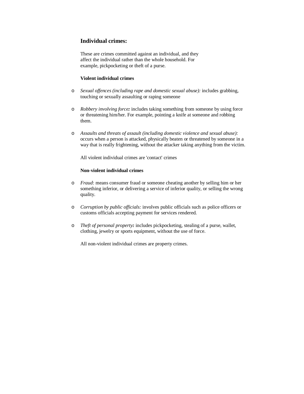## **Individual crimes:**

These are crimes committed against an individual, and they affect the individual rather than the whole household. For example, pickpocketing or theft of a purse.

#### **Violent individual crimes**

- o *Sexual offences (including rape and domestic sexual abuse):* includes grabbing, touching or sexually assaulting or raping someone
- o *Robbery involving force:* includes taking something from someone by using force or threatening him/her. For example, pointing a knife at someone and robbing them.
- o *Assaults and threats of assault (including domestic violence and sexual abuse):* occurs when a person is attacked, physically beaten or threatened by someone in a way that is really frightening, without the attacker taking anything from the victim.

All violent individual crimes are 'contact' crimes

#### **Non-violent individual crimes**

- o *Fraud*: means consumer fraud or someone cheating another by selling him or her something inferior, or delivering a service of inferior quality, or selling the wrong quality.
- o *Corruption by public officials:* involves public officials such as police officers or customs officials accepting payment for services rendered.
- o *Theft of personal property:* includes pickpocketing, stealing of a purse, wallet, clothing, jewelry or sports equipment, without the use of force.

All non-violent individual crimes are property crimes.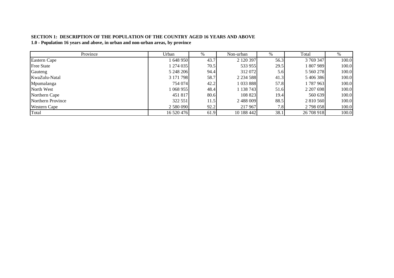### **SECTION 1: DESCRIPTION OF THE POPULATION OF THE COUNTRY AGED 16 YEARS AND ABOVE 1.0 - Population 16 years and above, in urban and non-urban areas, by province**

| Province            | Urban      | %    | Non-urban     | %    | Total         | $\%$  |
|---------------------|------------|------|---------------|------|---------------|-------|
| Eastern Cape        | 648 950    | 43.7 | 2 120 397     | 56.3 | 3 769 347     | 100.0 |
| <b>Free State</b>   | 1274035    | 70.5 | 533 955       | 29.5 | 807989        | 100.0 |
| Gauteng             | 5 248 206  | 94.4 | 312 072       | 5.6  | 5 5 6 2 2 7 8 | 100.0 |
| KwaZulu-Natal       | 3 171 798  | 58.7 | 2 2 3 4 5 8 8 | 41.3 | 5406386       | 100.0 |
| Mpumalanga          | 754 074    | 42.2 | 1033888       | 57.8 | 1787963       | 100.0 |
| North West          | 068 955    | 48.4 | 1 138 743     | 51.6 | 2 207 698     | 100.0 |
| Northern Cape       | 451 817    | 80.6 | 108 823       | 19.4 | 560 639       | 100.0 |
| Northern Province   | 322 551    | 11.5 | 2 488 009     | 88.5 | 2 810 560     | 100.0 |
| <b>Western Cape</b> | 2 580 090  | 92.2 | 217 967       | 7.8  | 2 798 058     | 100.0 |
| Total               | 16 520 476 | 61.9 | 10 188 442    | 38.1 | 26 708 918    | 100.0 |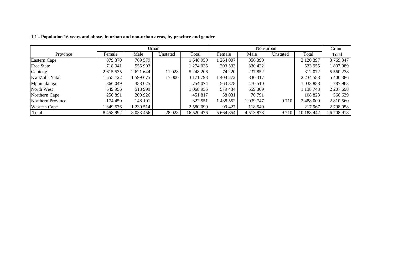|                     |           | Urban       |          |            |           |               | Non-urban |               | Grand      |
|---------------------|-----------|-------------|----------|------------|-----------|---------------|-----------|---------------|------------|
| Province            | Female    | Male        | Unstated | Total      | Female    | Male          | Unstated  | Total         | Total      |
| Eastern Cape        | 879 370   | 769 579     |          | 648 950    | 1 264 007 | 856 390       |           | 2 120 397     | 3 769 347  |
| <b>Free State</b>   | 718 041   | 555 993     |          | l 274 035  | 203 533   | 330 422       |           | 533 955       | 1807989    |
| Gauteng             | 2 615 535 | 2 621 644   | 11 028   | 5 248 206  | 74 220    | 237 852       |           | 312 072       | 5 5 6 278  |
| KwaZulu-Natal       | 555 122   | 599 675     | 17 000   | 3 171 798  | 404 272   | 830 317       |           | 2 2 3 4 5 8 8 | 5406386    |
| Mpumalanga          | 366 049   | 388 025     |          | 754 074    | 563 378   | 470 510       |           | 1033888       | 1787963    |
| North West          | 549 956   | 518 999     |          | 068955     | 579 434   | 559 309       |           | 1 138 743     | 2 207 698  |
| Northern Cape       | 250 891   | 200 926     |          | 451 817    | 38 031    | 70 791        |           | 108 823       | 560 639    |
| Northern Province   | 174 450   | 148 101     |          | 322 551    | 438 552   | 1 039 747     | 9 7 1 0   | 2 488 009     | 2 810 560  |
| <b>Western Cape</b> | 349 576   | 230 514     |          | 2 580 090  | 99 427    | 118 540       |           | 217 967       | 2798058    |
| Total               | 8 458 992 | 8 0 3 4 5 6 | 28 0 28  | 16 520 476 | 5 664 854 | 4 5 1 3 8 7 8 | 9 7 1 0   | 10 188 442    | 26 708 918 |

**1.1 - Population 16 years and above, in urban and non-urban areas, by province and gender**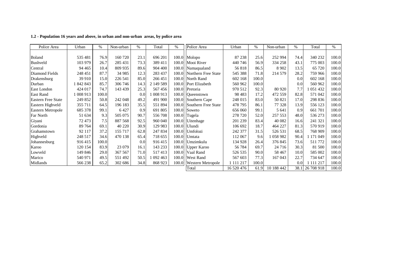| Police Area               | Urban     | %     | Non-urban | $\%$ | Total     | %     | Police Area               | Urban      | %     | Non-urban  | $\%$ | Total           | $\%$  |
|---------------------------|-----------|-------|-----------|------|-----------|-------|---------------------------|------------|-------|------------|------|-----------------|-------|
|                           |           |       |           |      |           |       |                           |            |       |            |      |                 |       |
| Boland                    | 535 481   | 76.9  | 160 720   | 23.1 | 696 201   |       | 100.0 Molopo              | 87 238     | 25.6  | 252 994    | 74.4 | 340 232         | 100.0 |
| Bushveld                  | 103 979   | 26.7  | 285 431   | 73.3 | 389 411   |       | 100.0 Mooi River          | 440 746    | 56.9  | 334 258    | 43.1 | 775 003         | 100.0 |
| Central                   | 94 4 65   | 10.4  | 809 935   | 89.6 | 904 400   |       | 100.0 Namaqualand         | 56818      | 86.5  | 8 9 0 2    | 13.5 | 65 720          | 100.0 |
| Diamond Fields            | 248 451   | 87.7  | 34 985    | 12.3 | 283 437   |       | 100.0 Northern Free State | 545 388    | 71.8  | 214 579    | 28.2 | 759 966         | 100.0 |
| Drakensburg               | 39 910    | 15.0  | 226 541   | 85.0 | 266 451   |       | 100.0 North Rand          | 602 168    | 100.0 |            | 0.0  | 602 168         | 100.0 |
| Durban                    | 1 842 843 | 85.7  | 306 746   | 14.3 | 2 149 589 |       | 100.0 Port Elizabeth      | 560 962    | 100.0 |            | 0.0  | 560 962         | 100.0 |
| East London               | 424 017   | 74.7  | 143 439   | 25.3 | 567456    |       | 100.0 Pretoria            | 970 512    | 92.3  | 80 9 20    | 7.7  | 051432          | 100.0 |
| <b>East Rand</b>          | 1 008 913 | 100.0 |           | 0.0  | 1 008 913 |       | 100.0 Oueenstown          | 98 4 83    | 17.2  | 472 559    | 82.8 | 571 042         | 100.0 |
| <b>Eastern Free State</b> | 249 852   | 50.8  | 242 048   | 49.2 | 491 900   | 100.0 | Southern Cape             | 248 015    | 83.0  | 50 821     | 17.0 | 298 836         | 100.0 |
| Eastern Highveld          | 355 711   | 64.5  | 196 183   | 35.5 | 551 894   | 100.0 | Southern Free State       | 478 795    | 86.1  | 77 328     | 13.9 | 556 123         | 100.0 |
| <b>Eastern Metropole</b>  | 685 378   | 99.1  | 6427      | 0.9  | 691 805   |       | 100.0 Soweto              | 656 060    | 99.1  | 5 641      | 0.9  | 661 701         | 100.0 |
| Far North                 | 51 634    | 9.3   | 505 075   | 90.7 | 556 708   | 100.0 | Tugela                    | 278 720    | 52.0  | 257 553    | 48.0 | 536 273         | 100.0 |
| Giyani                    | 72 473    | 7.5   | 887 568   | 92.5 | 960 040   |       | 100.0 Uitenhage           | 201 239    | 83.4  | 40 0 82    | 16.6 | 241 321         | 100.0 |
| Gordonia                  | 89 764    | 69.1  | 40 220    | 30.9 | 129 983   |       | 100.0 Ulundi              | 106 692    | 18.7  | 464 227    | 81.3 | 570919          | 100.0 |
| Grahamstown               | 92 117    | 37.2  | 155 717   | 62.8 | 247 834   |       | 100.0 Umfolozi            | 242 377    | 31.5  | 526 531    | 68.5 | 768 909         | 100.0 |
| Highveld                  | 248 517   | 34.6  | 470 138   | 65.4 | 718 655   |       | 100.0 Umtata              | 112 067    | 9.6   | 058 982    | 90.4 | 171 049         | 100.0 |
| Johannesburg              | 916415    | 100.0 |           | 0.0  | 916 415   |       | 100.0 Umzimkulu           | 134 928    | 26.4  | 376 845    | 73.6 | 511 772         | 100.0 |
| Karoo                     | 120 154   | 83.9  | 23 079    | 16.1 | 143 233   |       | 100.0 Upper Karoo         | 56 784     | 69.7  | 24 7 16    | 30.3 | 81 500          | 100.0 |
| Lowveld                   | 149 846   | 29.0  | 367 567   | 71.0 | 517413    |       | 100.0 Vaal Rand           | 526 535    | 90.0  | 58 4 67    | 10.0 | 585 002         | 100.0 |
| Marico                    | 540 971   | 49.5  | 551 492   | 50.5 | 1 092 463 |       | 100.0 West Rand           | 567 603    | 77.3  | 167 043    | 22.7 | 734 647         | 100.0 |
| Midlands                  | 566 238   | 65.2  | 302 686   | 34.8 | 868 923   | 100.0 | <b>Western Metropole</b>  | 1 111 217  | 100.0 |            | 0.0  | 1 111 217       | 100.0 |
|                           |           |       |           |      |           |       | Total                     | 16 520 476 | 61.9  | 10 188 442 |      | 38.1 26 708 918 | 100.0 |

#### **1.2 - Population 16 years and above, in urban and non-urban areas, by police area**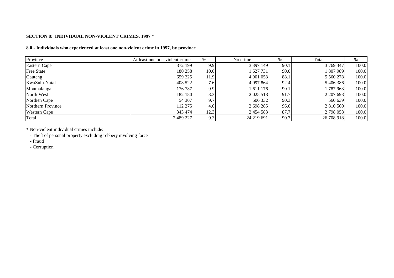#### **SECTION 8: INDIVIDUAL NON-VIOLENT CRIMES, 1997 \***

#### **8.0 - Individuals who experienced at least one non-violent crime in 1997, by province**

| Province            | At least one non-violent crime | %    | No crime      | $\%$ | Total      | %     |
|---------------------|--------------------------------|------|---------------|------|------------|-------|
| Eastern Cape        | 372 199                        | 9.9  | 3 3 9 7 1 4 9 | 90.1 | 3 769 347  | 100.0 |
| <b>Free State</b>   | 180 258                        | 10.0 | 627 731       | 90.0 | 1 807 989  | 100.0 |
| Gauteng             | 659 225                        | 11.9 | 4 901 053     | 88.1 | 5 5 6 278  | 100.0 |
| KwaZulu-Natal       | 408 522                        | 7.6  | 4 9 97 8 64   | 92.4 | 5 406 386  | 100.0 |
| Mpumalanga          | 176 787                        | 9.9  | 611 176       | 90.1 | 1787963    | 100.0 |
| North West          | 182 180                        | 8.3  | 2 0 25 5 18   | 91.7 | 2 207 698  | 100.0 |
| Northen Cape        | 54 307                         | 9.7  | 506 332       | 90.3 | 560 639    | 100.0 |
| Northern Province   | 112 275                        | 4.0  | 2 698 285     | 96.0 | 2 810 560  | 100.0 |
| <b>Western Cape</b> | 343 474                        | 12.3 | 2 4 5 4 5 8 3 | 87.7 | 2 798 058  | 100.0 |
| Total               | 2 489 227                      | 9.3  | 24 219 691    | 90.7 | 26 708 918 | 100.0 |

\* Non-violent individual crimes include:

- Theft of personal property excluding robbery involving force

- Fraud

- Corruption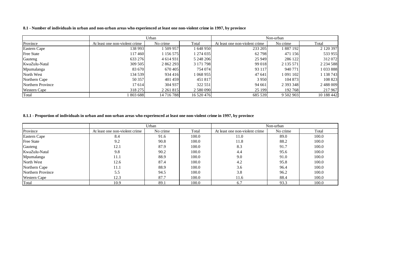#### 8.1 - Number of individuals in urban and non-urban areas who experienced at least one non-violent crime in 1997, by province

|                     |                                | Urban         |            |                                | Non-urban     |               |
|---------------------|--------------------------------|---------------|------------|--------------------------------|---------------|---------------|
| Province            | At least one non-violent crime | No crime      | Total      | At least one non-violent crime | No crime      | Total         |
| Eastern Cape        | 138 993                        | 1 509 957     | 1 648 950  | 233 205                        | 1887192       | 2 1 2 0 3 9 7 |
| <b>Free State</b>   | 117460                         | 1 156 575     | 1 274 035  | 62798                          | 471 156       | 533 955       |
| Gauteng             | 633 276                        | 4 6 14 9 31   | 5 248 206  | 25 9 49                        | 286 122       | 312 072       |
| KwaZulu-Natal       | 309 505                        | 2 862 293     | 3 171 798  | 99 018                         | 2 135 571     | 2 2 3 4 5 8 8 |
| Mpumalanga          | 83 670                         | 670405        | 754 074    | 93 117                         | 940 771       | 1033888       |
| North West          | 134 539                        | 934 416       | 1 068 955  | 47 641                         | 1 091 102     | 1 138 743     |
| Northern Cape       | 50 357                         | 401459        | 451 817    | 3 9 5 0                        | 104 873       | 108 823       |
| Northern Province   | 17 614                         | 304 937       | 322 551    | 94 661                         | 2 3 9 3 3 4 8 | 2488009       |
| <b>Western Cape</b> | 318 275                        | 2 2 6 1 8 1 5 | 2 580 090  | 25 199                         | 192768        | 217 967       |
| Total               | 803 688                        | 14 716 788    | 16 520 476 | 685 539                        | 9 502 903     | 10 188 442    |

#### 8.1.1 - Proportion of individuals in urban and non-urban areas who experienced at least one non-violent crime in 1997, by province

|                     |                                | Urban    |       |                                | Non-urban |       |
|---------------------|--------------------------------|----------|-------|--------------------------------|-----------|-------|
| Province            | At least one non-violent crime | No crime | Total | At least one non-violent crime | No crime  | Total |
| <b>Eastern Cape</b> | 8.4                            | 91.6     | 100.0 | 11.0                           | 89.0      | 100.0 |
| <b>Free State</b>   | 9.2                            | 90.8     | 100.0 | 11.8                           | 88.2      | 100.0 |
| Gauteng             | 12.1                           | 87.9     | 100.0 | 8.3                            | 91.7      | 100.0 |
| KwaZulu-Natal       | 9.8                            | 90.2     | 100.0 | 4.4                            | 95.6      | 100.0 |
| Mpumalanga          | 11.1                           | 88.9     | 100.0 | 9.0                            | 91.0      | 100.0 |
| North West          | 12.6                           | 87.4     | 100.0 | 4.2                            | 95.8      | 100.0 |
| Northern Cape       | 11.1                           | 88.9     | 100.0 | 3.6                            | 96.4      | 100.0 |
| Northern Province   | 5.5                            | 94.5     | 100.0 | 3.8                            | 96.2      | 100.0 |
| <b>Western Cape</b> | 12.3                           | 87.7     | 100.0 | 11.6                           | 88.4      | 100.0 |
| Total               | 10.9                           | 89.1     | 100.0 | 6.7                            | 93.3      | 100.0 |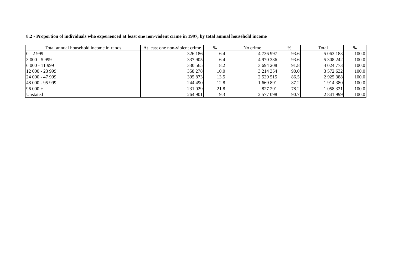|  |  |  |  |  |  |  | 8.2 - Proportion of individuals who experienced at least one non-violent crime in 1997, by total annual household income |
|--|--|--|--|--|--|--|--------------------------------------------------------------------------------------------------------------------------|
|--|--|--|--|--|--|--|--------------------------------------------------------------------------------------------------------------------------|

| Total annual household income in rands | At least one non-violent crime | %    | No crime      | %    | Total         |       |
|----------------------------------------|--------------------------------|------|---------------|------|---------------|-------|
| $0 - 2999$                             | 326 186                        | 6.4  | 4 736 997     | 93.6 | 5 063 183     | 100.0 |
| $3000 - 5999$                          | 337 905                        | 6.4  | 4 970 336     | 93.6 | 5 308 242     | 100.0 |
| $6000 - 11999$                         | 330 565                        | 8.2  | 3 694 208     | 91.8 | 4 0 24 7 73   | 100.0 |
| $12000 - 23999$                        | 358 278                        | 10.0 | 3 2 1 4 3 5 4 | 90.0 | 3 572 632     | 100.0 |
| $24000 - 47999$                        | 395 873                        | 13.5 | 2 5 29 5 15   | 86.5 | 2 9 2 5 3 8 8 | 100.0 |
| 48 000 - 95 999                        | 244 490                        | 12.8 | 669 891       | 87.2 | 1 914 380     | 100.0 |
| $96000 +$                              | 231 029                        | 21.8 | 827 291       | 78.2 | 058321        | 100.0 |
| Unstated                               | 264 901                        | 9.3  | 2 577 098     | 90.7 | 2 841 999     | 100.0 |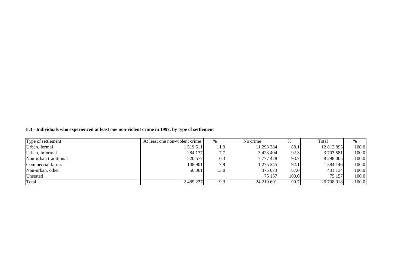|  |  | 8.3 - Individuals who experienced at least one non-violent crime in 1997, by type of settlement |  |
|--|--|-------------------------------------------------------------------------------------------------|--|
|  |  |                                                                                                 |  |

| Type of settlement    | At least one non-violent crime | $\%$ | No crime      | %     | Total      | %     |
|-----------------------|--------------------------------|------|---------------|-------|------------|-------|
| Urban, formal         | .519511                        | 11.9 | 11 293 384    | 88.1  | 12 812 895 | 100.0 |
| Urban, informal       | 284 177                        | 7.7  | 3 4 2 3 4 0 4 | 92.3  | 3 707 581  | 100.0 |
| Non-urban traditional | 520 577                        | 6.3  | 7 777 428     | 93.7  | 8 298 005  | 100.0 |
| Commercial farms      | 108 901                        | 7.9  | 1 275 245     | 92.1  | 384 146    | 100.0 |
| Non-urban, other      | 56 061                         | 13.0 | 375 073       | 87.0  | 431 134    | 100.0 |
| Unstated              |                                |      | 75 157        | 100.0 | 75 157     | 100.0 |
| Total                 | 2 489 227                      | 9.3  | 24 219 691    | 90.7  | 26 708 918 | 100.0 |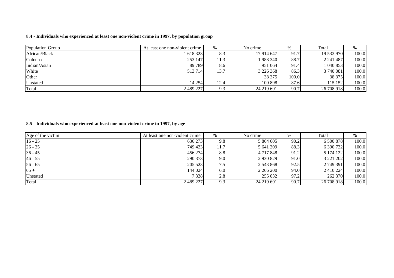#### **8.4 - Individuals who experienced at least one non-violent crime in 1997, by population group**

| Population Group | At least one non-violent crime | $\%$ | No crime      |       | Total      | $\%$  |
|------------------|--------------------------------|------|---------------|-------|------------|-------|
| African/Black    | 1 618 323                      | 8.3  | 17 914 647    | 91.7  | 19 532 970 | 100.0 |
| Coloured         | 253 147                        | 11.3 | 1 988 340     | 88.7  | 2 241 487  | 100.0 |
| Indian/Asian     | 89 789                         | 8.6  | 951 064       | 91.4  | 1 040 853  | 100.0 |
| White            | 513714                         | 13.7 | 3 2 2 6 3 6 8 | 86.3  | 3 740 081  | 100.0 |
| Other            |                                |      | 38 375        | 100.0 | 38 375     | 100.0 |
| Unstated         | 14 254                         | 12.4 | 100 898       | 87.6  | 115 152    | 100.0 |
| Total            | 2 489 227                      | 9.3  | 24 219 691    | 90.7  | 26 708 918 | 100.0 |

#### **8.5 - Individuals who experienced at least one non-violent crime in 1997, by age**

| Age of the victim | At least one non-violent crime | $\%$ | No crime      | %    | Total      |       |
|-------------------|--------------------------------|------|---------------|------|------------|-------|
| $16 - 25$         | 636 273                        | 9.81 | 5 864 605     | 90.2 | 6 500 878  | 100.0 |
| $26 - 35$         | 749 423                        | 11.7 | 5 641 309     | 88.3 | 6 390 732  | 100.0 |
| $36 - 45$         | 456 274                        | 8.8  | 4 7 1 7 8 4 8 | 91.2 | 5 174 122  | 100.0 |
| $46 - 55$         | 290 373                        | 9.0  | 2 9 3 0 8 2 9 | 91.0 | 3 221 202  | 100.0 |
| $56 - 65$         | 205 523                        | 7.51 | 2 543 868     | 92.5 | 2 749 391  | 100.0 |
| $65+$             | 144 024                        | 6.0  | 2 266 200     | 94.0 | 2 410 224  | 100.0 |
| Unstated          | 7 3 3 8                        | 2.8  | 255 032       | 97.2 | 262 370    | 100.0 |
| Total             | 2 489 227                      | 9.3  | 24 219 691    | 90.7 | 26 708 918 | 100.0 |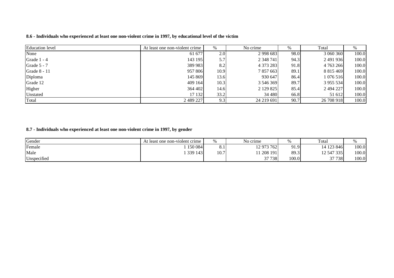| <b>Education</b> level | At least one non-violent crime | %    | No crime      | %    | Total         | %     |
|------------------------|--------------------------------|------|---------------|------|---------------|-------|
| None                   | 61 677                         | 2.0  | 2 9 9 8 6 8 3 | 98.0 | 3 060 360     | 100.0 |
| Grade 1 - 4            | 143 195                        | 5.7  | 2 3 4 8 7 4 1 | 94.3 | 2491936       | 100.0 |
| Grade 5 - 7            | 389 983                        | 8.2  | 4 373 283     | 91.8 | 4 763 266     | 100.0 |
| Grade 8 - 11           | 957 806                        | 10.9 | 7 857 663     | 89.1 | 8 8 1 5 4 6 9 | 100.0 |
| Diploma                | 145 869                        | 13.6 | 930 647       | 86.4 | 1 076 516     | 100.0 |
| Grade 12               | 409 164                        | 10.3 | 3 546 369     | 89.7 | 3 955 534     | 100.0 |
| Higher                 | 364 402                        | 14.6 | 2 129 825     | 85.4 | 2 494 227     | 100.0 |
| Unstated               | 17 132                         | 33.2 | 34 480        | 66.8 | 51 612        | 100.0 |
| Total                  | 2 489 227                      | 9.3  | 24 219 691    | 90.7 | 26 708 918    | 100.0 |

8.6 - Individuals who experienced at least one non-violent crime in 1997, by educational level of the victim

**8.7 - Individuals who experienced at least one non-violent crime in 1997, by gender**

| Gender      | At least one non-violent crime | $\%$ | No crime   |       | Total      |       |
|-------------|--------------------------------|------|------------|-------|------------|-------|
| Female      | 150 084                        | 0. 1 | 12 973 762 | 91.9  | 14 123 846 | 100.0 |
| Male        | 339 143                        | 10.7 | 11 208 191 | 89.3  | 12 547 335 | 100.0 |
| Unspecified |                                |      | 37 738     | 100.0 | 37 738     | 100.0 |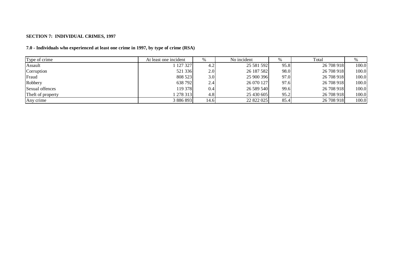#### **SECTION 7: INDIVIDUAL CRIMES, 1997**

| Type of crime     | At least one incident | %    | No incident |      | Total      |       |
|-------------------|-----------------------|------|-------------|------|------------|-------|
| Assault           | 127 327               | 4.2  | 25 581 592  | 95.8 | 26 708 918 | 100.0 |
| Corruption        | 521 336               | 2.0  | 26 187 582  | 98.0 | 26 708 918 | 100.0 |
| Fraud             | 808 523               | 3.0  | 25 900 396  | 97.0 | 26 708 918 | 100.0 |
| Robbery           | 638 792               | 2.4  | 26 070 127  | 97.6 | 26 708 918 | 100.0 |
| Sexual offences   | 119 378               | 0.4  | 26 589 540  | 99.6 | 26 708 918 | 100.0 |
| Theft of property | 278 313               | 4.8  | 25 430 605  | 95.2 | 26 708 918 | 100.0 |
| Any crime         | 3 886 893             | 14.6 | 22 822 025  | 85.4 | 26 708 918 | 100.0 |

#### **7.0 - Individuals who experienced at least one crime in 1997, by type of crime (RSA)**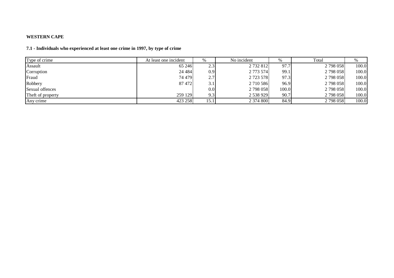#### **WESTERN CAPE**

#### **7.1 - Individuals who experienced at least one crime in 1997, by type of crime**

| Type of crime     | At least one incident | %                | No incident   | %     | Total     |       |
|-------------------|-----------------------|------------------|---------------|-------|-----------|-------|
| Assault           | 65 24 6               | 2.3              | 2 732 812     | 97.7  | 2798058   | 100.0 |
| Corruption        | 24 4 84               | 0.9              | 2 773 574     | 99.1  | 2798058   | 100.0 |
| Fraud             | 74 479                | 2.7              | 2 7 2 3 5 7 8 | 97.3  | 2798058   | 100.0 |
| Robbery           | 87 472                | 3.1              | 2 710 586     | 96.9  | 2798058   | 100.0 |
| Sexual offences   |                       | 0.0 <sub>l</sub> | 2 798 058     | 100.0 | 2 798 058 | 100.0 |
| Theft of property | 259 129               | 9.3              | 2 538 929     | 90.7  | 2798058   | 100.0 |
| Any crime         | 423 258               | 15.1             | 2 374 800     | 84.9  | 2798058   | 100.0 |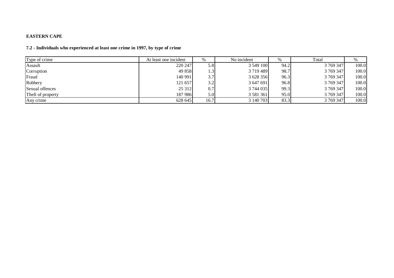#### **EASTERN CAPE**

#### **7.2 - Individuals who experienced at least one crime in 1997, by type of crime**

| Type of crime     | At least one incident |      | No incident   | %    | Total     | $\%$  |
|-------------------|-----------------------|------|---------------|------|-----------|-------|
| Assault           | 220 247               | 5.8  | 3 549 100     | 94.2 | 3 769 347 | 100.0 |
| Corruption        | 49 858                | 1.3  | 3719489       | 98.7 | 3 769 347 | 100.0 |
| Fraud             | 140 991               | 3.7  | 3 628 356     | 96.3 | 3 769 347 | 100.0 |
| Robbery           | 121 657               | 3.2  | 3 647 691     | 96.8 | 3 769 347 | 100.0 |
| Sexual offences   | 25 312                | 0.7  | 3 744 035     | 99.3 | 3 769 347 | 100.0 |
| Theft of property | 187 986               | 5.0  | 3 5 8 1 3 6 1 | 95.0 | 3 769 347 | 100.0 |
| Any crime         | 628 645               | 16.7 | 3 140 703     | 83.3 | 3 769 347 | 100.0 |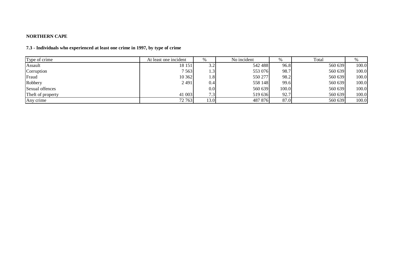#### **NORTHERN CAPE**

#### **7.3 - Individuals who experienced at least one crime in 1997, by type of crime**

| Type of crime     | At least one incident | %    | No incident | %     | Total   | %     |
|-------------------|-----------------------|------|-------------|-------|---------|-------|
| Assault           | 18 15 1               | 3.2  | 542 488     | 96.8  | 560 639 | 100.0 |
| Corruption        | 7 5 6 3               | 1.3' | 553 076     | 98.7  | 560 639 | 100.0 |
| Fraud             | 10 362                | 1.8  | 550 277     | 98.2  | 560 639 | 100.0 |
| Robbery           | 2491                  | 0.4  | 558 148     | 99.6  | 560 639 | 100.0 |
| Sexual offences   |                       | 0.0  | 560 639     | 100.0 | 560 639 | 100.0 |
| Theft of property | 41 003                | 7.3  | 519 636     | 92.7  | 560 639 | 100.0 |
| Any crime         | 72 763                | 13.0 | 487 876     | 87.0  | 560 639 | 100.0 |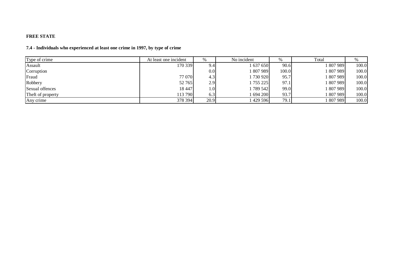#### **FREE STATE**

#### **7.4 - Individuals who experienced at least one crime in 1997, by type of crime**

| Type of crime     | At least one incident | %    | No incident | %     | Total   | %     |
|-------------------|-----------------------|------|-------------|-------|---------|-------|
| Assault           | 170 339               | 9.4  | 1 637 650   | 90.6  | 807 989 | 100.0 |
| Corruption        |                       | 0.0  | 1807989     | 100.0 | 807989  | 100.0 |
| Fraud             | 77 070                | 4.3  | 1730920     | 95.7  | 807 989 | 100.0 |
| Robbery           | 52 765                | 2.9  | 1 755 225   | 97.1  | 807 989 | 100.0 |
| Sexual offences   | 18 447                | 1.01 | 1 789 542   | 99.0  | 807 989 | 100.0 |
| Theft of property | 113 790               | 6.3  | 1 694 200   | 93.7  | 807989  | 100.0 |
| Any crime         | 378 394               | 20.9 | 1429596     | 79.1  | 807 989 | 100.0 |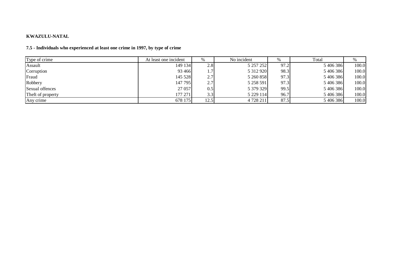#### **KWAZULU-NATAL**

#### **7.5 - Individuals who experienced at least one crime in 1997, by type of crime**

| Type of crime     | At least one incident | %    | No incident   | %    | Total     | %     |
|-------------------|-----------------------|------|---------------|------|-----------|-------|
| Assault           | 149 134               | 2.8  | 5 257 252     | 97.2 | 5 406 386 | 100.0 |
| Corruption        | 93 4 66               |      | 5 3 1 2 9 2 0 | 98.3 | 5 406 386 | 100.0 |
| Fraud             | 145 528               | 2.7  | 5 260 858     | 97.3 | 5 406 386 | 100.0 |
| Robbery           | 147 795               | 2.7  | 5 258 591     | 97.3 | 5 406 386 | 100.0 |
| Sexual offences   | 27 057                | 0.5  | 5 379 329     | 99.5 | 5 406 386 | 100.0 |
| Theft of property | 177 271               | 3.3  | 5 2 29 114    | 96.7 | 5 406 386 | 100.0 |
| Any crime         | 678 175               | 12.5 | 4728211       | 87.5 | 5 406 386 | 100.0 |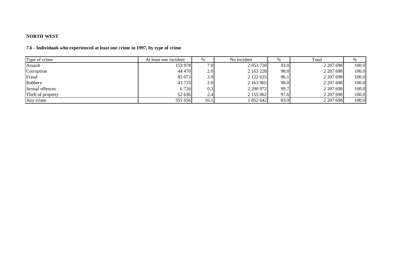#### **NORTH WEST**

#### **7.6 - Individuals who experienced at least one crime in 1997, by type of crime**

| Type of crime     | At least one incident | $\%$             | No incident   | %    | Total     | $\%$  |
|-------------------|-----------------------|------------------|---------------|------|-----------|-------|
| Assault           | 153 978               | 7.0              | 2 0 53 7 20   | 93.0 | 2 207 698 | 100.0 |
| Corruption        | 44 470                | 2.0              | 2 163 228     | 98.0 | 2 207 698 | 100.0 |
| Fraud             | 85 073                | 3.9              | 2 1 2 2 6 2 5 | 96.1 | 2 207 698 | 100.0 |
| Robbery           | 43 7 33               | 2.0              | 2 163 965     | 98.0 | 2 207 698 | 100.0 |
| Sexual offences   | 6 7 2 6               | 0.3              | 2 200 972     | 99.7 | 2 207 698 | 100.0 |
| Theft of property | 52 636                | 2.4 <sub>1</sub> | 2 155 062     | 97.6 | 2 207 698 | 100.0 |
| Any crime         | 355 056               | 16.1             | 852 642       | 83.9 | 2 207 698 | 100.0 |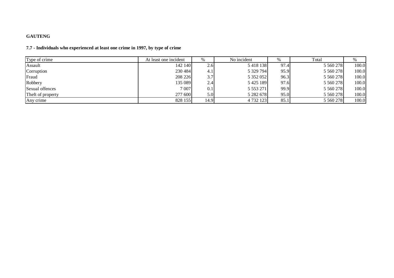#### **GAUTENG**

#### **7.7 - Individuals who experienced at least one crime in 1997, by type of crime**

| Type of crime     | At least one incident | $\%$             | No incident   | %    | Total         | $\%$  |
|-------------------|-----------------------|------------------|---------------|------|---------------|-------|
| Assault           | 142 140               | 2.61             | 5 4 1 8 1 3 8 | 97.4 | 5 5 6 0 2 7 8 | 100.0 |
| Corruption        | 230 484               | 4.1              | 5 329 794     | 95.9 | 5 5 6 0 2 7 8 | 100.0 |
| Fraud             | 208 226               | 3.7              | 5 352 052     | 96.3 | 5 5 6 27 8    | 100.0 |
| Robbery           | 135 089               | 2.4              | 5425189       | 97.6 | 5 5 6 0 2 7 8 | 100.0 |
| Sexual offences   | 7 0 0 7               | 0.1              | 5 5 5 3 2 7 1 | 99.9 | 5 5 6 0 2 7 8 | 100.0 |
| Theft of property | 277 600               | 5.0 <sub>l</sub> | 5 282 678     | 95.0 | 5 5 6 0 2 7 8 | 100.0 |
| Any crime         | 828 155               | 14.9             | 4 732 123     | 85.1 | 5 5 6 278     | 100.0 |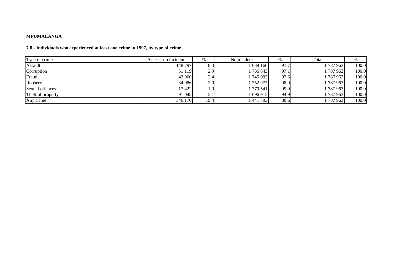#### **MPUMALANGA**

#### **7.8 - Individuals who experienced at least one crime in 1997, by type of crime**

| Type of crime     | At least no incident | %    | No incident | %    | Total       | $\%$  |
|-------------------|----------------------|------|-------------|------|-------------|-------|
| Assault           | 148 797              | 8.3  | 639 166     | 91.7 | 787 963     | 100.0 |
| Corruption        | 51 119               | 2.9  | 736843      | 97.1 | 787963      | 100.0 |
| Fraud             | 42 960               | 2.4  | 1745003     | 97.6 | 1787963     | 100.0 |
| Robbery           | 34 986               | 2.0  | 752 977     | 98.0 | 787963      | 100.0 |
| Sexual offences   | 17 422               | 1.0  | 1770541     | 99.0 | 787963      | 100.0 |
| Theft of property | 91 048               | 5.1  | 1696915     | 94.9 | l 787 963 l | 100.0 |
| Any crime         | 346 170              | 19.4 | 441 793     | 80.6 | 787 963     | 100.0 |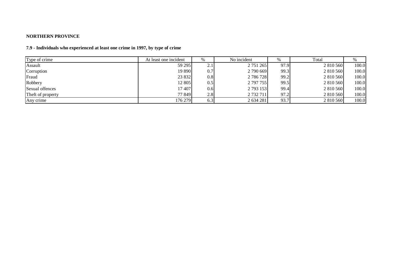#### **NORTHERN PROVINCE**

# **7.9 - Individuals who experienced at least one crime in 1997, by type of crime**

| Type of crime     | At least one incident | $\%$             | No incident | %    | Total     | %     |
|-------------------|-----------------------|------------------|-------------|------|-----------|-------|
| Assault           | 59 29 5               | 2.1              | 2 751 265   | 97.9 | 2 810 560 | 100.0 |
| Corruption        | 19 890                | 0.7              | 2 790 669   | 99.3 | 2 810 560 | 100.0 |
| Fraud             | 23 832                | 0.8              | 2 786 728   | 99.2 | 2 810 560 | 100.0 |
| Robbery           | 12 805                | 0.5              | 2 797 755   | 99.5 | 2 810 560 | 100.0 |
| Sexual offences   | 17407                 | 0.6 <sub>l</sub> | 2 793 153   | 99.4 | 2 810 560 | 100.0 |
| Theft of property | 77 849                | 2.8              | 2 732 711   | 97.2 | 2 810 560 | 100.0 |
| Any crime         | 176 279               | 6.3              | 2 634 281   | 93.7 | 2 810 560 | 100.0 |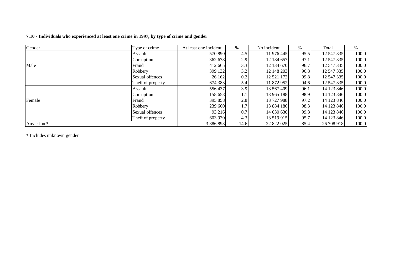# **7.10 - Individuals who experienced at least one crime in 1997, by type of crime and gender**

| Gender     | Type of crime     | At least one incident | %    | No incident | $\%$ | Total      | %     |
|------------|-------------------|-----------------------|------|-------------|------|------------|-------|
|            | Assault           | 570 890               | 4.5  | 11 976 445  | 95.5 | 12 547 335 | 100.0 |
|            | Corruption        | 362 678               | 2.9  | 12 184 657  | 97.1 | 12 547 335 | 100.0 |
| Male       | Fraud             | 412 665               | 3.3  | 12 134 670  | 96.7 | 12 547 335 | 100.0 |
|            | Robbery           | 399 132               | 3.2  | 12 148 203  | 96.8 | 12 547 335 | 100.0 |
|            | Sexual offences   | 26 162                | 0.2  | 12 521 172  | 99.8 | 12 547 335 | 100.0 |
|            | Theft of property | 674 383               | 5.4  | 11 872 952  | 94.6 | 12 547 335 | 100.0 |
|            | Assault           | 556437                | 3.9  | 13 567 409  | 96.1 | 14 123 846 | 100.0 |
|            | Corruption        | 158 658               | 1.1  | 13 965 188  | 98.9 | 14 123 846 | 100.0 |
| Female     | Fraud             | 395 858               | 2.8  | 13 727 988  | 97.2 | 14 123 846 | 100.0 |
|            | Robbery           | 239 660               | 1.7  | 13 884 186  | 98.3 | 14 123 846 | 100.0 |
|            | Sexual offences   | 93 216                | 0.7  | 14 030 630  | 99.3 | 14 123 846 | 100.0 |
|            | Theft of property | 603 930               | 4.3  | 13 519 915  | 95.7 | 14 123 846 | 100.0 |
| Any crime* |                   | 3 886 893             | 14.6 | 22 822 025  | 85.4 | 26 708 918 | 100.0 |

\* Includes unknown gender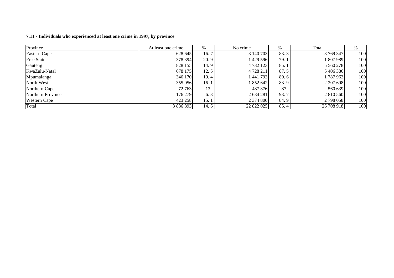| 7.11 - Individuals who experienced at least one crime in 1997, by province |  |
|----------------------------------------------------------------------------|--|
|----------------------------------------------------------------------------|--|

| Province            | At least one crime | %     | No crime   | %    | Total      | %   |
|---------------------|--------------------|-------|------------|------|------------|-----|
| Eastern Cape        | 628 645            | 16.7  | 3 140 703  | 83.3 | 3 769 347  | 100 |
| <b>Free State</b>   | 378 394            | 20.9  | 1429596    | 79.1 | 1 807 989  | 100 |
| Gauteng             | 828 155            | 14. 9 | 4 732 123  | 85.1 | 5 5 6 278  | 100 |
| KwaZulu-Natal       | 678 175            | 12.5  | 4 728 211  | 87.5 | 5 406 386  | 100 |
| Mpumalanga          | 346 170            | 19.4  | 441793     | 80.6 | 1787963    | 100 |
| North West          | 355 056            | 16.1  | 852 642    | 83.9 | 2 207 698  | 100 |
| Northern Cape       | 72 763             | 13.   | 487 876    | 87.  | 560 639    | 100 |
| Northern Province   | 176 279            | 6.3   | 2 634 281  | 93.7 | 2 810 560  | 100 |
| <b>Western Cape</b> | 423 258            | 15.1  | 2 374 800  | 84.9 | 2 798 058  | 100 |
| Total               | 3 886 893          | 14. 6 | 22 822 025 | 85.4 | 26 708 918 | 100 |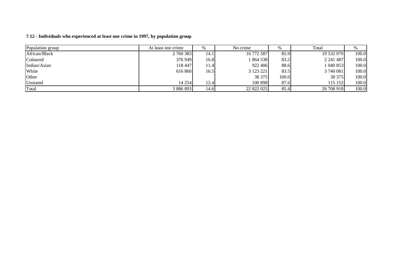| Population group | At least one crime | %    | No crime<br>$\%$ |       | Total      | %     |
|------------------|--------------------|------|------------------|-------|------------|-------|
| African/Black    | 2 760 383          | 14.1 | 16 772 587       | 85.9  | 19 532 970 | 100.0 |
| Coloured         | 376 949            | 16.8 | 1864538          | 83.2  | 2 241 487  | 100.0 |
| Indian/Asian     | 118 447            | 11.4 | 922 406          | 88.6  | 1040853    | 100.0 |
| White            | 616 860            | 16.5 | 3 123 221        | 83.5  | 3 740 081  | 100.0 |
| Other            |                    |      | 38 37 5          | 100.0 | 38 375     | 100.0 |
| Unstated         | 14 254             | 12.4 | 100 898          | 87.6  | 115 152    | 100.0 |
| Total            | 3 886 893          | 14.6 | 22 822 025       | 85.4  | 26 708 918 | 100.0 |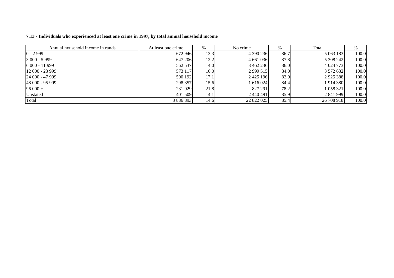| Annual household income in rands | At least one crime | %    | No crime      | %    | Total       |       |
|----------------------------------|--------------------|------|---------------|------|-------------|-------|
| $0 - 2999$                       | 672 946            | 13.3 | 4 390 236     | 86.7 | 5 063 183   | 100.0 |
| $3000 - 5999$                    | 647 206            | 12.2 | 4 661 036     | 87.8 | 5 308 242   | 100.0 |
| $16000 - 11999$                  | 562 537            | 14.0 | 3 462 236     | 86.0 | 4 0 24 7 73 | 100.0 |
| $12000 - 23999$                  | 573 117            | 16.0 | 2 9 9 5 15    | 84.0 | 3 572 632   | 100.0 |
| $124000 - 47999$                 | 500 192            | 17.1 | 2 4 2 5 1 9 6 | 82.9 | 2925388     | 100.0 |
| 48 000 - 95 999                  | 298 357            | 15.6 | 1 616 024     | 84.4 | 1 914 380   | 100.0 |
| $96000 +$                        | 231 029            | 21.8 | 827 291       | 78.2 | 1 058 321   | 100.0 |
| Unstated                         | 401 509            | 14.1 | 2 440 491     | 85.9 | 2 841 999   | 100.0 |
| Total                            | 3 886 893          | 14.6 | 22 822 025    | 85.4 | 26 708 918  | 100.0 |

**7.13 - Individuals who experienced at least one crime in 1997, by total annual household income**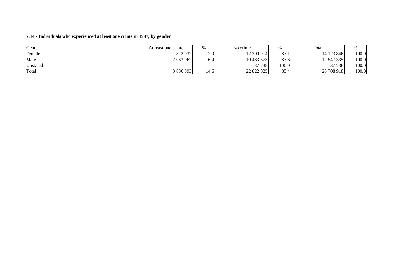#### **7.14 - Individuals who experienced at least one crime in 1997, by gender**

| Gender   | At least one crime |       | No crime   |       | Total      |       |
|----------|--------------------|-------|------------|-------|------------|-------|
| Female   | 822 932            | 12.9  | 12 300 914 | 87.1  | 14 123 846 | 100.0 |
| Male     | 2 063 962          | 16.4  | 10 483 373 | 83.6  | 12 547 335 | 100.0 |
| Unstated |                    |       | 37 738     | 100.0 | 37 738     | 100.0 |
| Total    | 3 886 893          | 14.61 | 22 822 025 | 85.4  | 26 708 918 | 100.0 |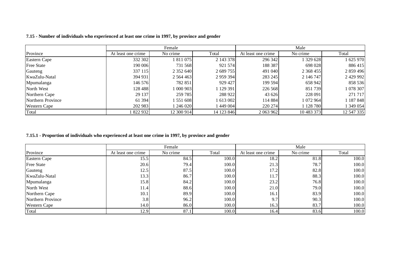|                     | Female             |               |            | Male               |               |            |  |
|---------------------|--------------------|---------------|------------|--------------------|---------------|------------|--|
| Province            | At least one crime | No crime      | Total      | At least one crime | No crime      | Total      |  |
| Eastern Cape        | 332 302            | 811 075       | 2 143 378  | 296 342            | 1 329 628     | 1 625 970  |  |
| <b>Free State</b>   | 190 006            | 731 568       | 921 574    | 188 387            | 698 028       | 886 415    |  |
| Gauteng             | 337 115            | 2 352 640     | 2 689 755  | 491 040            | 2 3 6 8 4 5 5 | 2 859 496  |  |
| KwaZulu-Natal       | 394 931            | 2 5 6 4 4 6 3 | 2 959 394  | 283 245            | 2 146 747     | 2 429 992  |  |
| Mpumalanga          | 146 576            | 782 851       | 929 427    | 199 594            | 658 942       | 858 536    |  |
| North West          | 128 488            | 1 000 903     | 1 129 391  | 226 568            | 851739        | 1 078 307  |  |
| Northern Cape       | 29 137             | 259 785       | 288 922    | 43 626             | 228 091       | 271 717    |  |
| Northern Province   | 61 394             | 1 551 608     | 1 613 002  | 114 884            | 1 072 964     | 187848     |  |
| <b>Western Cape</b> | 202 983            | 1246020       | 1449004    | 220 274            | 1 128 780     | 1 349 054  |  |
| Total               | 822 932            | 12 300 914    | 14 123 846 | 2 063 962          | 10 483 373    | 12 547 335 |  |

# 7.15 - Number of individuals who experienced at least one crime in 1997, by province and gender

#### 7.15.1 - Proportion of individuals who experienced at least one crime in 1997, by province and gender

|                     |                    | Female   |       | Male               |          |       |  |
|---------------------|--------------------|----------|-------|--------------------|----------|-------|--|
| Province            | At least one crime | No crime | Total | At least one crime | No crime | Total |  |
| <b>Eastern Cape</b> | 15.5               | 84.5     | 100.0 | 18.2               | 81.8     | 100.0 |  |
| <b>Free State</b>   | 20.6               | 79.4     | 100.0 | 21.3               | 78.7     | 100.0 |  |
| Gauteng             | 12.5               | 87.5     | 100.0 | 17.2               | 82.8     | 100.0 |  |
| KwaZulu-Natal       | 13.3               | 86.7     | 100.0 | 11.7               | 88.3     | 100.0 |  |
| Mpumalanga          | 15.8               | 84.2     | 100.0 | 23.2               | 76.8     | 100.0 |  |
| North West          | 11.4               | 88.6     | 100.0 | 21.0               | 79.0     | 100.0 |  |
| Northern Cape       | 10.1               | 89.9     | 100.0 | 16.1               | 83.9     | 100.0 |  |
| Northern Province   | 3.8                | 96.2     | 100.0 | 9.7                | 90.3     | 100.0 |  |
| <b>Western Cape</b> | 14.0               | 86.0     | 100.0 | 16.3               | 83.7     | 100.0 |  |
| Total               | 12.9               | 87.1     | 100.0 | 16.4               | 83.6     | 100.0 |  |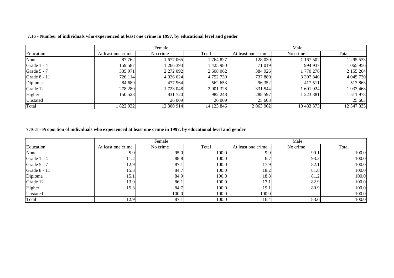|              |                    | Female      |            |                    |            |            |
|--------------|--------------------|-------------|------------|--------------------|------------|------------|
| Education    | At least one crime | No crime    | Total      | At least one crime | No crime   | Total      |
| None         | 87 762             | 1677065     | 764 827    | 128 030            | 1 167 502  | 1 295 533  |
| Grade 1 - 4  | 159 587            | 1266393     | 1 425 980  | 71 019             | 994 937    | 1 065 956  |
| Grade 5 - 7  | 335 971            | 2 272 092   | 2 608 062  | 384 926            | 1770 278   | 2 155 204  |
| Grade 8 - 11 | 726 114            | 4 0 26 6 24 | 4 752 739  | 737 889            | 3 307 840  | 4 045 730  |
| Diploma      | 84 689             | 477 964     | 562 653    | 96 352             | 417 511    | 513 863    |
| Grade 12     | 278 280            | 1723 048    | 2 001 328  | 331 544            | 1 601 924  | 1933468    |
| Higher       | 150 528            | 831 720     | 982 248    | 288 597            | 1 223 381  | 1511978    |
| Unstated     |                    | 26 009      | 26 009     | 25 603             |            | 25 603     |
| Total        | 822 932            | 12 300 914  | 14 123 846 | 2 063 962          | 10 483 373 | 12 547 335 |

7.16 - Number of individuals who experienced at least one crime in 1997, by educational level and gender

# 7.16.1 - Proportion of individuals who experienced at least one crime in 1997, by educational level and gender

|              |                    | Female   |       |                    |          |       |
|--------------|--------------------|----------|-------|--------------------|----------|-------|
| Education    | At least one crime | No crime | Total | At least one crime | No crime | Total |
| None         | 5.0                | 95.0     | 100.0 | 9.9                | 90.1     | 100.0 |
| Grade 1 - 4  | 11.2               | 88.8     | 100.0 | 6.7                | 93.3     | 100.0 |
| Grade 5 - 7  | 12.9               | 87.1     | 100.0 | 17.9               | 82.1     | 100.0 |
| Grade 8 - 11 | 15.3               | 84.7     | 100.0 | 18.2               | 81.8     | 100.0 |
| Diploma      | 15.1               | 84.9     | 100.0 | 18.8               | 81.2     | 100.0 |
| Grade 12     | 13.9               | 86.1     | 100.0 | 17.1               | 82.9     | 100.0 |
| Higher       | 15.3               | 84.7     | 100.0 | 19.1               | 80.9     | 100.0 |
| Unstated     |                    | 100.0    | 100.0 | 100.0              |          | 100.0 |
| Total        | 12.9               | 87.1     | 100.0 | 16.4               | 83.6     | 100.0 |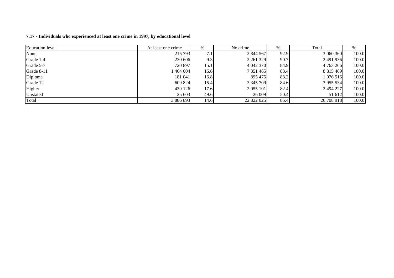| <b>Education</b> level | At least one crime | %    | No crime      | %    | Total           | %     |
|------------------------|--------------------|------|---------------|------|-----------------|-------|
| None                   | 215 793            | 7.1  | 2 844 567     | 92.9 | 3 060 360       | 100.0 |
| Grade 1-4              | 230 606            | 9.3  | 2 2 6 1 3 2 9 | 90.7 | 2491936         | 100.0 |
| Grade 5-7              | 720 897            | 15.1 | 4 042 370     | 84.9 | 4 763 266       | 100.0 |
| Grade 8-11             | $-464004$          | 16.6 | 7 351 465     | 83.4 | 8 8 1 5 4 6 9   | 100.0 |
| Diploma                | 181 041            | 16.8 | 895 475       | 83.2 | 1 076 516       | 100.0 |
| Grade 12               | 609 824            | 15.4 | 3 3 4 5 7 0 9 | 84.6 | 3 9 5 5 5 5 3 4 | 100.0 |
| Higher                 | 439 126            | 17.6 | 2 0 5 5 1 0 1 | 82.4 | 2494227         | 100.0 |
| Unstated               | 25 603             | 49.6 | 26 009        | 50.4 | 51 612          | 100.0 |
| Total                  | 3 886 893          | 14.6 | 22 822 025    | 85.4 | 26 708 918      | 100.0 |

**7.17 - Individuals who experienced at least one crime in 1997, by educational level**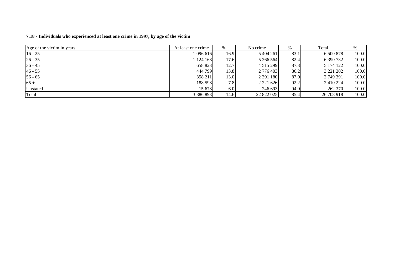| Age of the victim in years | At least one crime | %    | No crime      | %    | Total         | %     |
|----------------------------|--------------------|------|---------------|------|---------------|-------|
| $16 - 25$                  | 1 096 616          | 16.9 | 5 404 261     | 83.1 | 6 500 878     | 100.0 |
| $26 - 35$                  | 1 124 168          | 17.6 | 5 266 564     | 82.4 | 6 390 732     | 100.0 |
| $36 - 45$                  | 658 823            | 12.7 | 4 5 1 5 2 9 9 | 87.3 | 5 174 122     | 100.0 |
| $46 - 55$                  | 444 799            | 13.8 | 2 776 403     | 86.2 | 3 2 2 1 2 0 2 | 100.0 |
| $56 - 65$                  | 358 211            | 13.0 | 2 391 180     | 87.0 | 2 749 391     | 100.0 |
| $65+$                      | 188 598            | 7.8  | 2 2 2 1 6 2 6 | 92.2 | 2 4 10 2 24   | 100.0 |
| Unstated                   | 15 678             | 6.0  | 246 693       | 94.0 | 262 370       | 100.0 |
| Total                      | 3 886 893          | 14.6 | 22 822 025    | 85.4 | 26 708 918    | 100.0 |

#### **7.18 - Individuals who experienced at least one crime in 1997, by age of the victim**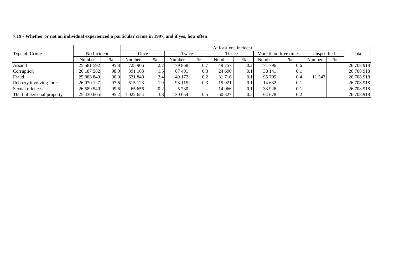|                            |             |      |           |                  |          |     | At least one incident |      |         |                       |             |      |            |
|----------------------------|-------------|------|-----------|------------------|----------|-----|-----------------------|------|---------|-----------------------|-------------|------|------------|
| Type of Crime              | No Incident |      | Once      |                  | Twice    |     | Thrice                |      |         | More than three times | Unspecified |      | Total      |
|                            | Number      | $\%$ | Number    | %                | Number   |     | Number                | $\%$ | Number  | $\%$                  | Number      | $\%$ |            |
| Assault                    | 25 581 592  | 95.8 | 725 906   | 2.7              | 179 8681 | 0.7 | 49 757                | 0.21 | 171 796 | 0.6                   |             |      | 26 708 918 |
| Corruption                 | 26 187 582  | 98.0 | 391 103   | $.5^{\circ}$     | 67401    | 0.3 | 24 690                | 0.1  | 38 141  | 0.1                   |             |      | 26 708 918 |
| Fraud                      | 25 888 849  | 96.9 | 631 840   | 2.4              | 49 172   | 0.2 | 31 7 16               | 0.1  | 95 795  | 0.4                   | 11 547      |      | 26 708 918 |
| Robbery involving force    | 26 070 127  | 97.6 | 515 123   | ا 9. ا           | 93 115   | 0.3 | 15 9 21               | 0.1  | 14 632  | 0.1                   |             |      | 26 708 918 |
| Sexual offences            | 26 589 540  | 99.6 | 65 656    | 0.2              | 5 7 3 0  |     | 14 066                | 0.1  | 33 926  | 0.1                   |             |      | 26 708 918 |
| Theft of personal property | 25 430 605  | 95.2 | 1 022 654 | 3.8 <sub>1</sub> | 130 654  | 0.5 | 60 327                | 0.2  | 64 678  | 0.2                   |             |      | 26 708 918 |

7.19 - Whether or not an individual experienced a particular crime in 1997, and if yes, how often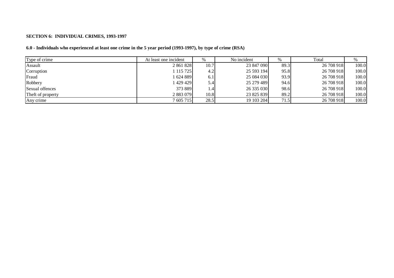#### **SECTION 6: INDIVIDUAL CRIMES, 1993-1997**

# 6.0 - Individuals who experienced at least one crime in the 5 year period (1993-1997), by type of crime (RSA)

| Type of crime     | At least one incident | $\%$ | No incident |      | Total      | %     |
|-------------------|-----------------------|------|-------------|------|------------|-------|
| Assault           | 2 861 828             | 10.7 | 23 847 090  | 89.3 | 26 708 918 | 100.0 |
| Corruption        | 115 725               | 4.2  | 25 593 194  | 95.8 | 26 708 918 | 100.0 |
| Fraud             | 1624889               | 6.1  | 25 084 030  | 93.9 | 26 708 918 | 100.0 |
| Robbery           | 429 429               | 5.4  | 25 279 489  | 94.6 | 26 708 918 | 100.0 |
| Sexual offences   | 373 889               | 1.4  | 26 335 030  | 98.6 | 26 708 918 | 100.0 |
| Theft of property | 2 883 079             | 10.8 | 23 825 839  | 89.2 | 26 708 918 | 100.0 |
| Any crime         | 7 605 715             | 28.5 | 19 103 204  | 71.5 | 26 708 918 | 100.0 |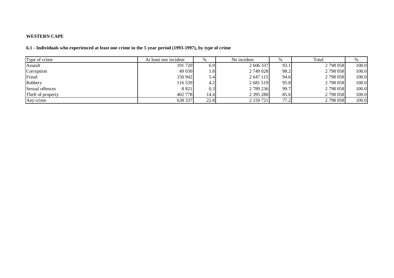### **WESTERN CAPE**

# 6.1 - Individuals who experienced at least one crime in the 5 year period (1993-1997), by type of crime

| Type of crime     | At least one incident | %    | No incident | %    | Total     | %     |
|-------------------|-----------------------|------|-------------|------|-----------|-------|
| Assault           | 191 720               | 6.9  | 2 606 337   | 93.1 | 2 798 058 | 100.0 |
| Corruption        | 49 030                | 1.81 | 2 749 028   | 98.2 | 2 798 058 | 100.0 |
| Fraud             | 150 942               | 5.4  | 2 647 115   | 94.6 | 2 798 058 | 100.0 |
| Robbery           | 116 539               | 4.2  | 2 681 519   | 95.8 | 2 798 058 | 100.0 |
| Sexual offences   | 8 8 2 1               | 0.3  | 2 789 236   | 99.7 | 2 798 058 | 100.0 |
| Theft of property | 402 778               | 14.4 | 2 395 280   | 85.6 | 2 798 058 | 100.0 |
| Any crime         | 638 337               | 22.8 | 2 159 721   | 77.2 | 2 798 058 | 100.0 |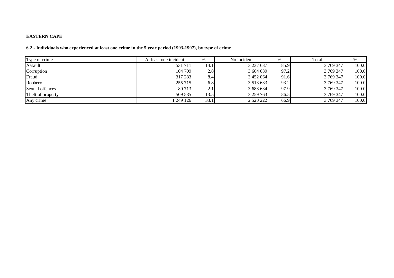# **EASTERN CAPE**

# 6.2 - Individuals who experienced at least one crime in the 5 year period (1993-1997), by type of crime

| Type of crime     | At least one incident | $\%$ | No incident   | %    | Total     |       |
|-------------------|-----------------------|------|---------------|------|-----------|-------|
| Assault           | 531 711               | 14.1 | 3 237 637     | 85.9 | 3 769 347 | 100.0 |
| Corruption        | 104 709               | 2.8  | 3 664 639     | 97.2 | 3 769 347 | 100.0 |
| Fraud             | 317 283               | 8.4  | 3 452 064     | 91.6 | 3 769 347 | 100.0 |
| Robbery           | 255 715               | 6.8  | 3 5 1 3 6 3 3 | 93.2 | 3 769 347 | 100.0 |
| Sexual offences   | 80 713                | 2.1  | 3 688 634     | 97.9 | 3 769 347 | 100.0 |
| Theft of property | 509 585               | 13.5 | 3 259 763     | 86.5 | 3 769 347 | 100.0 |
| Any crime         | 249 126               | 33.1 | 2 5 2 0 2 2 2 | 66.9 | 3 769 347 | 100.0 |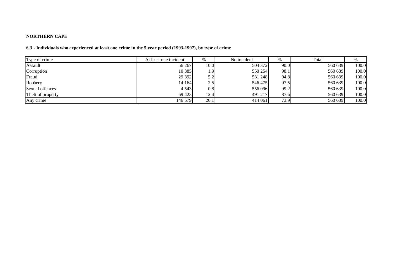# **NORTHERN CAPE**

# 6.3 - Individuals who experienced at least one crime in the 5 year period (1993-1997), by type of crime

| Type of crime     | At least one incident | %             | No incident |      | Total   | %     |
|-------------------|-----------------------|---------------|-------------|------|---------|-------|
| Assault           | 56 267                | 10.0          | 504 372     | 90.0 | 560 639 | 100.0 |
| Corruption        | 10 3 85               | $1.9^{\circ}$ | 550 254     | 98.1 | 560 639 | 100.0 |
| Fraud             | 29 3 9 2              | 5.2           | 531 248     | 94.8 | 560 639 | 100.0 |
| Robbery           | 14 164                | 2.5           | 546 475     | 97.5 | 560 639 | 100.0 |
| Sexual offences   | 4 5 4 3               | 0.8           | 556 096     | 99.2 | 560 639 | 100.0 |
| Theft of property | 69 423                | 12.4          | 491 217     | 87.6 | 560 639 | 100.0 |
| Any crime         | 146 579               | 26.1          | 414 061     | 73.9 | 560 639 | 100.0 |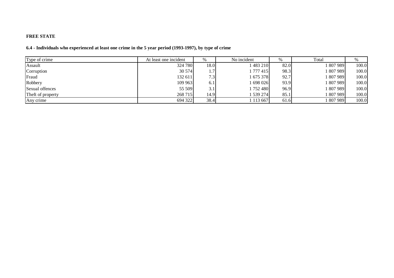### **FREE STATE**

# 6.4 - Individuals who experienced at least one crime in the 5 year period (1993-1997), by type of crime

| Type of crime     | At least one incident | %                | No incident   | %    | Total   | %     |
|-------------------|-----------------------|------------------|---------------|------|---------|-------|
| Assault           | 324 780               | 18.0             | 483 210       | 82.0 | 807 989 | 100.0 |
| Corruption        | 30 574                | .                | 1 777 415     | 98.3 | 807 989 | 100.0 |
| Fraud             | 132 611               | 7.3 <sub>1</sub> | 1 675 378     | 92.7 | 807 989 | 100.0 |
| Robbery           | 109 963               | 6.1              | 1 698 026     | 93.9 | 807 989 | 100.0 |
| Sexual offences   | 55 509                | 3.1              | 1752480       | 96.9 | 807 989 | 100.0 |
| Theft of property | 268 715               | 14.9             | 1 539 274     | 85.1 | 807 989 | 100.0 |
| Any crime         | 694 322               | 38.4             | 1 1 1 3 6 6 7 | 61.6 | 807 989 | 100.0 |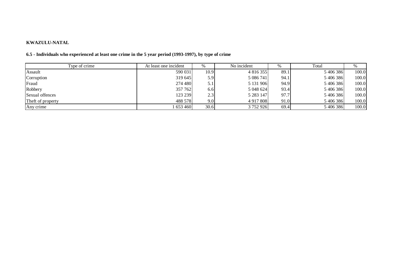#### **KWAZULU-NATAL**

| Type of crime     | At least one incident | $\%$ | No incident   | %    | Total     |       |
|-------------------|-----------------------|------|---------------|------|-----------|-------|
| Assault           | 590 031               | 10.9 | 4 816 355     | 89.1 | 5406386   | 100.0 |
| Corruption        | 319 645               | 5.9  | 5 086 741     | 94.1 | 5 406 386 | 100.0 |
| Fraud             | 274 480               | 5.1  | 5 131 906     | 94.9 | 5 406 386 | 100.0 |
| Robbery           | 357 762               | 6.6  | 5 048 624     | 93.4 | 5 406 386 | 100.0 |
| Sexual offences   | 123 239               | 2.3  | 5 2 8 3 1 4 7 | 97.7 | 5406386   | 100.0 |
| Theft of property | 488 578               | 9.0  | 4 9 17 8 08   | 91.0 | 5 406 386 | 100.0 |
| Any crime         | 653460                | 30.6 | 3 752 926     | 69.4 | 5406386   | 100.0 |

#### 6.5 - Individuals who experienced at least one crime in the 5 year period (1993-1997), by type of crime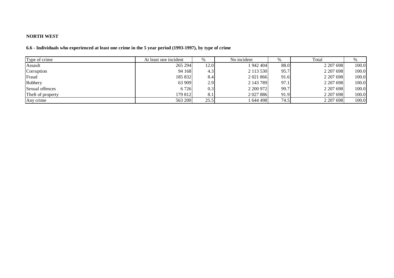#### **NORTH WEST**

# 6.6 - Individuals who experienced at least one crime in the 5 year period (1993-1997), by type of crime

| Type of crime     | At least one incident | %    | No incident   | $\%$ | Total     |       |
|-------------------|-----------------------|------|---------------|------|-----------|-------|
| Assault           | 265 294               | 12.0 | 1 942 404     | 88.0 | 2 207 698 | 100.0 |
| Corruption        | 94 168                | 4.3  | 2 113 530     | 95.7 | 2 207 698 | 100.0 |
| Fraud             | 185 832               | 8.4  | 2 0 2 1 8 6 6 | 91.6 | 2 207 698 | 100.0 |
| Robbery           | 63 909                | 2.9  | 2 143 789     | 97.1 | 2 207 698 | 100.0 |
| Sexual offences   | 6 7 2 6               | 0.3  | 2 200 972     | 99.7 | 2 207 698 | 100.0 |
| Theft of property | 179 812               | 8.1  | 2 0 2 7 8 8 6 | 91.9 | 2 207 698 | 100.0 |
| Any crime         | 563 200               | 25.5 | 1 644 498     | 74.5 | 2 207 698 | 100.0 |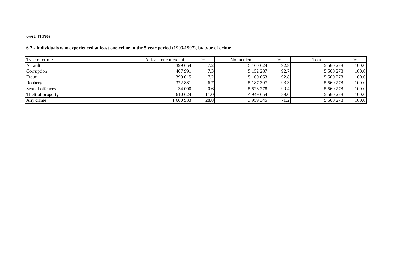# **GAUTENG**

# 6.7 - Individuals who experienced at least one crime in the 5 year period (1993-1997), by type of crime

| Type of crime     | At least one incident | %                | No incident   | $\%$ | Total         |       |
|-------------------|-----------------------|------------------|---------------|------|---------------|-------|
| Assault           | 399 654               | 7.2 <sub>1</sub> | 5 160 624     | 92.8 | 5 5 6 278     | 100.0 |
| Corruption        | 407 991               | 7.3 <sub>1</sub> | 5 152 287     | 92.7 | 5 5 6 278     | 100.0 |
| Fraud             | 399 615               | 7.2              | 5 160 663     | 92.8 | 5 5 6 0 2 7 8 | 100.0 |
| Robbery           | 372 881               | 6.7              | 5 187 397     | 93.3 | 5 5 6 0 2 7 8 | 100.0 |
| Sexual offences   | 34 000                | 0.6              | 5 5 2 6 2 7 8 | 99.4 | 5 5 6 0 2 7 8 | 100.0 |
| Theft of property | 610 624               | 11.0             | 4 9 4 6 5 4   | 89.0 | 5 5 6 0 2 7 8 | 100.0 |
| Any crime         | 600 933               | 28.8             | 3 9 5 9 3 4 5 | 71.2 | 5 5 6 278     | 100.0 |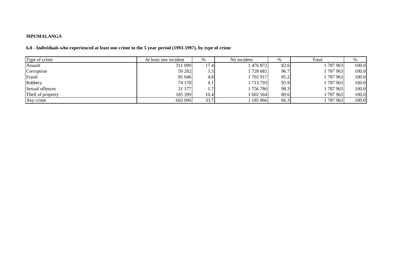### **MPUMALANGA**

# 6.8 - Individuals who experienced at least one crime in the 5 year period (1993-1997), by type of crime

| Type of crime     | At least one incident | $\%$ | No incident | $\%$ | Total   |       |
|-------------------|-----------------------|------|-------------|------|---------|-------|
| Assault           | 311 090               | 17.4 | 476872      | 82.6 | 787963  | 100.0 |
| Corruption        | 59 28 2               | 3.3  | 1728 681    | 96.7 | 787 963 | 100.0 |
| Fraud             | 85 046                | 4.8  | 1 702 917   | 95.2 | 787 963 | 100.0 |
| Robbery           | 74 170                | 4.1  | 713 793     | 95.9 | 787 963 | 100.0 |
| Sexual offences   | 31 177                |      | 1 756 786   | 98.3 | 787963  | 100.0 |
| Theft of property | 185 399               | 10.4 | 1 602 564   | 89.6 | 787 963 | 100.0 |
| Any crime         | 602 096               | 33.7 | 185 866     | 66.3 | 787 963 | 100.0 |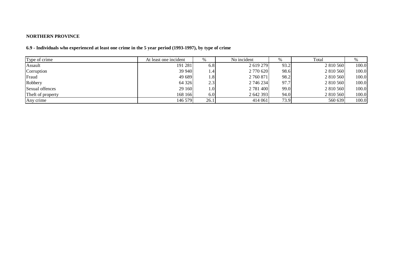# **NORTHERN PROVINCE**

# 6.9 - Individuals who experienced at least one crime in the 5 year period (1993-1997), by type of crime

| Type of crime     | At least one incident | %                | No incident | %    | Total     | 70    |
|-------------------|-----------------------|------------------|-------------|------|-----------|-------|
| Assault           | 191 281               | 6.8              | 2 619 279   | 93.2 | 2 810 560 | 100.0 |
| Corruption        | 39 940                | 1.4              | 2 770 620   | 98.6 | 2 810 560 | 100.0 |
| Fraud             | 49 689                | 1.8              | 2 760 871   | 98.2 | 2 810 560 | 100.0 |
| Robbery           | 64 3 2 6              | 2.3              | 2 746 234   | 97.7 | 2 810 560 | 100.0 |
| Sexual offences   | 29 160                | 1.0 <sub>l</sub> | 2 781 400   | 99.0 | 2 810 560 | 100.0 |
| Theft of property | 168 166               | 6.0              | 2 642 393   | 94.0 | 2 810 560 | 100.0 |
| Any crime         | 146 579               | 26.1             | 414 061     | 73.9 | 560 639   | 100.0 |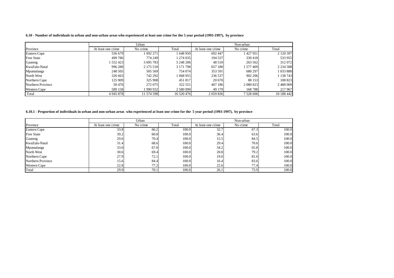6.10 - Number of individuals in urban and non-urban areas who experienced at least one crime for the 5 year period (1993-1997), by province

|                     |                    | Urban      |            | Non-urban          |             |               |  |
|---------------------|--------------------|------------|------------|--------------------|-------------|---------------|--|
| Province            | At least one crime | No crime   | Total      | At least one crime | No crime    | Total         |  |
| Eastern Cape        | 556 679            | 1092271    | 1648950    | 692 447            | 1 427 951   | 2 120 397     |  |
| <b>Free State</b>   | 499 786            | 774 249    | 1 274 035  | 194 537            | 339 418     | 533 955       |  |
| Gauteng             | 1 552 423          | 3 695 783  | 5 248 206  | 48 5 10            | 263 562     | 312072        |  |
| KwaZulu-Natal       | 996 280            | 2 175 518  | 3 171 798  | 657 180            | 1 577 409   | 2 2 3 4 5 8 8 |  |
| Mpumalanga          | 248 505            | 505 569    | 754 074    | 353 591            | 680 297     | 1033888       |  |
| North West          | 326 663            | 742 292    | 1 068 955  | 236 537            | 902 206     | 1 138 743     |  |
| Northern Cape       | 125 9091           | 325 908    | 451 817    | 20 670             | 88 153      | 108 823       |  |
| Northern Province   | 50476              | 272 075    | 322 551    | 407 186            | 2 080 823   | 2 488 009     |  |
| <b>Western Cape</b> | 589 158            | 990 932    | 2 580 090  | 49 179             | 168788      | 217 967       |  |
| Total               | 4 9 4 5 8 7 8      | 11 574 598 | 16 520 476 | 2 659 836          | 7 5 28 6 06 | 10 188 442    |  |

6.10.1 - Proportion of individuals in urban and non-urban areas who experienced at least one crime for the 5 year period (1993-1997), by province

|                     |                    | Urban    |       | Non-urban          |          |       |  |
|---------------------|--------------------|----------|-------|--------------------|----------|-------|--|
| Province            | At least one crime | No crime | Total | At least one crime | No crime | Total |  |
| Eastern Cape        | 33.8               | 66.2     | 100.0 | 32.7               | 67.3     | 100.0 |  |
| <b>Free State</b>   | 39.2               | 60.8     | 100.0 | 36.4               | 63.6     | 100.0 |  |
| Gauteng             | 29.6               | 70.4     | 100.0 | 15.5               | 84.5     | 100.0 |  |
| KwaZulu-Natal       | 31.4               | 68.6     | 100.0 | 29.4               | 70.6     | 100.0 |  |
| Mpumalanga          | 33.0               | 67.0     | 100.0 | 34.2               | 65.8     | 100.0 |  |
| North West          | 30.6               | 69.4     | 100.0 | 20.8               | 79.2     | 100.0 |  |
| Northern Cape       | 27.9               | 72.1     | 100.0 | 19.0               | 81.0     | 100.0 |  |
| Northern Province   | 15.6               | 84.4     | 100.0 | 16.4               | 83.6     | 100.0 |  |
| <b>Western Cape</b> | 22.8               | 77.2     | 100.0 | 22.6               | 77.4     | 100.0 |  |
| Total               | 29.9               | 70.1     | 100.0 | 26.1               | 73.9     | 100.0 |  |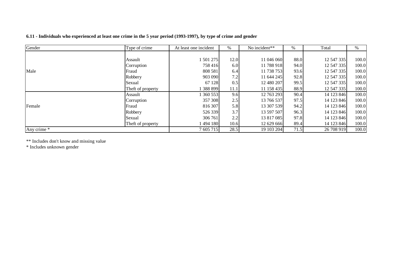| 6.11 - Individuals who experienced at least one crime in the 5 year period (1993-1997), by type of crime and gender |  |  |
|---------------------------------------------------------------------------------------------------------------------|--|--|
|---------------------------------------------------------------------------------------------------------------------|--|--|

| Gender      | Type of crime     | At least one incident | $\%$ | No incident** | %    | Total      | %     |
|-------------|-------------------|-----------------------|------|---------------|------|------------|-------|
|             |                   |                       |      |               |      |            |       |
|             | Assault           | 501 275               | 12.0 | 11 046 060    | 88.0 | 12 547 335 | 100.0 |
|             | Corruption        | 758 416               | 6.0  | 11 788 918    | 94.0 | 12 547 335 | 100.0 |
| Male        | Fraud             | 808 581               | 6.4  | 11 738 753    | 93.6 | 12 547 335 | 100.0 |
|             | Robbery           | 903 090               | 7.2  | 11 644 245    | 92.8 | 12 547 335 | 100.0 |
|             | Sexual            | 67 128                | 0.5  | 12 480 207    | 99.5 | 12 547 335 | 100.0 |
|             | Theft of property | 388 899               | 11.1 | 11 158 435    | 88.9 | 12 547 335 | 100.0 |
|             | Assault           | 360 553               | 9.6  | 12 763 293    | 90.4 | 14 123 846 | 100.0 |
|             | Corruption        | 357 308               | 2.5  | 13 766 537    | 97.5 | 14 123 846 | 100.0 |
| Female      | Fraud             | 816 307               | 5.8  | 13 307 539    | 94.2 | 14 123 846 | 100.0 |
|             | Robbery           | 526 339               | 3.7  | 13 597 507    | 96.3 | 14 123 846 | 100.0 |
|             | Sexual            | 306 761               | 2.2  | 13 817 085    | 97.8 | 14 123 846 | 100.0 |
|             | Theft of property | 494 180               | 10.6 | 12 629 666    | 89.4 | 14 123 846 | 100.0 |
| Any crime * |                   | 7 605 715             | 28.5 | 19 103 204    | 71.5 | 26 708 919 | 100.0 |

\*\* Includes don't know and missing value \* Includes unknown gender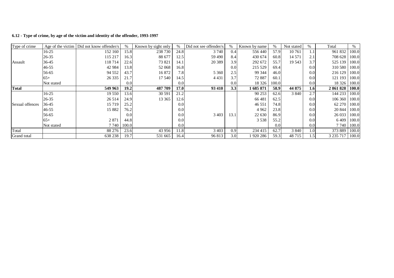|  |  |  |  |  | 6.12 - Type of crime, by age of the victim and identity of the offender, 1993-1997 |
|--|--|--|--|--|------------------------------------------------------------------------------------|
|--|--|--|--|--|------------------------------------------------------------------------------------|

| Type of crime   |            | Age of the victim   Did not know offender/s |       | Known by sight only |      | Did not see offender/s | $\%$ | Known by name | $\%$  | Not stated | $\%$          | Total         | %     |
|-----------------|------------|---------------------------------------------|-------|---------------------|------|------------------------|------|---------------|-------|------------|---------------|---------------|-------|
|                 | 16-25      | 152 160                                     | 15.8  | 238 730             | 24.8 | 3 7 4 0                | 0.4  | 556 440       | 57.9  | 10761      | 1.1           | 961 832       | 100.0 |
|                 | $26 - 35$  | 115 217                                     | 16.3  | 88 677              | 12.5 | 59 490                 | 8.4  | 430 674       | 60.8  | 14 571     | 2.1           | 708 628       | 100.0 |
| Assault         | 36-45      | 118 714                                     | 22.6  | 73 821              | 14.1 | 20 3 89                | 3.9  | 292 672       | 55.7  | 19 5 43    | 3.7           | 525 139       | 100.0 |
|                 | $46 - 55$  | 42 9 84                                     | 13.8  | 52 068              | 16.8 |                        | 0.0  | 215 529       | 69.4  |            | 0.0           | 310 580       | 100.0 |
|                 | 56-65      | 94 5 52                                     | 43.7  | 16 872              | 7.8  | 5 3 6 0                | 2.5  | 99 344        | 46.0  |            | 0.0           | 216 129       | 100.0 |
|                 | $65+$      | 26 3 35                                     | 21.7  | 17 540              | 14.5 | 4 4 3 1                | 3.7  | 72 887        | 60.1  |            | 0.0           | 121 193       | 100.0 |
|                 | Not stated |                                             | 0.0   |                     | 0.0  |                        | 0.0  | 18 3 26       | 100.0 |            | 0.0           | 18 3 26       | 100.0 |
| Total           |            | 549 963                                     | 19.2  | 487 709             | 17.0 | 93 410                 | 3.3  | 1685871       | 58.9  | 44 875     | 1.6           | 2861828       | 100.0 |
|                 | $16-25$    | 19 550                                      | 13.6  | 30 591              | 21.2 |                        |      | 90 253        | 62.6  | 3 8 4 0    | 2.7           | 144 233       | 100.0 |
|                 | $26 - 35$  | 26 5 14                                     | 24.9  | 13 3 65             | 12.6 |                        |      | 66 481        | 62.5  |            | 0.0           | 106 360       | 100.0 |
| Sexual offences | 36-45      | 15 7 19                                     | 25.2  |                     | 0.0  |                        |      | 46 551        | 74.8  |            | 0.0           | 62 270        | 100.0 |
|                 | 46-55      | 15 882                                      | 76.2  |                     | 0.0  |                        |      | 4 9 6 2       | 23.8  |            | 0.0           | 20 844        | 100.0 |
|                 | 56-65      |                                             | 0.0   |                     | 0.0  | 3 4 0 3                | 13.1 | 22 630        | 86.9  |            | 0.0           | 26 033        | 100.0 |
|                 | $65+$      | 2 8 7 1                                     | 44.8  |                     | 0.0  |                        |      | 3 5 3 8       | 55.2  |            | 0.0           | 6409          | 100.0 |
|                 | Not stated | 7 7 4 0                                     | 100.0 |                     | 0.0  |                        |      |               | 0.0   |            | 0.0           | 7 740         | 100.0 |
| Total           |            | 88 276                                      | 23.6  | 43 956              | 11.8 | 3 4 0 3                | 0.9  | 234 415       | 62.7  | 3 8 4 0    | 1.0           | 373 889       | 100.0 |
| Grand total     |            | 638 238                                     | 19.7  | 531 665             | 16.4 | 96 813                 | 3.0  | 1 920 286     | 59.3  | 48715      | $1.5^{\circ}$ | 3 2 3 5 7 1 7 | 100.0 |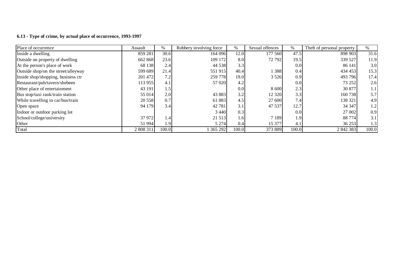#### **6.13 - Type of crime, by actual place of occurrence, 1993-1997**

| Place of occurrence                 | Assault   | $\%$  | Robbery involving force | %     | Sexual offences | %     | Theft of personal property | $\%$             |
|-------------------------------------|-----------|-------|-------------------------|-------|-----------------|-------|----------------------------|------------------|
| Inside a dwelling                   | 859 281   | 30.6  | 164 096                 | 12.0  | 177 560         | 47.5  | 898 903                    | 31.6             |
| Outside on property of dwelling     | 662 868   | 23.6  | 109 172                 | 8.0   | 72 792          | 19.5  | 339 527                    | 11.9             |
| At the person's place of work       | 68 138    | 2.4   | 44 5 38                 | 3.3   |                 | 0.0   | 86 141                     | 3.0              |
| Outside shop/on the street/alleyway | 599 689   | 21.4  | 551 915                 | 40.4  | 388             | 0.4   | 434 453                    | 15.3             |
| Inside shop/shopping, business ctr  | 201 472   | 7.2   | 259 778                 | 19.0  | 3 5 2 6         | 0.9   | 493 796                    | 17.4             |
| Restaurant/pub/tavern/shebeen       | 113 955   | 4.1   | 57 0 20                 | 4.2   |                 | 0.0   | 73 252                     | 2.6              |
| Other place of entertainment        | 43 191    | 1.5   |                         | 0.0   | 8 600           | 2.3   | 30 877                     | 1.1              |
| Bus stop/taxi rank/train station    | 55 014    | 2.0   | 43 883                  | 3.2   | 12 3 20         | 3.3   | 160 738                    | 5.7 <sub>1</sub> |
| While travelling in car/bus/train   | 20 558    | 0.7   | 61883                   | 4.5   | 27 600          | 7.4   | 138 321                    | 4.9              |
| Open space                          | 94 179    | 3.4   | 42 781                  | 3.1   | 47 537          | 12.7  | 34 347                     | 1.2              |
| Indoor or outdoor parking lot       |           |       | 3 4 4 0                 | 0.3   |                 | 0.0   | 27 002                     | 0.9              |
| School/college/university           | 37 972    | 1.4'  | 21 5 13                 | 1.6   | 7 1 8 9         | 1.9   | 88 774                     | 3.1              |
| Other                               | 51 994    | 1.91  | 5 2 7 4                 | 0.4   | 15 377          | 4.1   | 36 253                     | 1.3              |
| Total                               | 2 808 311 | 100.0 | 1 365 292               | 100.0 | 373 889         | 100.0 | 2 842 383                  | 100.0            |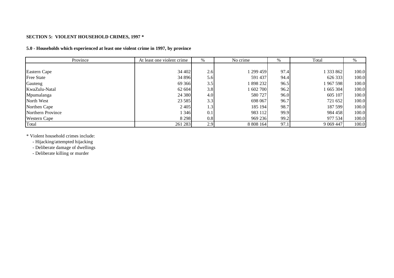### **SECTION 5: VIOLENT HOUSEHOLD CRIMES, 1997 \***

# **5.0 - Households which experienced at least one violent crime in 1997, by province**

| Province            | At least one violent crime | %   | No crime  | %    | Total       | %     |
|---------------------|----------------------------|-----|-----------|------|-------------|-------|
|                     |                            |     |           |      |             |       |
| Eastern Cape        | 34 402                     | 2.6 | 1 299 459 | 97.4 | 333 862     | 100.0 |
| <b>Free State</b>   | 34 896                     | 5.6 | 591 437   | 94.4 | 626 333     | 100.0 |
| Gauteng             | 69 3 66                    | 3.5 | 1898232   | 96.5 | 967598      | 100.0 |
| KwaZulu-Natal       | 62 604                     | 3.8 | 1 602 700 | 96.2 | 1665304     | 100.0 |
| Mpumalanga          | 24 380                     | 4.0 | 580 727   | 96.0 | 605 107     | 100.0 |
| North West          | 23 5 85                    | 3.3 | 698 067   | 96.7 | 721 652     | 100.0 |
| Northen Cape        | 2 4 0 5                    | 1.3 | 185 194   | 98.7 | 187 599     | 100.0 |
| Northern Province   | 1 3 4 6                    | 0.1 | 983 112   | 99.9 | 984 458     | 100.0 |
| <b>Western Cape</b> | 8 2 9 8                    | 0.8 | 969 236   | 99.2 | 977 534     | 100.0 |
| Total               | 261 283                    | 2.9 | 8 808 164 | 97.1 | 9 0 69 4 47 | 100.0 |

\* Violent household crimes include:

- Hijacking/attempted hijacking

- Deliberate damage of dwellings

- Deliberate killing or murder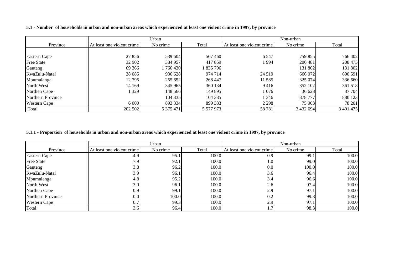|  | 5.1 - Number of households in urban and non-urban areas which experienced at least one violent crime in 1997, by province |
|--|---------------------------------------------------------------------------------------------------------------------------|
|--|---------------------------------------------------------------------------------------------------------------------------|

|                     |                            | Urban     |           | Non-urban                  |           |           |  |
|---------------------|----------------------------|-----------|-----------|----------------------------|-----------|-----------|--|
| Province            | At least one violent crime | No crime  | Total     | At least one violent crime | No crime  | Total     |  |
|                     |                            |           |           |                            |           |           |  |
| Eastern Cape        | 27 856                     | 539 604   | 567 460   | 6 5 4 7                    | 759 855   | 766 402   |  |
| <b>Free State</b>   | 32 902                     | 384 957   | 417 859   | 1994                       | 206 481   | 208 475   |  |
| Gauteng             | 69 366                     | 766430    | 835 796   |                            | 131 802   | 131 802   |  |
| KwaZulu-Natal       | 38 0 85                    | 936 628   | 974 714   | 24 5 19                    | 666 072   | 690 591   |  |
| Mpumalanga          | 12 795                     | 255 652   | 268 447   | 11 585                     | 325 074   | 336 660   |  |
| North West          | 14 169                     | 345 965   | 360 134   | 9416                       | 352 102   | 361 518   |  |
| Northen Cape        | 329                        | 148 566   | 149 895   | 1076                       | 36 628    | 37 704    |  |
| Northern Province   |                            | 104 335   | 104 335   | 346                        | 878 777   | 880 123   |  |
| <b>Western Cape</b> | 6 0 0 0                    | 893 334   | 899 333   | 2 2 9 8                    | 75 903    | 78 201    |  |
| Total               | 202 502                    | 5 375 471 | 5 577 973 | 58 781                     | 3 432 694 | 3 491 475 |  |

# 5.1.1 - Proportion of households in urban and non-urban areas which experienced at least one violent crime in 1997, by province

|                     |                            | Urban    |       | Non-urban                  |          |       |  |
|---------------------|----------------------------|----------|-------|----------------------------|----------|-------|--|
| Province            | At least one violent crime | No crime | Total | At least one violent crime | No crime | Total |  |
| Eastern Cape        | 4.9                        | 95.1     | 100.0 | 0.9                        | 99.1     | 100.0 |  |
| <b>Free State</b>   | 7.9I                       | 92.1     | 100.0 | 1.0                        | 99.0     | 100.0 |  |
| Gauteng             | 3.8                        | 96.2     | 100.0 | 0.0                        | 100.0    | 100.0 |  |
| KwaZulu-Natal       | 3.9                        | 96.1     | 100.0 | 3.6                        | 96.4     | 100.0 |  |
| Mpumalanga          | 4.8                        | 95.2     | 100.0 | 3.4                        | 96.6     | 100.0 |  |
| North West          | 3.9                        | 96.1     | 100.0 | 2.6                        | 97.4     | 100.0 |  |
| Northen Cape        | 0.9                        | 99.1     | 100.0 | 2.9                        | 97.1     | 100.0 |  |
| Northern Province   | 0.0                        | 100.0    | 100.0 | 0.2                        | 99.8     | 100.0 |  |
| <b>Western Cape</b> | 0.7                        | 99.3     | 100.0 | 2.9                        | 97.1     | 100.0 |  |
| Total               | 3.6                        | 96.4     | 100.0 |                            | 98.3     | 100.0 |  |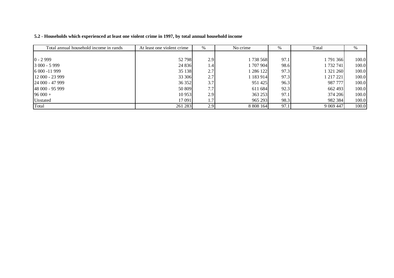| 5.2 - Households which experienced at least one violent crime in 1997, by total annual household income |  |
|---------------------------------------------------------------------------------------------------------|--|
|---------------------------------------------------------------------------------------------------------|--|

| Total annual household income in rands | At least one violent crime | $\%$ | No crime    | %    | Total              | %     |
|----------------------------------------|----------------------------|------|-------------|------|--------------------|-------|
|                                        |                            |      |             |      |                    |       |
| $0 - 2999$                             | 52 798                     | 2.9  | 1738568     | 97.1 | 791 366            | 100.0 |
| 3 000 - 5 999                          | 24 8 36                    | 1.4  | 1 707 904 1 | 98.6 | ا 732 741          | 100.0 |
| 6 000 -11 999                          | 35 138                     | 2.7  | 286 122     | 97.3 | 321 260            | 100.0 |
| $12000 - 23999$                        | 33 306                     | 2.7  | 183 914     | 97.3 | l 217 221 <b>I</b> | 100.0 |
| $24000 - 47999$                        | 36 352                     | 3.7  | 951 425     | 96.3 | 987 777            | 100.0 |
| 48 000 - 95 999                        | 50 809                     | 7.7  | 611 684     | 92.3 | 662 493            | 100.0 |
| $96000 +$                              | 10 953                     | 2.9  | 363 253     | 97.1 | 374 206            | 100.0 |
| Unstated                               | 17 091                     | 1.7' | 965 293     | 98.3 | 982 384            | 100.0 |
| Total                                  | 261 283                    | 2.9  | 8 808 164   | 97.1 | 9 0 69 4 47        | 100.0 |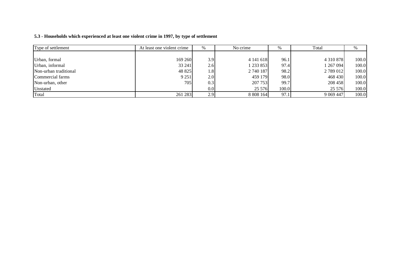### **5.3 - Households which experienced at least one violent crime in 1997, by type of settlement**

| Type of settlement    | At least one violent crime | %   | No crime  | %     | Total         | %     |
|-----------------------|----------------------------|-----|-----------|-------|---------------|-------|
|                       |                            |     |           |       |               |       |
| Urban, formal         | 169 260                    | 3.9 | 4 141 618 | 96.1  | 4 3 1 0 8 7 8 | 100.0 |
| Urban, informal       | 33 241                     | 2.6 | 233 853   | 97.4  | 1267094       | 100.0 |
| Non-urban traditional | 48 825                     | 1.8 | 2 740 187 | 98.2  | 2789012       | 100.0 |
| Commercial farms      | 9 2 5 1                    | 2.0 | 459 179   | 98.0  | 468 430       | 100.0 |
| Non-urban, other      | 705                        | 0.3 | 207 753   | 99.7  | 208 458       | 100.0 |
| Unstated              |                            | 0.0 | 25 576    | 100.0 | 25 5 7 6 1    | 100.0 |
| Total                 | 261 283                    | 2.9 | 8 808 164 | 97.1  | 9 0 69 4 47   | 100.0 |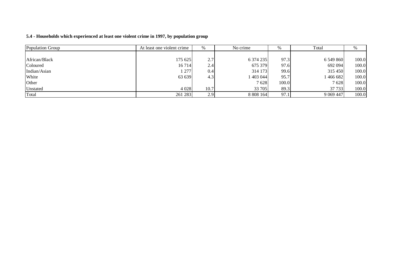| 5.4 - Households which experienced at least one violent crime in 1997, by population group |  |  |  |  |
|--------------------------------------------------------------------------------------------|--|--|--|--|
|--------------------------------------------------------------------------------------------|--|--|--|--|

| Population Group | At least one violent crime | %    | No crime  | $\%$  | Total       | %     |
|------------------|----------------------------|------|-----------|-------|-------------|-------|
|                  |                            |      |           |       |             |       |
| African/Black    | 175 625 1                  | 2.7  | 6 374 235 | 97.3  | 6 549 860   | 100.0 |
| Coloured         | 16714                      | 2.4  | 675 379   | 97.6  | 692 094     | 100.0 |
| Indian/Asian     | 277                        | 0.4  | 314 173   | 99.6  | 315 450     | 100.0 |
| White            | 63 639                     | 4.3  | 403 044   | 95.7  | 466 682     | 100.0 |
| Other            |                            |      | 7628      | 100.0 | 7628        | 100.0 |
| Unstated         | 4 0 28                     | 10.7 | 33 705    | 89.3  | 37 733      | 100.0 |
| Total            | 261 283                    | 2.9  | 8 808 164 | 97.1  | 9 0 69 4 47 | 100.0 |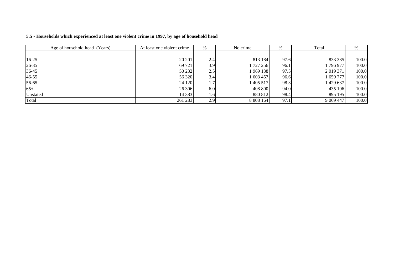| Age of household head (Years) | At least one violent crime | $\%$          | No crime  | %    | Total       | %     |
|-------------------------------|----------------------------|---------------|-----------|------|-------------|-------|
|                               |                            |               |           |      |             |       |
| $16-25$                       | 20 20 1                    | 2.4           | 813 184   | 97.6 | 833 385     | 100.0 |
| $26 - 35$                     | 69 721                     | 3.9           | 1 727 256 | 96.1 | 1 796 977   | 100.0 |
| 36-45                         | 50 232                     | 2.5           | 1 969 138 | 97.5 | 2 019 371   | 100.0 |
| 46-55                         | 56 320                     | 3.4           | 1 603 457 | 96.6 | 1 659 777   | 100.0 |
| 56-65                         | 24 120                     | $1.7^{\circ}$ | 1 405 517 | 98.3 | 1 429 637   | 100.0 |
| $65+$                         | 26 30 6                    | 6.0           | 408 800   | 94.0 | 435 106     | 100.0 |
| Unstated                      | 14 3 8 3                   | $1.6$         | 880 812   | 98.4 | 895 195     | 100.0 |
| Total                         | 261 283                    | 2.9           | 8 808 164 | 97.1 | 9 0 69 4 47 | 100.0 |

#### **5.5 - Households which experienced at least one violent crime in 1997, by age of household head**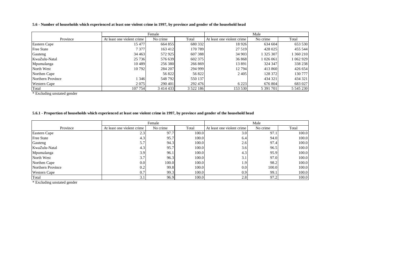#### 5.6 - Number of households which experienced at least one violent crime in 1997, by province and gender of the household head

|                     | Female                     |               |               |                            | Male      |               |
|---------------------|----------------------------|---------------|---------------|----------------------------|-----------|---------------|
| Province            | At least one violent crime | No crime      | Total         | At least one violent crime | No crime  | Total         |
| Eastern Cape        | 15 477                     | 664 855       | 680 332       | 18926                      | 634 604   | 653 530       |
| <b>Free State</b>   | 7 3 7 7                    | 163 412       | 170 789       | 27 5 19                    | 428 025   | 455 544       |
| Gauteng             | 34 4 63                    | 572925        | 607 388       | 34 903                     | 1 325 307 | 360 210       |
| KwaZulu-Natal       | 25 7 36                    | 576 639       | 602 375       | 36868                      | 1 026 061 | 062929        |
| Mpumalanga          | 10489                      | 256 380       | 266 869       | 13891                      | 324 347   | 338 238       |
| North West          | 10 792                     | 284 207       | 294 999       | 12 794                     | 413 860   | 426 654       |
| Northen Cape        |                            | 56 822        | 56 822        | 2405                       | 128 372   | 130 777       |
| Northern Province   | 346                        | 548 792       | 550 137       |                            | 434 321   | 434 321       |
| <b>Western Cape</b> | 2075                       | 290 401       | 292 476       | 6 2 2 3                    | 676 804   | 683 027       |
| Total               | 107 754                    | 3 4 1 4 4 3 3 | 3 5 2 2 1 8 6 | 153 530                    | 5 391 701 | 5 5 4 5 2 3 0 |

\* Excluding unstated gender

#### 5.6.1 - Proportion of households which experienced at least one violent crime in 1997, by province and gender of the household head

|                     | Female                     |          |       | Male                       |          |       |
|---------------------|----------------------------|----------|-------|----------------------------|----------|-------|
| Province            | At least one violent crime | No crime | Total | At least one violent crime | No crime | Total |
| Eastern Cape        | 2.3                        | 97.7     | 100.0 | 3.0                        | 97.1     | 100.0 |
| Free State          | 4.3                        | 95.7     | 100.0 | 6.4                        | 94.0     | 100.0 |
| Gauteng             | 5.7                        | 94.3     | 100.0 | 2.6                        | 97.4     | 100.0 |
| KwaZulu-Natal       | 4.3                        | 95.7     | 100.0 | 3.6                        | 96.5     | 100.0 |
| Mpumalanga          | 3.9                        | 96.1     | 100.0 | 4.3                        | 95.9     | 100.0 |
| North West          | 3.7                        | 96.3     | 100.0 | 3.1                        | 97.0     | 100.0 |
| Northen Cape        | 0.0                        | 100.0    | 100.0 | 1.9                        | 98.2     | 100.0 |
| Northern Province   | 0.2                        | 99.8     | 100.0 | 0.0                        | 100.0    | 100.0 |
| <b>Western Cape</b> | 0.7                        | 99.3     | 100.0 | 0.9                        | 99.1     | 100.0 |
| Total               | 3.1                        | 96.9     | 100.0 | 2.8                        | 97.2     | 100.0 |

\* Excluding unstated gender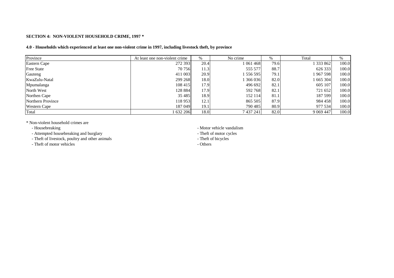#### **SECTION 4: NON-VIOLENT HOUSEHOLD CRIME, 1997 \***

#### 4.0 - Households which experienced at least one non-violent crime in 1997, including livestock theft, by province

| Province            | At least one non-violent crime | %    | No crime  | $\%$ | Total       | %     |
|---------------------|--------------------------------|------|-----------|------|-------------|-------|
| Eastern Cape        | 272 393                        | 20.4 | 1 061 468 | 79.6 | 1 333 862   | 100.0 |
| <b>Free State</b>   | 70 756                         | 11.3 | 555 577   | 88.7 | 626 333     | 100.0 |
| Gauteng             | 411 003                        | 20.9 | 556 595   | 79.1 | 1967598     | 100.0 |
| KwaZulu-Natal       | 299 268                        | 18.0 | 366 036   | 82.0 | 1 665 304   | 100.0 |
| Mpumalanga          | 108 415                        | 17.9 | 496 692   | 82.1 | 605 107     | 100.0 |
| North West          | 128 884                        | 17.9 | 592 768   | 82.1 | 721 652     | 100.0 |
| Northen Cape        | 35 4 85                        | 18.9 | 152 114   | 81.1 | 187 599     | 100.0 |
| Northern Province   | 118953                         | 12.1 | 865 505   | 87.9 | 984 458     | 100.0 |
| <b>Western Cape</b> | 187 049                        | 19.1 | 790 485   | 80.9 | 977 534     | 100.0 |
| Total               | 1632206                        | 18.0 | 7 437 241 | 82.0 | 9 0 69 4 47 | 100.0 |

\* Non-violent household crimes are

- Housebreaking

- Attempted housebreaking and burglary - Theft of motor cycles

- Theft of livestock, poultry and other animals - The state of bicycles

- Theft of motor vehicles

- Motor vehicle vandalism<br>- Theft of motor cycles

- Others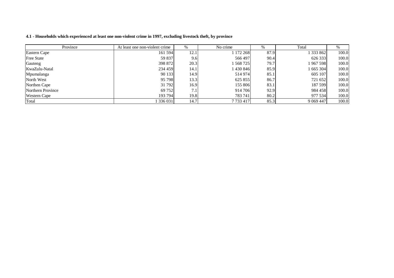| 4.1 - Households which experienced at least one non-violent crime in 1997, excluding livestock theft, by province |  |
|-------------------------------------------------------------------------------------------------------------------|--|
|-------------------------------------------------------------------------------------------------------------------|--|

| Province            | At least one non-violent crime | $\%$ | No crime  | $\%$ | Total       | $\%$  |
|---------------------|--------------------------------|------|-----------|------|-------------|-------|
| <b>Eastern Cape</b> | 161 594                        | 12.1 | 1 172 268 | 87.9 | 333862      | 100.0 |
| <b>Free State</b>   | 59 837                         | 9.6  | 566 497   | 90.4 | 626 333     | 100.0 |
| Gauteng             | 398 872                        | 20.3 | 1 568 725 | 79.7 | 967 598     | 100.0 |
| KwaZulu-Natal       | 234 459                        | 14.1 | 1430846   | 85.9 | 665 304     | 100.0 |
| Mpumalanga          | 90 133                         | 14.9 | 514 974   | 85.1 | 605 107     | 100.0 |
| North West          | 95 798                         | 13.3 | 625 855   | 86.7 | 721 652     | 100.0 |
| Northen Cape        | 31 792                         | 16.9 | 155 806   | 83.1 | 187 599     | 100.0 |
| Northern Province   | 69 752                         | 7.1  | 914 706   | 92.9 | 984 458     | 100.0 |
| <b>Western Cape</b> | 193 794                        | 19.8 | 783741    | 80.2 | 977 534     | 100.0 |
| Total               | 1336031                        | 14.7 | 7 733 417 | 85.3 | 9 0 69 4 47 | 100.0 |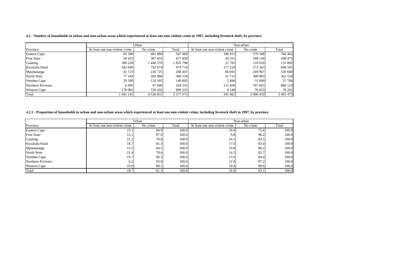4.2 - Number of households in urban and non-urban areas which experienced at least one non-violent crime in 1997, including livestock theft, by province

|                     | Urban                          |               |           |                                | Non-urban |           |
|---------------------|--------------------------------|---------------|-----------|--------------------------------|-----------|-----------|
| Province            | At least one non-violent crime | No crime      | Total     | At least one non-violent crime | No crime  | Total     |
| Eastern Cape        | 85 5 80                        | 481 880       | 567460    | 186 813                        | 579 588   | 766 402   |
| <b>Free State</b>   | 50425                          | 367433        | 417859    | 20 331                         | 188 144   | 208 475   |
| Gauteng             | 389 220                        | 446 576       | 835 796   | 21 783                         | 110 018   | 131 802   |
| KwaZulu-Natal       | 182 040                        | 792 674       | 974 714   | 117 228                        | 573 363   | 690 591   |
| Mpumalanga          | 41 723                         | 226 725       | 268 447   | 66 692                         | 269 967   | 336 660   |
| North West          | 77 169                         | 282 966       | 360 134   | 51 7 1 5                       | 309 803   | 361 518   |
| Northen Cape        | 29 5 89                        | 120 305       | 149 895   | 5896                           | 31 809    | 37 704    |
| Northern Province   | 6495                           | 97 840        | 104 335   | 112458                         | 767 665   | 880 123   |
| <b>Western Cape</b> | 178 901                        | 720 432       | 899 333   | 8 1 4 8                        | 70 053    | 78 201    |
| Total               | 1041141                        | 4 5 3 6 8 3 1 | 5 577 973 | 591 065                        | 2 900 410 | 3 491 475 |

#### 4.2.1 - Proportion of households in urban and non-urban areas which experienced at least one non-violent crime, including livestock theft in 1997, by province

|                     |                                | Urban    |       | Non-urban                      |          |       |  |
|---------------------|--------------------------------|----------|-------|--------------------------------|----------|-------|--|
| Province            | At least one non-violent crime | No crime | Total | At least one non-violent crime | No crime | Total |  |
| Eastern Cape        | 15.1                           | 84.9     | 100.0 | 24.4                           | 75.6     | 100.0 |  |
| <b>Free State</b>   | 12.1                           | 87.9     | 100.0 | 9.8                            | 90.2     | 100.0 |  |
| Gauteng             | 21.2                           | 78.8     | 100.0 | 16.5                           | 83.5     | 100.0 |  |
| KwaZulu-Natal       | 18.7                           | 81.3     | 100.0 | 17.0                           | 83.0     | 100.0 |  |
| Mpumalanga          | 15.5                           | 84.5     | 100.0 | 19.8                           | 80.2     | 100.0 |  |
| North West          | 21.4                           | 78.6     | 100.0 | 14.3                           | 85.7     | 100.0 |  |
| Northen Cape        | 19.7                           | 80.3     | 100.0 | 15.6                           | 84.4     | 100.0 |  |
| Northern Province   | 6.2                            | 93.8     | 100.0 | 12.8                           | 87.2     | 100.0 |  |
| <b>Western Cape</b> | 19.9                           | 80.1     | 100.0 | 10.4                           | 89.6     | 100.0 |  |
| Total               | 18.7                           | 81.3     | 100.0 | 16.9                           | 83.1     | 100.0 |  |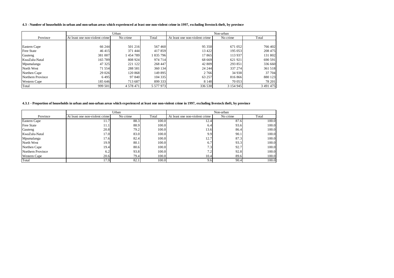#### 4.3 - Number of households in urban and non-urban areas which experienced at least one non-violent crime in 1997, excluding livestock theft, by province

|                     | Urban                          |               |           | Non-urban                      |           |           |
|---------------------|--------------------------------|---------------|-----------|--------------------------------|-----------|-----------|
| Province            | At least one non-violent crime | No crime      | Total     | At least one non-violent crime | No crime  | Total     |
|                     |                                |               |           |                                |           |           |
| Eastern Cape        | 66 244                         | 501 216       | 567460    | 95 350                         | 671 052   | 766 402   |
| <b>Free State</b>   | 46 415                         | 371 444       | 417859    | 13 4 22                        | 195 053   | 208 475   |
| Gauteng             | 381 007                        | 1454789       | 1835796   | 17865                          | 113 937   | 131 802   |
| KwaZulu-Natal       | 165 789                        | 808 924       | 974 714   | 68 669                         | 621921    | 690 591   |
| Mpumalanga          | 47 3 25                        | 221 122       | 268 447   | 42 809                         | 293 851   | 336 660   |
| North West          | 71 554                         | 288 581       | 360 134   | 24 244                         | 337 274   | 361 518   |
| Northen Cape        | 29 0 26                        | 120 868       | 149 895   | 2766                           | 34 938    | 37 704    |
| Northern Province   | 6495                           | 97 840        | 104 335   | 63 257                         | 816866    | 880 123   |
| <b>Western Cape</b> | 185 646                        | 713 687       | 899 333   | 8 1 4 8                        | 70 053    | 78 201    |
| Total               | 999 501                        | 4 5 7 8 4 7 1 | 5 577 973 | 336 530                        | 3 154 945 | 3 491 475 |

#### 4.3.1 - Proportion of households in urban and non-urban areas which experienced at least one non-violent crime in 1997, excluding livestock theft, by province

|                   | Urban                          |          |       | Non-urban                      |          |       |
|-------------------|--------------------------------|----------|-------|--------------------------------|----------|-------|
| Province          | At least one non-violent crime | No crime | Total | At least one non-violent crime | No crime | Total |
| Eastern Cape      | 11.7                           | 88.3     | 100.0 | 12.4                           | 87.6     | 100.0 |
| Free State        | 11.1                           | 88.9     | 100.0 | 6.4                            | 93.6     | 100.0 |
| Gauteng           | 20.8                           | 79.2     | 100.0 | 13.6                           | 86.4     | 100.0 |
| KwaZulu-Natal     | 17.0                           | 83.0     | 100.0 | 9.9                            | 90.1     | 100.0 |
| Mpumalanga        | 17.6                           | 82.4     | 100.0 | 12.7                           | 87.3     | 100.0 |
| North West        | 19.9                           | 80.1     | 100.0 | 6.7                            | 93.3     | 100.0 |
| Northen Cape      | 19.4                           | 80.6     | 100.0 | 7.3                            | 92.7     | 100.0 |
| Northern Province | 6.2                            | 93.8     | 100.0 | 7.2                            | 92.8     | 100.0 |
| Western Cape      | 20.6                           | 79.4     | 100.0 | 10.4                           | 89.6     | 100.0 |
| Total             | 17.9                           | 82.1     | 100.0 | 9.6                            | 90.4     | 100.0 |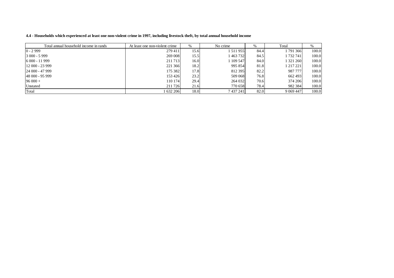| 4.4 - Households which experienced at least one non-violent crime in 1997, including livestock theft, by total annual household income |
|----------------------------------------------------------------------------------------------------------------------------------------|
|----------------------------------------------------------------------------------------------------------------------------------------|

| Total annual household income in rands | At least one non-violent crime | %    | No crime    | $\%$ | Total       | %     |
|----------------------------------------|--------------------------------|------|-------------|------|-------------|-------|
| $0 - 2999$                             | 279411                         | 15.6 | l 511 955 l | 84.4 | 1 791 366   | 100.0 |
| $3000 - 5999$                          | 269 008                        | 15.5 | 1463732     | 84.5 | 1 732 741   | 100.0 |
| $6000 - 11999$                         | 211713                         | 16.0 | 1 109 547   | 84.0 | 1 321 260   | 100.0 |
| $12000 - 23999$                        | 221 366                        | 18.2 | 995 854     | 81.8 | 1 217 221   | 100.0 |
| $24000 - 47999$                        | 175 382                        | 17.8 | 812 395     | 82.2 | 987 777     | 100.0 |
| 48 000 - 95 999                        | 153 426                        | 23.2 | 509 068     | 76.8 | 662 493     | 100.0 |
| $96000 +$                              | 110 174                        | 29.4 | 264 032     | 70.6 | 374 206     | 100.0 |
| Unstated                               | 211726                         | 21.6 | 770 658     | 78.4 | 982 384     | 100.0 |
| Total                                  | 1 632 206                      | 18.0 | 7 437 241   | 82.0 | 9 0 69 4 47 | 100.0 |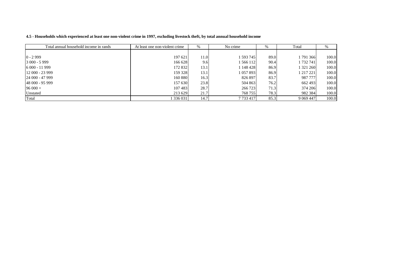| Total annual household income in rands | At least one non-violent crime<br>$\%$ |      | No crime      | Total<br>% |             | $\%$  |
|----------------------------------------|----------------------------------------|------|---------------|------------|-------------|-------|
|                                        |                                        |      |               |            |             |       |
| $0 - 2999$                             | 197 621                                | 11.0 | 1 593 745     | 89.0       | 1 791 366   | 100.0 |
| $3000 - 5999$                          | 166 628                                | 9.6  | 1 566 112     | 90.4       | 1 732 741   | 100.0 |
| $6000 - 11999$                         | 172 832                                | 13.1 | 1 148 428     | 86.9       | 1 321 260   | 100.0 |
| $12000 - 23999$                        | 159 328                                | 13.1 | 1 0 5 7 8 9 3 | 86.9       | 1 217 221   | 100.0 |
| $124000 - 47999$                       | 160 880                                | 16.3 | 826 897       | 83.7       | 987 777     | 100.0 |
| 148 000 - 95 999                       | 157 630                                | 23.8 | 504 863       | 76.2       | 662 493     | 100.0 |
| $96000 +$                              | 107483                                 | 28.7 | 266 723       | 71.3       | 374 206     | 100.0 |
| Unstated                               | 213 629                                | 21.7 | 768 755       | 78.3       | 982 384     | 100.0 |
| Total                                  | 336 031                                | 14.7 | 7733417       | 85.3       | 9 0 69 4 47 | 100.0 |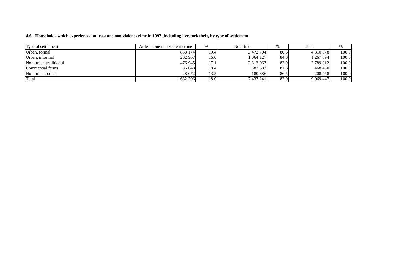#### 4.6 - Households which experienced at least one non-violent crime in 1997, including livestock theft, by type of settlement

| Type of settlement    | At least one non-violent crime | %     | No crime      |      | Total         |       |
|-----------------------|--------------------------------|-------|---------------|------|---------------|-------|
| Urban, formal         | 838 174                        | 19.4  | 3 472 704     | 80.6 | 4 3 1 0 8 7 8 | 100.0 |
| Urban, informal       | 202 967                        | 16.01 | 064127        | 84.0 | 1 267 094     | 100.0 |
| Non-urban traditional | 476 945                        | 17.1  | 2 3 1 2 0 6 7 | 82.9 | 2 789 012     | 100.0 |
| Commercial farms      | 86 048                         | 18.4  | 382 382       | 81.6 | 468 430       | 100.0 |
| Non-urban, other      | 28 072                         | 13.5  | 180 386       | 86.5 | 208 458       | 100.0 |
| Total                 | 632 206                        | 18.0  | 7 437 241     | 82.0 | 9 0 69 4 47   | 100.0 |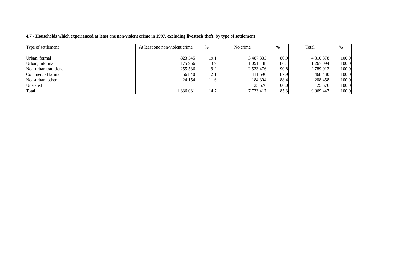| 4.7 - Households which experienced at least one non-violent crime in 1997, excluding livestock theft, by type of settlement |  |  |  |
|-----------------------------------------------------------------------------------------------------------------------------|--|--|--|
|-----------------------------------------------------------------------------------------------------------------------------|--|--|--|

| Type of settlement    | At least one non-violent crime | %    | No crime<br>% |       | Total         | %     |
|-----------------------|--------------------------------|------|---------------|-------|---------------|-------|
|                       |                                |      |               |       |               |       |
| Urban, formal         | 823 545                        | 19.1 | 3 487 333     | 80.9  | 4 3 1 0 8 7 8 | 100.0 |
| Urban, informal       | 175 956                        | 13.9 | 1 091 138     | 86.1  | 1 267 094     | 100.0 |
| Non-urban traditional | 255 536                        | 9.2  | 2 533 476     | 90.8  | 2 789 012     | 100.0 |
| Commercial farms      | 56 840                         | 12.1 | 411 590       | 87.9  | 468 430       | 100.0 |
| Non-urban, other      | 24 154                         | 11.6 | 184 304       | 88.4  | 208 458       | 100.0 |
| Unstated              |                                |      | 25 5 7 6      | 100.0 | 25 5 7 6      | 100.0 |
| Total                 | 336 031                        | 14.7 | 7733417       | 85.3  | 9 0 69 4 47   | 100.0 |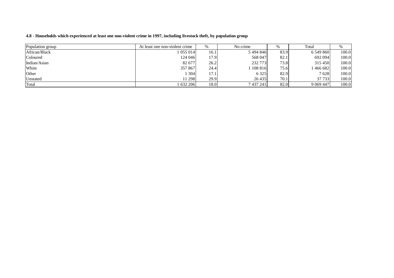## 4.8 - Households which experienced at least one non-violent crime in 1997, including livestock theft, by population group

| Population group | At least one non-violent crime | No crime<br>$\%$ |           |      | Total       |       |
|------------------|--------------------------------|------------------|-----------|------|-------------|-------|
| African/Black    | 1055014                        | 16.1             | 5494846   | 83.9 | 6 549 860   | 100.0 |
| Coloured         | 124 046                        | 17.9             | 568 047   | 82.1 | 692 094     | 100.0 |
| Indian/Asian     | 82 677                         | 26.2             | 232 773   | 73.8 | 315 450     | 100.0 |
| White            | 357 867                        | 24.4             | 108 816   | 75.6 | 466 682     | 100.0 |
| Other            | 304                            | 17.1             | 6 3 2 5   | 82.9 | 7628        | 100.0 |
| <b>Unstated</b>  | 11 298                         | 29.9             | 26 4 35   | 70.1 | 37 733      | 100.0 |
| Total            | 1632206                        | 18.0             | 7 437 241 | 82.0 | 9 0 69 4 47 | 100.0 |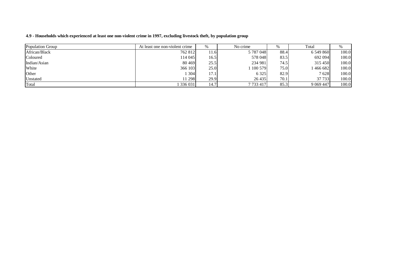## 4.9 - Households which experienced at least one non-violent crime in 1997, excluding livestock theft, by population group

| Population Group | At least one non-violent crime | $\%$ | No crime  |       | Total       |       |
|------------------|--------------------------------|------|-----------|-------|-------------|-------|
| African/Black    | 762 812                        | 11.6 | 5 787 048 | 88.4  | 6 549 860   | 100.0 |
| Coloured         | 114 045                        | 16.5 | 578 048   | 83.5  | 692 094     | 100.0 |
| Indian/Asian     | 80 4 69                        | 25.5 | 234 981   | 74.5  | 315450      | 100.0 |
| White            | 366 103                        | 25.0 | 100 579   | 75.01 | 466 682     | 100.0 |
| Other            | 304                            | 17.1 | 6 3 2 5   | 82.9  | 7628        | 100.0 |
| Unstated         | 11 298                         | 29.9 | 26 4 35   | 70.1  | 37 733      | 100.0 |
| Total            | 336 031                        | 14.7 | 7733417   | 85.3  | 9 0 69 4 47 | 100.0 |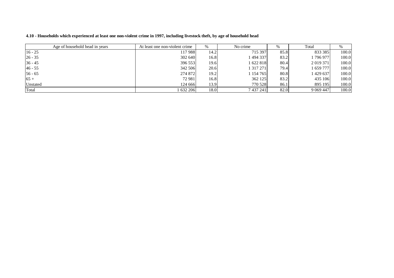| Age of household head in years | At least one non-violent crime | $\%$ | No crime  |      | Total<br>$\%$ |       |
|--------------------------------|--------------------------------|------|-----------|------|---------------|-------|
| $16 - 25$                      | 117 988                        | 14.2 | 715 397   | 85.8 | 833 385       | 100.0 |
| $26 - 35$                      | 302 640                        | 16.8 | 494 337   | 83.2 | 796 977       | 100.0 |
| $36 - 45$                      | 396 553                        | 19.6 | 622818    | 80.4 | 2 0 19 3 7 1  | 100.0 |
| $46 - 55$                      | 342 506                        | 20.6 | 317271    | 79.4 | 1 659 777     | 100.0 |
| $56 - 65$                      | 274 872                        | 19.2 | 154 765   | 80.8 | 1 429 637     | 100.0 |
| $65 +$                         | 72 981                         | 16.8 | 362 125   | 83.2 | 435 106       | 100.0 |
| Unstated                       | 124 666                        | 13.9 | 770 528   | 86.1 | 895 195       | 100.0 |
| Total                          | 632 206                        | 18.0 | 7 437 241 | 82.0 | 9 0 69 4 47   | 100.0 |

4.10 - Households which experienced at least one non-violent crime in 1997, including livestock theft, by age of household head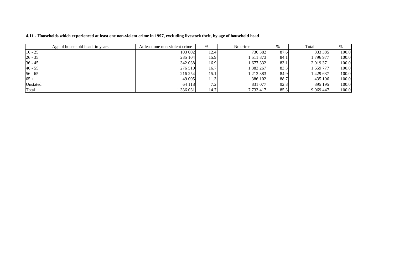| Age of household head in years | At least one non-violent crime | No crime<br>$\%$ |             | $\frac{0}{0}$ | Total        |       |
|--------------------------------|--------------------------------|------------------|-------------|---------------|--------------|-------|
| $16 - 25$                      | 103 002                        | 12.4             | 730 382     | 87.6          | 833 385      | 100.0 |
| $26 - 35$                      | 285 104                        | 15.9             | 511 873     | 84.1          | 1 796 977    | 100.0 |
| $36 - 45$                      | 342 038                        | 16.9             | 677 332     | 83.1          | 2 0 19 3 7 1 | 100.0 |
| $46 - 55$                      | 276 510                        | 16.7             | 383 267     | 83.3          | 1 659 777    | 100.0 |
| $56 - 65$                      | 216 254                        | 15.1             | 1 213 383   | 84.9          | 1 429 637    | 100.0 |
| $65+$                          | 49 005                         | 11.3             | 386 102     | 88.7          | 435 106      | 100.0 |
| Unstated                       | 64 118                         | 7.2 <sub>1</sub> | 831 077     | 92.8          | 895 195      | 100.0 |
| Total                          | 336 031                        | 14.7             | 7 7 3 4 1 7 | 85.3          | 9 0 69 4 47  | 100.0 |

4.11 - Households which experienced at least one non-violent crime in 1997, excluding livestock theft, by age of household head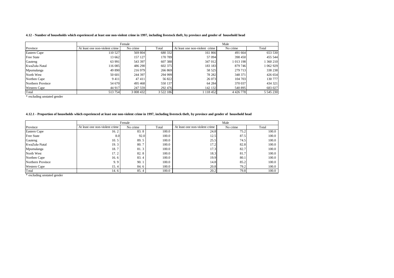#### 4.12 - Number of households which experienced at least one non-violent crime in 1997, including livestock theft, by province and gender of household head

|                   | Female                         |           |               |                                |               |           |
|-------------------|--------------------------------|-----------|---------------|--------------------------------|---------------|-----------|
| Province          | At least one non-violent crime | No crime  | Total         | At least one non-violent crime | No crime      | Total     |
| Eastern Cape      | 110 527                        | 569 804   | 680 332       | 161 866                        | 491 664       | 653 530   |
| <b>Free State</b> | 13 662                         | 157 127   | 170 789       | 57 094                         | 398 450       | 455 544   |
| Gauteng           | 63 991                         | 543 397   | 607 388       | 347 012                        | 1013 198      | 360 210   |
| KwaZulu-Natal     | 116 085                        | 486 290   | 602 375       | 183 183                        | 879 746       | 062929    |
| Mpumalanga        | 49 890                         | 216 979   | 266 869       | 58 525                         | 279 713       | 338 238   |
| North West        | 50 601                         | 244 397   | 294 999       | 78 28 2                        | 348 371       | 426 654   |
| Northen Cape      | 9411                           | 47411     | 56 822        | 26 073                         | 104 703       | 130 777   |
| Northern Province | 54 670                         | 495 468   | 550 137       | 64 284                         | 370 037       | 434 321   |
| Western Cape      | 44 917                         | 247 559   | 292 476       | 142 132                        | 540 895       | 683 027   |
| Total             | 513754                         | 3 008 432 | 3 5 2 2 1 8 6 | 1 118 452                      | 4 4 2 6 7 7 8 | 5 545 230 |

\* excluding unstated gender

#### 4.12.1 - Proportion of households which experienced at least one non-violent crime in 1997, including livestock theft, by province and gender of household head

|                     |                                | Female   |       |                                | Male     |       |
|---------------------|--------------------------------|----------|-------|--------------------------------|----------|-------|
| Province            | At least one non-violent crime | No crime | Total | At least one non-violent crime | No crime | Total |
| Eastern Cape        | 16.2                           | 83.8     | 100.0 | 24.8                           | 75.2     | 100.0 |
| <b>Free State</b>   | 8.0                            | 92.0     | 100.0 | 12.5                           | 87.5     | 100.0 |
| Gauteng             | 10.5                           | 89.5     | 100.0 | 25.5                           | 74.5     | 100.0 |
| KwaZulu-Natal       | 19.3                           | 80.7     | 100.0 | 17.2                           | 82.8     | 100.0 |
| Mpumalanga          | 18.7                           | 81.3     | 100.0 | 17.3                           | 82.7     | 100.0 |
| North West          | 17.2                           | 82.8     | 100.0 | 18.3                           | 81.7     | 100.0 |
| Northen Cape        | 16.6                           | 83.4     | 100.0 | 19.9                           | 80.1     | 100.0 |
| Northern Province   | 9.9                            | 90.1     | 100.0 | 14.8                           | 85.2     | 100.0 |
| <b>Western Cape</b> | 15.4                           | 84.6     | 100.0 | 20.8                           | 79.2     | 100.0 |
| Total               | 14.6                           | 85.4     | 100.0 | 20.2                           | 79.8     | 100.0 |

\* excluding unstated gender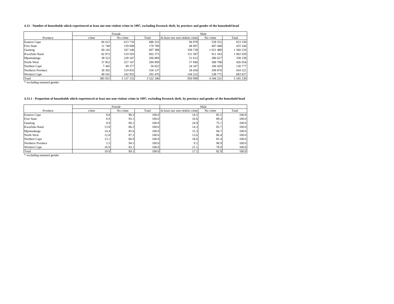#### 4.13 - Number of households which experienced at least one non-violent crime in 1997, excluding livestock theft, by province and gender of the household head

|                   |         | Female    |               |                                | Male          |           |
|-------------------|---------|-----------|---------------|--------------------------------|---------------|-----------|
| Province          | crime   | No crime  | Total         | At least one non-violent crime | No crime      | Total     |
| Eastern Cape      | 66 615  | 613 716   | 680 332       | 94 978                         | 558 552       | 653 530   |
| Free State        | 11 740  | 159 049   | 170 789       | 48 097                         | 407 448       | 455 544   |
| Gauteng           | 60 142  | 547 246   | 607 388       | 338 730                        | 1 021 480     | 1 360 210 |
| KwaZulu-Natal     | 82 872  | 519 503   | 602 375       | 151 587                        | 911 343       | 1 062 929 |
| Mpumalanga        | 38 522  | 228 347   | 266 869       | 51 612                         | 286 627       | 338 238   |
| North West        | 37 852  | 257 147   | 294 999       | 57 946                         | 368 708       | 426 654   |
| Northen Cape      | 7445    | 49 377    | 56 822        | 24 347                         | 106 429       | 130 777   |
| Northern Province | 30 302  | 519835    | 550 137       | 39 450                         | 394 870       | 434 321   |
| Western Cape      | 49 541  | 242 935   | 292 476       | 144 252                        | 538 775       | 683 027   |
| Total             | 385 031 | 3 137 155 | 3 5 2 2 1 8 6 | 950 999                        | 4 5 9 4 2 3 1 | 5 545 230 |

\* excluding unstated gender

#### 4.13.1 - Proportion of households which experienced at least one non-violent crime in 1997, excluding livestock theft, by province and gender of the household head

|                     |       | Female   |       |                                | Male     |       |
|---------------------|-------|----------|-------|--------------------------------|----------|-------|
| Province            | crime | No crime | Total | At least one non-violent crime | No crime | Total |
| Eastern Cape        | 9.8   | 90.2     | 100.0 | 14.5                           | 85.5     | 100.0 |
| Free State          | 6.9   | 93.1     | 100.0 | 10.6                           | 89.4     | 100.0 |
| Gauteng             | 9.9   | 90.1     | 100.0 | 24.9                           | 75.1     | 100.0 |
| KwaZulu-Natal       | 13.8  | 86.2     | 100.0 | 14.3                           | 85.7     | 100.0 |
| Mpumalanga          | 14.4  | 85.6     | 100.0 | 15.3                           | 84.7     | 100.0 |
| North West          | 12.8  | 87.2     | 100.0 | 13.6                           | 86.4     | 100.0 |
| Northen Cape        | 13.1  | 86.9     | 100.0 | 18.6                           | 81.4     | 100.0 |
| Northern Province   | 5.5   | 94.5     | 100.0 | 9.1                            | 90.9     | 100.0 |
| <b>Western Cape</b> | 16.9  | 83.1     | 100.0 | 21.1                           | 78.9     | 100.0 |
| Total               | 10.9  | 89.1     | 100.0 | 17.1                           | 82.9     | 100.0 |

\* excluding unstated gender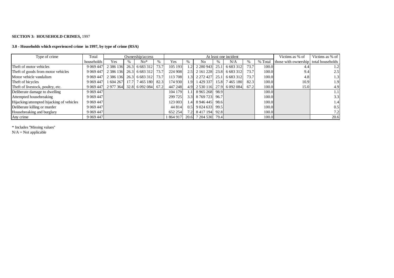#### **SECTION 3: HOUSEHOLD CRIMES,** 1997

#### **3.0 - Households which experienced crime in 1997, by type of crime (RSA)**

| Type of crime                             | Total       |                                                 | Ownership/access         |      |         |                  |                        | At least one incident        |      |         | Victims as % of                       | Victims as % of  |
|-------------------------------------------|-------------|-------------------------------------------------|--------------------------|------|---------|------------------|------------------------|------------------------------|------|---------|---------------------------------------|------------------|
|                                           | households  | Yes                                             | $No*$                    | $\%$ | Yes.    |                  | No.                    | N/A                          | %    | % Total | those with ownership total households |                  |
| Theft of motor vehicles                   | 9 0 69 4 47 |                                                 | 2 386 136 26.3 6 683 312 | 73.7 | 105 193 |                  | 2 2 2 3 0 9 4 3 2 5 .1 | 6 683 312                    | 73.7 | 100.0   | 4.4                                   | 1.2 <sup>1</sup> |
| Theft of goods from motor vehicles        | 9 0 69 4 47 | 2 386 136 26.3 6 683 312                        |                          | 73.7 | 224 908 |                  | 2.5 2 161 228 23.8     | 6 6 8 3 3 1 2                | 73.7 | 100.0   | 9.4                                   | 2.5              |
| Motor vehicle vandalism                   | 9 0 69 4 47 | 2 386 136 26.3 6 683 312                        |                          | 73.7 | 113 708 | 1.3 <sup>1</sup> | 2 2 2 2 4 2 7 2 5 .1   | 6 683 312                    | 73.7 | 100.0   | 4.8                                   | 1.3              |
| Theft of bicycles                         | 9 0 69 4 47 | 1 604 267                                       | 17.7 7 465 180           | 82.3 | 174 930 | 1.91             |                        | 1 429 337 15.8 7 465 180     | 82.3 | 100.0   | 10.9                                  | 1.9              |
| Theft of livestock, poultry, etc.         |             | 9 069 447   2 977 364   32.8   6 092 084   67.2 |                          |      | 447 248 |                  |                        | 4.9 2 530 116 27.9 6 092 084 | 67.2 | 100.0   | 15.0                                  | 4.9              |
| Deliberate damage to dwelling             | 9 0 69 4 47 |                                                 |                          |      | 104 179 |                  | 8965268 98.9           |                              |      | 100.0   |                                       | 1.1              |
| Attempted housebreaking                   | 9 0 69 4 47 |                                                 |                          |      | 299 725 | 3.31             | 8 769 723 96.7         |                              |      | 100.0   |                                       | 3.3              |
| Hijacking/attempted hijacking of vehicles | 9 0 69 4 47 |                                                 |                          |      | 123 003 | 1.4 <sup>1</sup> | 8 946 445 98.6         |                              |      | 100.0   |                                       | 1.4              |
| Deliberate killing or murder              | 9 0 69 4 47 |                                                 |                          |      | 44 814  | 0.5              | 9 0 24 6 33 99.5       |                              |      | 100.0   |                                       | 0.5              |
| Housebreaking and burglary                | 9 0 69 4 47 |                                                 |                          |      | 652 254 |                  | 7.2 8 417 194 92.8     |                              |      | 100.0   |                                       | 7.2 <sub>1</sub> |
| Any crime                                 | 9 0 69 4 47 |                                                 |                          |      | 864 917 | 20.6             | 7 204 530 79.4         |                              |      | 100.0   |                                       | 20.6             |

\* Includes ''Missing values''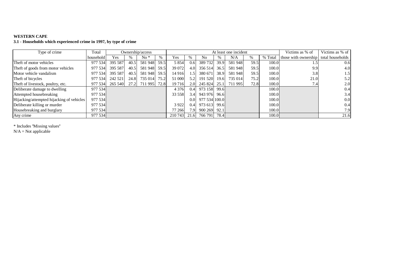#### **WESTERN CAPE**

**3.1 - Households which experienced crime in 1997, by type of crime**

| Type of crime                             | Total     |         |      | Ownership/access  |      |         |              |                |                   | At least one incident |      |         | Victims as % of      | Victims as % of  |
|-------------------------------------------|-----------|---------|------|-------------------|------|---------|--------------|----------------|-------------------|-----------------------|------|---------|----------------------|------------------|
|                                           | household | Yes     | $\%$ | $No*$             |      | Yes     |              | N <sub>0</sub> |                   | N/A                   | %    | % Total | those with ownership | total households |
| Theft of motor vehicles                   | 977 534   | 395 587 | 40.5 | 581948            | 59.5 | 5 8 5 4 | 0.6          | 389 732        | 39.9              | 581 948               | 59.5 | 100.0   |                      | 0.6              |
| Theft of goods from motor vehicles        | 977 534   | 395 587 | 40.5 | 581 948 59.5      |      | 39 072  | 4.0          | 356 514        | 36.5              | 581 948               | 59.5 | 100.0   | 9.9                  | 4.0              |
| Motor vehicle vandalism                   | 977 534   | 395 587 | 40.5 | 581948 59.5       |      | 14 916  | $.5^{\circ}$ | 380 671        | 38.9              | 581948                | 59.5 | 100.0   | 3.8                  | $1.5^{\circ}$    |
| Theft of bicycles                         | 977 534   | 242 521 | 24.8 | 735 014 75.2      |      | 51 000  | 5.2          | 191 520        | 19.6              | 735 014               | 75.2 | 100.0   | 21.0                 | 5.2              |
| Theft of livestock, poultry, etc.         | 977 534   | 265 540 |      | 27.2 711 995 72.8 |      | 19716   | 2.0          | 245 824        | 25.1 <sup> </sup> | 711 995               | 72.8 | 100.0   | 7.4                  | 2.0              |
| Deliberate damage to dwelling             | 977 534   |         |      |                   |      | 4 3 7 6 | 0.4          | 973 158        | 99.6              |                       |      | 100.0   |                      | 0.4              |
| Attempted housebreaking                   | 977 534   |         |      |                   |      | 33 558  | 3.4          | 943 976        | 96.6              |                       |      | 100.0   |                      | 3.4              |
| Hijacking/attempted hijacking of vehicles | 977 534   |         |      |                   |      |         | 0.0          | 977 534 100.0  |                   |                       |      | 100.0   |                      | 0.0              |
| Deliberate killing or murder              | 977 534   |         |      |                   |      | 3922    | 0.4          | 973 613        | 99.61             |                       |      | 100.0   |                      | 0.4              |
| Housebreaking and burglary                | 977 534   |         |      |                   |      | 77 266  | 7.91         | 900 269        | 92.1              |                       |      | 100.0   |                      | 7.91             |
| Any crime                                 | 977 534   |         |      |                   |      | 210 743 | 21.6         | 766 791        | 78.4              |                       |      | 100.0   |                      | 21.6             |

\* Includes ''Missing values''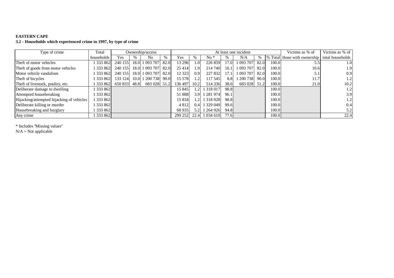### **EASTERN CAPE**

**3.2 - Households which experienced crime in 1997, by type of crime**

| Type of crime                             | Total      |              | Ownership/access    |      |         |                  |               |      | At least one incident |      |       | Victims as % of                               | Victims as % of  |
|-------------------------------------------|------------|--------------|---------------------|------|---------|------------------|---------------|------|-----------------------|------|-------|-----------------------------------------------|------------------|
|                                           | households | Yes          | No                  | $\%$ | Yes     |                  | $No*$         |      | N/A                   | $\%$ |       | % Total those with ownership total households |                  |
| Theft of motor vehicles                   | 333 862    | 240 155      | 18.0 1 093 707      | 82.0 | 13 296  | 1.0 <sub>l</sub> | 226 859       | 17.0 | 1 093 707             | 82.0 | 100.0 | 5.5                                           | 1.0              |
| Theft of goods from motor vehicles        | 333 862    | 240 155      | 18.0 1 093 707      | 82.0 | 25 4 14 | 1.9              | 214 740       | 16.1 | 1 093 707             | 82.0 | 100.0 | 10.6                                          | 1.9              |
| Motor vehicle vandalism                   | 333 862    | 240 155      | 18.0 1 093 707      | 82.0 | 12 3 23 | 0.9              | 227 832       | 17.1 | 1 093 707             | 82.0 | 100.0 | 5.1                                           | 0.9              |
| Theft of bicycles                         | 1333862    | 133 124      | 10.0 1 200 738 90.0 |      | 15 5 78 | 1.2              | 117 545       | 8.8  | 1 200 738             | 90.0 | 100.0 | 11.7                                          | 1.2              |
| Theft of livestock, poultry, etc.         | 333 862    | 650 833 48.8 | 683 028 51.2        |      | 136 497 | 10.2             | 514 336       | 38.6 | 683 028 51.2          |      | 100.0 | 21.0                                          | 10.2             |
| Deliberate damage to dwelling             | 333 862    |              |                     |      | 15 845  | 1.2 <sub>l</sub> | 1 3 1 8 0 1 7 | 98.8 |                       |      | 100.0 |                                               | 1.2              |
| Attempted housebreaking                   | 333 862    |              |                     |      | 51888   |                  | 3.9 1 281 974 | 96.1 |                       |      | 100.0 |                                               | 3.9              |
| Hijacking/attempted hijacking of vehicles | 333 862    |              |                     |      | 15 8 34 | 1.2 <sub>l</sub> | 1 3 1 8 0 2 8 | 98.8 |                       |      | 100.0 |                                               | 1.2 <sub>l</sub> |
| Deliberate killing or murder              | 333 862    |              |                     |      | 4812    | 0.4 <sup>1</sup> | 1 329 049     | 99.6 |                       |      | 100.0 |                                               | 0.4              |
| Housebreaking and burglary                | 333 862    |              |                     |      | 68 9 35 | 5.2 <sub>1</sub> | 1 264 926     | 94.8 |                       |      | 100.0 |                                               | 5.2              |
| Any crime                                 | 333 862    |              |                     |      | 299 252 | 22.4             | 1 0 34 6 10   | 77.6 |                       |      | 100.0 |                                               | 22.4             |

\* Includes ''Missing values''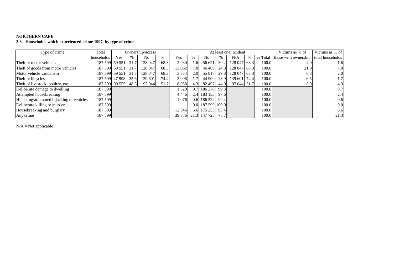### **NORTHERN CAPE**

**3.3 - Households which experienced crime 1997, by type of crime**

| Type of crime                             | Total          |                |      | Ownership/access |      |         |                  |                   |      | At least one incident |      |       | Victims as % of                                   | Victims as % of |
|-------------------------------------------|----------------|----------------|------|------------------|------|---------|------------------|-------------------|------|-----------------------|------|-------|---------------------------------------------------|-----------------|
|                                           | households     | <b>Yes</b>     | $\%$ | N <sub>0</sub>   | $\%$ | Yes     | $\%$             | N <sub>0</sub>    |      | N/A                   | $\%$ |       | % Total   those with ownership   total households |                 |
| Theft of motor vehicles                   | 187 599 59 551 |                | 31.7 | 128 047          | 68.3 | 2 9 3 0 | . 61             | 56 621            | 30.2 | 128 047               | 68.3 | 100.0 | 4.9                                               | 1.6             |
| Theft of goods from motor vehicles        | 187 599 59 551 |                | 31.7 | 128 047          | 68.3 | 13 062  | 7.0 <sub>l</sub> | 46489             | 24.8 | 128 047               | 68.3 | 100.0 | 21.9                                              | 7.0             |
| Motor vehicle vandalism                   | 187 599 59 551 |                | 31.7 | 128 047          | 68.3 | 3 7 3 4 | 2.0              | 55 817            | 29.8 | 128 047               | 68.3 | 100.0 | 6.3                                               | 2.0             |
| Theft of bicycles                         |                | 187 599 47 998 | 25.6 | 139 601          | 74.4 | 3 0 9 8 | .7 <sup>1</sup>  | 44 900            | 23.9 | 139 601               | 74.4 | 100.0 | 6.5                                               | 1.7             |
| Theft of livestock, poultry, etc.         |                | 187 599 90 555 | 48.3 | 97 044           | 51.7 | 8058    | 4.3 <sub>l</sub> | 82 497            | 44.0 | 97 044 51.7           |      | 100.0 | 8.9                                               | 4.3             |
| Deliberate damage to dwelling             | 187 599        |                |      |                  |      | 329     |                  | 186 270           | 99.3 |                       |      | 100.0 |                                                   | 0.7             |
| Attempted housebreaking                   | 187 599        |                |      |                  |      | 4 4 4 6 |                  | 2.4 183 153       | 97.6 |                       |      | 100.0 |                                                   | 2.4             |
| Hijacking/attempted hijacking of vehicles | 187 599        |                |      |                  |      | 076     | 0.6              | 186 522 99.4      |      |                       |      | 100.0 |                                                   | 0.6             |
| Deliberate killing or murder              | 187 599        |                |      |                  |      |         |                  | 0.0 187 599 100.0 |      |                       |      | 100.0 |                                                   | 0.0             |
| Housebreaking and burglary                | 187 599        |                |      |                  |      | 12 346  |                  | 6.6 175 253       | 93.4 |                       |      | 100.0 |                                                   | 6.6             |
| Any crime                                 | 187 599        |                |      |                  |      | 39 876  | 21.3             | 147 723           | 78.7 |                       |      | 100.0 |                                                   | 21.3            |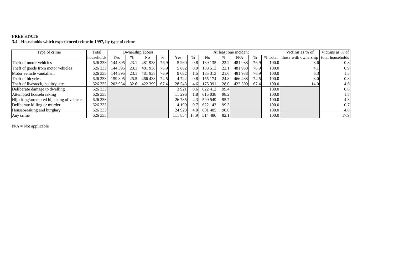# **FREE STATE 3.4 - Households which experienced crime in 1997, by type of crime**

| Type of crime                             | Total      |         |      | Ownership/access |      |         |                  |         |      | At least one incident |      |       | Victims as % of                                   | Victims as % of  |
|-------------------------------------------|------------|---------|------|------------------|------|---------|------------------|---------|------|-----------------------|------|-------|---------------------------------------------------|------------------|
|                                           | households | Yes     |      | No               | $\%$ | Yes     | $\%$             | No      |      | N/A                   | %    |       | % Total   those with ownership   total households |                  |
| Theft of motor vehicles                   | 626 333    | 144 395 | 23.1 | 481 938          | 76.9 | 5 2 6 0 | 0.8              | 139 135 | 22.2 | 481938                | 76.9 | 100.0 | 3.0                                               | 0.8              |
| Theft of goods from motor vehicles        | 626 333    | 144 395 | 23.1 | 481938           | 76.9 | 5 8 8 2 | 0.9              | 138 513 | 22.1 | 481938                | 76.9 | 100.0 | 4.1                                               | 0.9              |
| Motor vehicle vandalism                   | 626 333    | 144 395 | 23.1 | 481938           | 76.9 | 9 0 8 2 | 1.51             | 135 313 | 21.6 | 481 938               | 76.9 | 100.0 | 6.3                                               | 1.5 <sup>1</sup> |
| Theft of bicycles                         | 626 333    | 159 895 | 25.5 | 466438           | 74.5 | 4 7 2 2 | 0.8              | 155 174 | 24.8 | 466438                | 74.5 | 100.0 | 3.0                                               | 0.8              |
| Theft of livestock, poultry, etc.         | 626 333    | 203 934 |      | 32.6 422 399     | 67.4 | 28 5 43 | 4.6              | 175 391 | 28.0 | 422 399               | 67.4 | 100.0 | 14.0                                              | 4.6              |
| Deliberate damage to dwelling             | 626 333    |         |      |                  |      | 3 9 2 1 | 0.6              | 622 412 | 99.4 |                       |      | 100.0 |                                                   | 0.6              |
| Attempted housebreaking                   | 626 333    |         |      |                  |      | 11 29 6 | 1.8 <sup>1</sup> | 615 038 | 98.2 |                       |      | 100.0 |                                                   | 1.8              |
| Hijacking/attempted hijacking of vehicles | 626 333    |         |      |                  |      | 26 7 85 | 4.3 <sub>l</sub> | 599 549 | 95.7 |                       |      | 100.0 |                                                   | 4.3              |
| Deliberate killing or murder              | 626 333    |         |      |                  |      | 4 1 9 0 | 0.7              | 622 143 | 99.3 |                       |      | 100.0 |                                                   | 0.7              |
| Housebreaking and burglary                | 626 333    |         |      |                  |      | 24 9 28 | 4.0              | 601 405 | 96.0 |                       |      | 100.0 |                                                   | 4.0              |
| Any crime                                 | 626 333    |         |      |                  |      | 111 854 | 17.9             | 514 480 | 82.1 |                       |      | 100.0 |                                                   | 17.9             |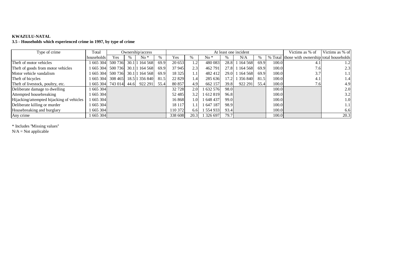### **KWAZULU-NATAL**

**3.5 - Households which experienced crime in 1997, by type of crime**

| Type of crime                             | Total      |         | Ownership/access       |      |         |                  |         |             | At least one incident |      |        | Victims as % of                               | Victims as % of  |
|-------------------------------------------|------------|---------|------------------------|------|---------|------------------|---------|-------------|-----------------------|------|--------|-----------------------------------------------|------------------|
|                                           | households | Yes     | $No*$                  |      | Yes     |                  | No *    |             | N/A                   | $\%$ |        | % Total those with ownership total households |                  |
| Theft of motor vehicles                   | 665 304    | 500 736 | 30.1 1 1 1 1 5 6 8     | 69.9 | 20 653  | 1.2              | 480 083 | 28.8        | 164 568               | 69.9 | 100.0  |                                               | 1.2              |
| Theft of goods from motor vehicles        | 665 304    |         | 500 736 30.1 1 164 568 | 69.9 | 37 945  | 2.3              | 462 791 | 27.8        | 164 568               | 69.9 | 100.0  | 7.6                                           | 2.3              |
| Motor vehicle vandalism                   | 665 304    | 500 736 | 30.1 1 1 1 1 5 6 8     | 69.9 | 18 3 25 | 1.1              | 482 412 | $29.0 \, 1$ | 164 568               | 69.9 | 100.0  | 3.7                                           | 1.1              |
| Theft of bicycles                         | 665 304    | 308 465 | 18.5 1 35 6 840        | 81.5 | 22 8 29 | 1.4              | 285 636 | 17.2        | 356 840               | 81.5 | 100.0  | 4.1                                           | 1.4              |
| Theft of livestock, poultry, etc.         | 665 304    |         | 743 014 44.6 922 291   | 55.4 | 80 857  | 4.9              | 662 157 | 39.8        | 922 291               | 55.4 | 100.0  | 7.6                                           | 4.9              |
| Deliberate damage to dwelling             | 665 304    |         |                        |      | 32 728  | 2.0              | 632 576 | 98.0        |                       |      | 100.0  |                                               | 2.0 <sub>l</sub> |
| Attempted housebreaking                   | 665304     |         |                        |      | 52 485  | 3.2 <sub>l</sub> | 612819  | 96.8        |                       |      | 100.0  |                                               | 3.2              |
| Hijacking/attempted hijacking of vehicles | 665 304    |         |                        |      | 16868   | 1.01             | 648 437 | 99.0        |                       |      | 100.0  |                                               | 1.0              |
| Deliberate killing or murder              | 665 304    |         |                        |      | 18 117  | $1.1^{\circ}$    | 647 187 | 98.9        |                       |      | 100.0  |                                               | 1.1              |
| Housebreaking and burglary                | 665 304    |         |                        |      | 110 372 | 6.6              | 554 933 | 93.4        |                       |      | 100.01 |                                               | 6.6              |
| Any crime                                 | 665 304    |         |                        |      | 338 608 | 20.3             | 326 697 | 79.7        |                       |      | 100.01 |                                               | 20.3             |

\* Includes ''Missing values''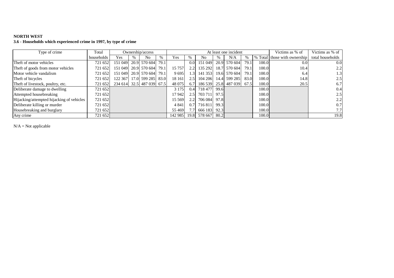## **NORTH WEST**

**3.6 - Households which experienced crime in 1997, by type of crime**

| Type of crime                             | Total      |         | Ownership/access          |      |         |                  |                                 | At least one incident |      |       | Victims as % of              | Victims as % of  |
|-------------------------------------------|------------|---------|---------------------------|------|---------|------------------|---------------------------------|-----------------------|------|-------|------------------------------|------------------|
|                                           | households | Yes     | N <sub>0</sub>            | $\%$ | Yes     | %                | N <sub>0</sub>                  | N/A                   | %    |       | % Total those with ownership | total households |
| Theft of motor vehicles                   | 721 652    | 151 049 | 20.9 570 604 79.1         |      |         | 0.0 <sub>l</sub> | 151 049                         | 20.9 570 604          | 79.1 | 100.0 | 0.0 <sub>l</sub>             | 0.0              |
| Theft of goods from motor vehicles        | 721 652    |         | 151 049 20.9 570 604      | 79.1 | 15 757  | 2.2              | 135 292                         | 18.7 570 604          | 79.1 | 100.0 | 10.4                         | 2.2              |
| Motor vehicle vandalism                   | 721 652    |         | 151 049 20.9 570 604      | 79.1 | 9695    | 1.3 <sub>l</sub> | 141 353                         | 19.6 570 604          | 79.1 | 100.0 | 6.4                          | 1.3              |
| Theft of bicycles                         | 721 652    |         | 122 367 17.0 599 285 83.0 |      | 18 16 1 | 2.5              |                                 | 104 206 14.4 599 285  | 83.0 | 100.0 | 14.8                         | 2.5              |
| Theft of livestock, poultry, etc.         | 721 652    |         | 234 614 32.5 487 039 67.5 |      | 48 075  | 6.7              |                                 | 186 539 25.8 487 039  | 67.5 | 100.0 | 20.5                         | 6.7              |
| Deliberate damage to dwelling             | 721 652    |         |                           |      | 3 1 7 5 |                  | $0.4$ 718 477 99.6              |                       |      | 100.0 |                              | 0.4              |
| Attempted housebreaking                   | 721 6521   |         |                           |      | 17 942  |                  | 2.5 703 711 97.5                |                       |      | 100.0 |                              | 2.5              |
| Hijacking/attempted hijacking of vehicles | 721 652    |         |                           |      | 15 5 69 |                  | 2.2 706 084 97.8                |                       |      | 100.0 |                              | 2.2              |
| Deliberate killing or murder              | 721 652    |         |                           |      | 4 8 4 1 |                  | 0.7 716 811 99.3                |                       |      | 100.0 |                              | 0.7              |
| Housebreaking and burglary                | 721 6521   |         |                           |      | 55 4 69 |                  | 7.7 666 183 92.3                |                       |      | 100.0 |                              | 7.7              |
| Any crime                                 | 721 652    |         |                           |      |         |                  | 142 985   19.8   578 667   80.2 |                       |      | 100.0 |                              | 19.8             |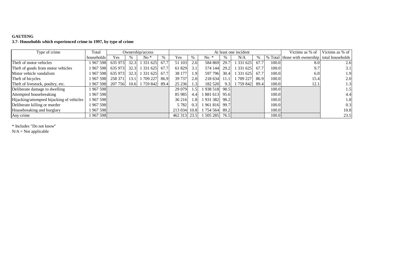# **GAUTENG 3.7- Households which experienced crime in 1997, by type of crime**

| Type of crime                             | Total      |         |      | Ownership/access |      |              |               |                |      | At least one incident |      |       | Victims as % of                                | Victims as % of  |
|-------------------------------------------|------------|---------|------|------------------|------|--------------|---------------|----------------|------|-----------------------|------|-------|------------------------------------------------|------------------|
|                                           | households | Yes     | %    | $No*$            | $\%$ | Yes          |               | No.            |      | N/A                   | %    |       | \% Total those with ownership total households |                  |
| Theft of motor vehicles                   | 1967598    | 635 973 | 32.3 | 1 331 625        | 67.7 | 51 103       | 2.6           | 584 869        | 29.7 | 1 331 625             | 67.7 | 100.0 | 8.0                                            | 2.6              |
| Theft of goods from motor vehicles        | 1 967 598  | 635 973 | 32.3 | 1 3 3 1 6 2 5    | 67.7 | 61 829       | 3.1           | 574 144        | 29.2 | 1 331 625             | 67.7 | 100.0 | 9.7                                            | 3.1              |
| Motor vehicle vandalism                   | 1 967 598  | 635 973 | 32.3 | 1 3 3 1 6 2 5    | 67.7 | 38 177       | 1.91          | 597 796        | 30.4 | 1 331 625             | 67.7 | 100.0 | 6.0                                            | 1.9 <sup>1</sup> |
| Theft of bicycles                         | 967 598    | 258 371 | 13.1 | 709 227          | 86.9 | 39 737       | 2.0           | 218 634        | 11.1 | 709 227               | 86.9 | 100.0 | 15.4                                           | 2.0 <sub>l</sub> |
| Theft of livestock, poultry, etc.         | 1 967 5981 | 207 756 | 10.6 | 1 759 842        | 89.4 | 25 23 6      | 1.31          | 182 520        | 9.3  | 759 842               | 89.4 | 100.0 | 12.1                                           | 1.3              |
| Deliberate damage to dwelling             | 1 967 598  |         |      |                  |      | 29 079       | $\mathbf{.5}$ | 938 518        | 98.5 |                       |      | 100.0 |                                                | 1.5              |
| Attempted housebreaking                   | 1967598    |         |      |                  |      | 85 985       | 4.4           | 881 613        | 95.6 |                       |      | 100.0 |                                                | 4.4              |
| Hijacking/attempted hijacking of vehicles | 967 598    |         |      |                  |      | 36 216       | l.8           | 1 931 382      | 98.2 |                       |      | 100.0 |                                                | 1.8              |
| Deliberate killing or murder              | 1967598    |         |      |                  |      | 5 7 8 2      | 0.3           | 961 816        | 99.7 |                       |      | 100.0 |                                                | 0.3              |
| Housebreaking and burglary                | 967 598    |         |      |                  |      | 213 034 10.8 |               | 1 754 564 89.2 |      |                       |      | 100.0 |                                                | 10.8             |
| Any crime                                 | 1 967 598  |         |      |                  |      | 462 313 23.5 |               | 505 285        | 76.5 |                       |      | 100.0 |                                                | 23.5             |

\* Includes "Do not know''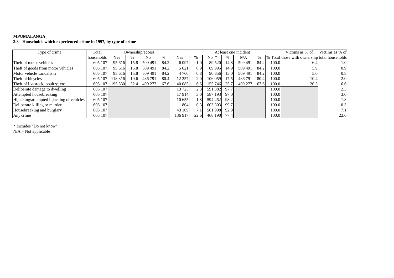# **MPUMALANGA**

**3.8 - Households which experienced crime in 1997, by type of crime**

| Type of crime                             | Total      |         |      | Ownership/access |      |         |      |         |      | At least one incident |      |       | Victims as % of                               | Victims as % of  |
|-------------------------------------------|------------|---------|------|------------------|------|---------|------|---------|------|-----------------------|------|-------|-----------------------------------------------|------------------|
|                                           | households | Yes     | $\%$ | No               |      | Yes     | %    | No.     | %    | N/A                   |      |       | % Total those with ownership total households |                  |
| Theft of motor vehicles                   | 605 107    | 95 616  | 15.8 | 509 491          | 84.2 | 6 0 9 7 | 1.0  | 89 5 20 | 14.8 | 509 491               | 84.2 | 100.0 | 6.4                                           | 1.0 <sub>l</sub> |
| Theft of goods from motor vehicles        | 605 107    | 95 616  | 15.8 | 509 491          | 84.2 | 5 6 21  | 0.9  | 89 995  | 14.9 | 509 491               | 84.2 | 100.0 | 5.9                                           | 0.9              |
| Motor vehicle vandalism                   | 605 107    | 95 616  | 15.8 | 509 491          | 84.2 | 4 7 6 0 | 0.8  | 90 856  | 15.0 | 509 491               | 84.2 | 100.0 | 5.0                                           | 0.8              |
| Theft of bicycles                         | 605 107    | 118 316 | 19.6 | 486 791          | 80.4 | 12 257  | 2.0  | 106 059 | 17.5 | 486 791               | 80.4 | 100.0 | 10.4                                          | 2.0              |
| Theft of livestock, poultry, etc.         | 605 107    | 195 830 | 32.4 | 409 277          | 67.6 | 40 0 85 | 6.6  | 155 746 | 25.7 | 409 277               | 67.6 | 100.0 | 20.5                                          | 6.6              |
| Deliberate damage to dwelling             | 605 107    |         |      |                  |      | 13725   | 2.3  | 591 382 | 97.7 |                       |      | 100.0 |                                               | 2.3              |
| Attempted housebreaking                   | 605 107    |         |      |                  |      | 17914   | 3.0  | 587 193 | 97.0 |                       |      | 100.0 |                                               | 3.0              |
| Hijacking/attempted hijacking of vehicles | 605 107    |         |      |                  |      | 10 655  | 1.8  | 594 452 | 98.2 |                       |      | 100.0 |                                               | 1.8              |
| Deliberate killing or murder              | 605 107    |         |      |                  |      | 804     | 0.3  | 603 303 | 99.7 |                       |      | 100.0 |                                               | 0.3              |
| Housebreaking and burglary                | 605 107    |         |      |                  |      | 43 109  |      | 561 998 | 92.9 |                       |      | 100.0 |                                               |                  |
| Any crime                                 | 605 107    |         |      |                  |      | 136 917 | 22.6 | 468 190 | 77.4 |                       |      | 100.0 |                                               | 22.6             |

\* Includes "Do not know''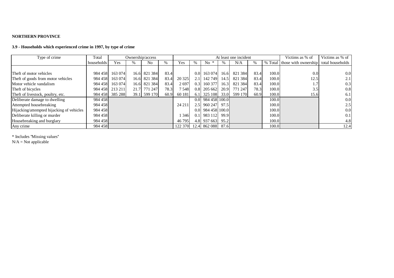### **NORTHERN PROVINCE**

## **3.9 - Households which experienced crime in 1997, by type of crime**

| Type of crime                             | Total      | Ownership/access |   |                |      |         |                  |                           | At least one incident |         | Victims as % of | Victims as % of |                                               |      |
|-------------------------------------------|------------|------------------|---|----------------|------|---------|------------------|---------------------------|-----------------------|---------|-----------------|-----------------|-----------------------------------------------|------|
|                                           | households | Yes              | % | N <sub>0</sub> | %    | Yes     | $\%$             | $No *$                    |                       | N/A     | $\frac{0}{0}$   |                 | % Total those with ownership total households |      |
|                                           |            |                  |   |                |      |         |                  |                           |                       |         |                 |                 |                                               |      |
| Theft of motor vehicles                   | 984 458    | 163 074          |   | 16.6 821 384   | 83.4 |         | 0.0              | 163 074                   | 16.6                  | 821 384 | 83.4            | 100.0           | 0.0 <sub>l</sub>                              | 0.0  |
| Theft of goods from motor vehicles        | 984 458    | 163 074          |   | 16.6 821 384   | 83.4 | 20 3 25 | 2.1              | 142 749                   | 14.5                  | 821 384 | 83.4            | 100.0           | 12.5                                          | 2.1  |
| Motor vehicle vandalism                   | 984 458    | 163 074          |   | 16.6 821 384   | 83.4 | 2697    | 0.3 <sup>1</sup> | 160 377                   | 16.3                  | 821 384 | 83.4            | 100.0           | 1.7                                           | 0.3  |
| Theft of bicycles                         | 984 458    | 213 211          |   | 21.7 771 247   | 78.3 | 7 5 4 8 |                  | $0.8$ 205 662 20.9        |                       | 771 247 | 78.3            | 100.0           | 3.51                                          | 0.8  |
| Theft of livestock, poultry, etc.         | 984 458    | 385 288          |   | 39.1 599 170   | 60.9 | 60 181  | 6.1 <sup>1</sup> | 325 108 33.0              |                       | 599 170 | 60.9            | 100.0           | 15.6                                          | 6.1  |
| Deliberate damage to dwelling             | 984 458    |                  |   |                |      |         |                  | $0.0$ 984 458 100.0       |                       |         |                 | 100.0           |                                               | 0.0  |
| Attempted housebreaking                   | 984 458    |                  |   |                |      | 24 211  |                  | 2.5 960 247 97.5          |                       |         |                 | 100.01          |                                               | 2.5  |
| Hijacking/attempted hijacking of vehicles | 984 458    |                  |   |                |      |         |                  | $0.0$ 984 458 100.0       |                       |         |                 | 100.01          |                                               | 0.0  |
| Deliberate killing or murder              | 984 458    |                  |   |                |      | 346     |                  | $0.1$   983 112  99.9     |                       |         |                 | 100.0           |                                               | 0.1  |
| Housebreaking and burglary                | 984 458    |                  |   |                |      | 46 795  |                  | 4.8 937 663 95.2          |                       |         |                 | 100.01          |                                               | 4.8  |
| Any crime                                 | 984 458    |                  |   |                |      |         |                  | 122 370 12.4 862 088 87.6 |                       |         |                 | 100.0           |                                               | 12.4 |

\* Includes ''Missing values''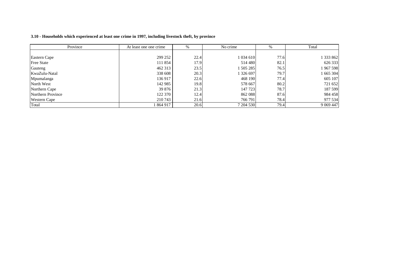#### 3.10 - Households which experienced at least one crime in 1997, including livestock theft, by province

| Province            | At least one one crime | %    | No crime  | %    | Total       |
|---------------------|------------------------|------|-----------|------|-------------|
|                     |                        |      |           |      |             |
| Eastern Cape        | 299 252                | 22.4 | 1 034 610 | 77.6 | 1 333 862   |
| <b>Free State</b>   | 111 854                | 17.9 | 514 480   | 82.1 | 626 333     |
| Gauteng             | 462 313                | 23.5 | 505 285   | 76.5 | 1 967 598   |
| KwaZulu-Natal       | 338 608                | 20.3 | 1 326 697 | 79.7 | 1 665 304   |
| Mpumalanga          | 136 917                | 22.6 | 468 190   | 77.4 | 605 107     |
| North West          | 142 985                | 19.8 | 578 667   | 80.2 | 721 652     |
| Northern Cape       | 39 876                 | 21.3 | 147 723   | 78.7 | 187 599     |
| Northern Province   | 122 370                | 12.4 | 862 088   | 87.6 | 984 458     |
| <b>Western Cape</b> | 210 743                | 21.6 | 766 791   | 78.4 | 977 534     |
| Total               | 1864917                | 20.6 | 7 204 530 | 79.4 | 9 0 69 4 47 |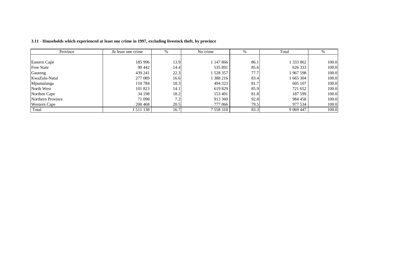| Province            | At least one crime | %    | No crime      | $\%$ | Total       | %     |
|---------------------|--------------------|------|---------------|------|-------------|-------|
|                     |                    |      |               |      |             |       |
| Eastern Cape        | 185 996            | 13.9 | 1 147 866     | 86.1 | 1 333 862   | 100.0 |
| <b>Free State</b>   | 90 442             | 14.4 | 535 891       | 85.6 | 626 333     | 100.0 |
| Gauteng             | 439 241            | 22.3 | 528 357       | 77.7 | 1967598     | 100.0 |
| KwaZulu-Natal       | 277 089            | 16.6 | 388 216       | 83.4 | 1 665 304   | 100.0 |
| Mpumalanga          | 110 784            | 18.3 | 494 323       | 81.7 | 605 107     | 100.0 |
| North West          | 101 823            | 14.1 | 619 829       | 85.9 | 721 652     | 100.0 |
| Northen Cape        | 34 198             | 18.2 | 153 401       | 81.8 | 187 599     | 100.0 |
| Northern Province   | 71 098             | 7.2  | 913 360       | 92.8 | 984 458     | 100.0 |
| <b>Western Cape</b> | 200 468            | 20.5 | 777 066       | 79.5 | 977 534     | 100.0 |
| Total               | 511 138            | 16.7 | 7 5 5 8 3 1 0 | 83.3 | 9 0 69 4 47 | 100.0 |

3.11 - Households which experienced at least one crime in 1997, excluding livestock theft, by province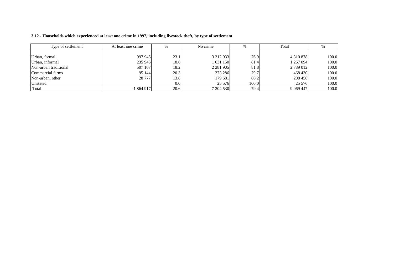| Type of settlement    | At least one crime | 70   | No crime      | 70    | Total         |       |
|-----------------------|--------------------|------|---------------|-------|---------------|-------|
|                       |                    |      |               |       |               |       |
| Urban, formal         | 997 945            | 23.1 | 3 3 1 2 9 3 3 | 76.9  | 4 3 1 0 8 7 8 | 100.0 |
| Urban, informal       | 235 945            | 18.6 | 1 031 150     | 81.4  | 267 094       | 100.0 |
| Non-urban traditional | 507 107            | 18.2 | 2 2 8 1 9 0 5 | 81.8  | 2 789 012     | 100.0 |
| Commercial farms      | 95 144             | 20.3 | 373 286       | 79.7  | 468 430       | 100.0 |
| Non-urban, other      | 28 777             | 13.8 | 179 681       | 86.2  | 208 458       | 100.0 |
| Unstated              |                    | 0.01 | 25 576        | 100.0 | 25 5 7 6      | 100.0 |
| Total                 | 864 917            | 20.6 | 7 204 530     | 79.4  | 9 0 69 4 47   | 100.0 |

#### 3.12 - Households which experienced at least one crime in 1997, including livestock theft, by type of settlement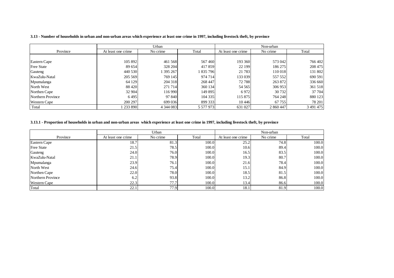#### 3.13 - Number of households in urban and non-urban areas which experience at least one crime in 1997, including livestock theft, by province

|                     |                    | Urban         |           |                    | Non-urban |           |
|---------------------|--------------------|---------------|-----------|--------------------|-----------|-----------|
| Province            | At least one crime | No crime      | Total     | At least one crime | No crime  | Total     |
|                     |                    |               |           |                    |           |           |
| Eastern Cape        | 105 892            | 461 568       | 567460    | 193 360            | 573 042   | 766 402   |
| <b>Free State</b>   | 89 654             | 328 204       | 417859    | 22 199             | 186 275   | 208 475   |
| Gauteng             | 440 530            | 395 267       | 1835796   | 21 783             | 110 018   | 131 802   |
| KwaZulu-Natal       | 205 569            | 769 145       | 974 714   | 133 039            | 557 552   | 690 591   |
| Mpumalanga          | 64 129             | 204 318       | 268 447   | 72 788             | 263 872   | 336 660   |
| North West          | 88 4 20            | 271 714       | 360 134   | 54 5 65            | 306 953   | 361 518   |
| Northen Cape        | 32 904             | 116 990       | 149 895   | 6972               | 30 732    | 37 704    |
| Northern Province   | 6495               | 97 840        | 104 335   | 115 875            | 764 248   | 880 123   |
| <b>Western Cape</b> | 200 297            | 699 036       | 899 333   | 10446              | 67 755    | 78 201    |
| Total               | 1 233 890          | 4 3 4 4 0 8 3 | 5 577 973 | 631 027            | 2 860 447 | 3 491 475 |

#### 3.13.1 - Proportion of households in urban and non-urban areas which experience at least one crime in 1997, including livestock theft, by province

|                     |                    | Urban    |       |                    | Non-urban |       |
|---------------------|--------------------|----------|-------|--------------------|-----------|-------|
| Province            | At least one crime | No crime | Total | At least one crime | No crime  | Total |
| Eastern Cape        | 18.7               | 81.3     | 100.0 | 25.2               | 74.8      | 100.0 |
| <b>Free State</b>   | 21.5               | 78.5     | 100.0 | 10.6               | 89.4      | 100.0 |
| Gauteng             | 24.0               | 76.0     | 100.0 | 16.5               | 83.5      | 100.0 |
| KwaZulu-Natal       | 21.1               | 78.9     | 100.0 | 19.3               | 80.7      | 100.0 |
| Mpumalanga          | 23.9               | 76.1     | 100.0 | 21.6               | 78.4      | 100.0 |
| North West          | 24.6               | 75.4     | 100.0 | 15.1               | 84.9      | 100.0 |
| Northen Cape        | 22.0               | 78.0     | 100.0 | 18.5               | 81.5      | 100.0 |
| Northern Province   | 6.2                | 93.8     | 100.0 | 13.2               | 86.8      | 100.0 |
| <b>Western Cape</b> | 22.3               | 77.7     | 100.0 | 13.4               | 86.6      | 100.0 |
| Total               | 22.1               | 77.9     | 100.0 | 18.1               | 81.9      | 100.0 |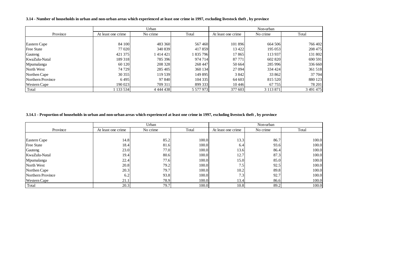#### 3.14 - Number of households in urban and non-urban areas which experienced at least one crime in 1997, excluding livestock theft , by province

|                     |                                | Urban         |           |                    | Non-urban     |           |
|---------------------|--------------------------------|---------------|-----------|--------------------|---------------|-----------|
| Province            | No crime<br>At least one crime |               | Total     | At least one crime | No crime      | Total     |
|                     |                                |               |           |                    |               |           |
| Eastern Cape        | 84 100                         | 483 360       | 567460    | 101 896            | 664 506       | 766 402   |
| <b>Free State</b>   | 77 020                         | 340 839       | 417859    | 13 4 22            | 195 053       | 208 475   |
| Gauteng             | 421 375                        | 414421        | 835 796   | 17865              | 113 937       | 131 802   |
| KwaZulu-Natal       | 189 318                        | 785 396       | 974 714   | 87 771             | 602 820       | 690 591   |
| Mpumalanga          | 60 1 20                        | 208 328       | 268 447   | 50 664             | 285 996       | 336 660   |
| North West          | 74 729                         | 285 405       | 360 134   | 27 094             | 334 424       | 361 518   |
| Northen Cape        | 30 355                         | 119 539       | 149 895   | 3842               | 33 862        | 37 704    |
| Northern Province   | 6495                           | 97 840        | 104 335   | 64 603             | 815 520       | 880 123   |
| <b>Western Cape</b> | 190 023                        | 709 311       | 899 333   | 10446              | 67 755        | 78 201    |
| Total               | 133 534                        | 4 4 4 4 4 3 8 | 5 577 973 | 377 603            | 3 1 1 3 8 7 1 | 3 491 475 |

#### 3.14.1 - Proportion of households in urban and non-urban areas which experienced at least one crime in 1997, excluding livestock theft , by province

|                     |                    | Urban    |       |                    | Non-urban |       |
|---------------------|--------------------|----------|-------|--------------------|-----------|-------|
| Province            | At least one crime | No crime | Total | At least one crime | No crime  | Total |
|                     |                    |          |       |                    |           |       |
| Eastern Cape        | 14.8               | 85.2     | 100.0 | 13.3               | 86.7      | 100.0 |
| <b>Free State</b>   | 18.4               | 81.6     | 100.0 | 6.4                | 93.6      | 100.0 |
| Gauteng             | 23.0               | 77.0     | 100.0 | 13.6               | 86.4      | 100.0 |
| KwaZulu-Natal       | 19.4               | 80.6     | 100.0 | 12.7               | 87.3      | 100.0 |
| Mpumalanga          | 22.4               | 77.6     | 100.0 | 15.0               | 85.0      | 100.0 |
| North West          | 20.8               | 79.2     | 100.0 | 7.5                | 92.5      | 100.0 |
| Northen Cape        | 20.3               | 79.7     | 100.0 | 10.2               | 89.8      | 100.0 |
| Northern Province   | 6.2                | 93.8     | 100.0 | 7.3                | 92.7      | 100.0 |
| <b>Western Cape</b> | 21.1               | 78.9     | 100.0 | 13.4               | 86.6      | 100.0 |
| Total               | 20.3               | 79.7     | 100.0 | 10.8               | 89.2      | 100.0 |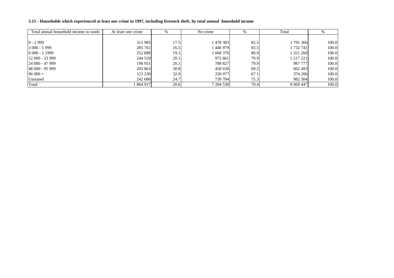#### 3.15 - Households which experienced at least one crime in 1997, including livestock theft, by total annual household income

| Total annual household income in rands | At least one crime | %    | No crime  | %    | Total       |       |
|----------------------------------------|--------------------|------|-----------|------|-------------|-------|
|                                        |                    |      |           |      |             |       |
| $0 - 2999$                             | 312 983            | 17.5 | 478 383   | 82.5 | 791 366     | 100.0 |
| $3000 - 5999$                          | 285 761            | 16.5 | 446 979   | 83.5 | 1 732 741   | 100.0 |
| $6000 - 11999$                         | 252 889            | 19.1 | 1 068 370 | 80.9 | 1 321 260   | 100.0 |
| 12 000 - 23 999                        | 244 559            | 20.1 | 972 661   | 79.9 | 1 217 221   | 100.0 |
| 24 000 - 47 999                        | 198 951            | 20.1 | 788 827   | 79.9 | 987 777     | 100.0 |
| 148 000 - 95 999                       | 203 863            | 30.8 | 458 630   | 69.2 | 662 493     | 100.0 |
| $96000 +$                              | 123 230            | 32.9 | 250 977   | 67.1 | 374 206     | 100.0 |
| Unstated                               | 242 680            | 24.7 | 739 704   | 75.3 | 982 384     | 100.0 |
| Total                                  | 864 917            | 20.6 | 7 204 530 | 79.4 | 9 0 69 4 47 | 100.0 |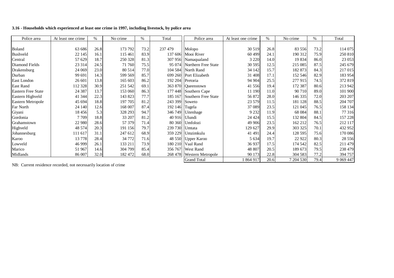#### 3.16 - Households which experienced at least one crime in 1997, including livestock, by police area

| Police area               | At least one crime | $\%$ | No crime | %    | Total            | Police area                 | At least one crime | %    | No crime  | $\%$ | Total       |
|---------------------------|--------------------|------|----------|------|------------------|-----------------------------|--------------------|------|-----------|------|-------------|
|                           |                    |      |          |      |                  |                             |                    |      |           |      |             |
| <b>Boland</b>             | 63 686             | 26.8 | 173 792  | 73.2 | 237 479          | Molopo                      | 30 5 19            | 26.8 | 83 556    | 73.2 | 114 075     |
| Bushveld                  | 22 145             | 16.1 | 115 461  | 83.9 |                  | 137 606 Mooi River          | 60 499             | 24.1 | 190 312   | 75.9 | 250 810     |
| Central                   | 57 629             | 18.7 | 250 328  | 81.3 |                  | 307 956 Namaqualand         | 3 2 2 0            | 14.0 | 19 834    | 86.0 | 23 053      |
| Diamond Fields            | 23 3 14            | 24.5 | 71 760   | 75.5 |                  | 95 074 Northern Free State  | 30 5 95            | 12.5 | 215 085   | 87.5 | 245 679     |
| Drakensburg               | 24 069             | 23.0 | 80 514   | 77.0 |                  | 104 584 North Rand          | 34 142             | 15.7 | 182 873   | 84.3 | 217 015     |
| Durban                    | 99 691             | 14.3 | 599 569  | 85.7 |                  | 699 260 Port Elizabeth      | 31 408             | 17.1 | 152 546   | 82.9 | 183 954     |
| East London               | 26 601             | 13.8 | 165 603  | 86.2 | 192 204 Pretoria |                             | 94 904             | 25.5 | 277 915   | 74.5 | 372 819     |
| <b>East Rand</b>          | 112 328            | 30.9 | 251 542  | 69.1 |                  | 363 870 Queenstown          | 41 556             | 19.4 | 172 387   | 80.6 | 213 942     |
| <b>Eastern Free State</b> | 24 3 8 7           | 13.7 | 153 060  | 86.3 |                  | 177 448 Southern Cape       | 11 190             | 11.0 | 90 710    | 89.0 | 101 900     |
| Eastern Highveld          | 41 344             | 22.3 | 143 823  | 77.7 |                  | 185 167 Southern Free State | 56 872             | 28.0 | 146 335   | 72.0 | 203 207     |
| Eastern Metropole         | 45 694             | 18.8 | 197 705  | 81.2 | 243 399 Soweto   |                             | 23 5 79            | 11.5 | 181 128   | 88.5 | 204 707     |
| Far North                 | 24 140             | 12.6 | 168 007  | 87.4 | 192 146 Tugela   |                             | 37 089             | 23.5 | 121 045   | 76.5 | 158 134     |
| Giyani                    | 18 4 5 6           | 5.3  | 328 293  | 94.7 |                  | 346 749 Uitenhage           | 9 2 3 2            | 11.9 | 68 0 84   | 88.1 | 77 316      |
| Gordonia                  | 7 7 0 9            | 18.8 | 33 207   | 81.2 | 40 916 Ulundi    |                             | 24 4 24            | 15.5 | 132 804   | 84.5 | 157 228     |
| Grahamstown               | 22 980             | 28.6 | 57 379   | 71.4 |                  | 80 360 Umfolozi             | 49 906             | 23.5 | 162 212   | 76.5 | 212 117     |
| Highveld                  | 48 574             | 20.3 | 191 156  | 79.7 | 239 730 Umtata   |                             | 129 627            | 29.9 | 303 325   | 70.1 | 432 952     |
| Johannesburg              | 111 617            | 31.1 | 247 612  | 68.9 |                  | 359 229 Umzimkulu           | 41 491             | 24.4 | 128 595   | 75.6 | 170 086     |
| Karoo                     | 13778              | 28.4 | 34 772   | 71.6 |                  | 48 550 Upper Karoo          | 5 6 3 4            | 19.7 | 22 9 22   | 80.3 | 28 5 5 6    |
| Lowveld                   | 46 9 99            | 26.1 | 133 211  | 73.9 |                  | 180 210 Vaal Rand           | 36 937             | 17.5 | 174 542   | 82.5 | 211 479     |
| Marico                    | 51 967             | 14.6 | 304 799  | 85.4 |                  | 356 767 West Rand           | 48 807             | 20.5 | 189 673   | 79.5 | 238 479     |
| Midlands                  | 86 007             | 32.0 | 182 472  | 68.0 | 268 478          | Western Metropole           | 90 173             | 22.8 | 304 583   | 77.2 | 394 757     |
|                           |                    |      |          |      |                  | <b>Grand Total</b>          | 1864917            | 20.6 | 7 204 530 | 79.4 | 9 0 69 4 47 |

NB: Current residence recorded, not necessarily location of crime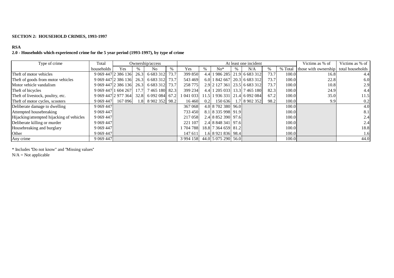### **SECTION 2: HOUSEHOLD CRIMES, 1993-1997**

# **RSA**

# **2.0 - Households which experienced crime for the 5 year period (1993-1997), by type of crime**

| Type of crime                             | Total               |         |      | Ownership/access    |      |               |      |                     | At least one incident         |      |         | Victims as % of                       | Victims as % of $\parallel$ |
|-------------------------------------------|---------------------|---------|------|---------------------|------|---------------|------|---------------------|-------------------------------|------|---------|---------------------------------------|-----------------------------|
|                                           | households          | Yes     | $\%$ | No                  | $\%$ | Yes           | $\%$ | $No*$               | N/A                           | %    | % Total | those with ownership total households |                             |
| Theft of motor vehicles                   | 9 069 447 2 386 136 |         | 26.3 | 6 683 312           | 73.7 | 399 850       |      |                     | 4.4 1 986 285 21.9 6 683 312  | 73.7 | 100.0   | 16.8                                  | 4.4                         |
| Theft of goods from motor vehicles        | 9 069 447 2 386 136 |         | 26.3 | 6 683 312           | 73.7 | 543 469       |      |                     | 6.0 1 842 667 20.3 6 683 312  | 73.7 | 100.0   | 22.8                                  | 6.0                         |
| Motor vehicle vandalism                   | 9 069 447 2 386 136 |         |      | 26.3 6 683 312      | 73.7 | 258 775       |      |                     | 2.9 2 127 361 23.5 6 683 312  | 73.7 | 100.0   | 10.8                                  | 2.9                         |
| Theft of bicycles                         | 9 069 447 1 604 267 |         |      | 17.7 7 465 180 82.3 |      | 399 234       |      |                     | 4.4 1 205 033 13.3 7 465 180  | 82.3 | 100.0   | 24.9                                  | 4.4                         |
| Theft of livestock, poultry, etc.         | 9 069 447 2 977 364 |         |      | 32.8 6 092 084 67.2 |      | 1 041 033     |      |                     | 11.5 1 936 331 21.4 6 092 084 | 67.2 | 100.0   | 35.0                                  | 11.5                        |
| Theft of motor cycles, scooters           | 9 0 69 4 47         | 167 096 |      | 1.8 8 902 352 98.2  |      | 16 4 60       | 0.2  | 150 636             | 1.7 8 902 352                 | 98.2 | 100.0   | 9.9                                   | 0.2                         |
| Deliberate damage to dwelling             | 9 0 69 4 47         |         |      |                     |      | 367 068       |      | 4.0 8 702 380 96.0  |                               |      | 100.0   |                                       | 4.0                         |
| Attempted housebreaking                   | 9 0 69 4 47         |         |      |                     |      | 733 450       |      | 8.1 8 335 998 91.9  |                               |      | 100.0   |                                       | 8.1                         |
| Hijacking/attempted hijacking of vehicles | 9 0 69 4 47         |         |      |                     |      | 217 058       |      | 2.4 8 852 390 97.6  |                               |      | 100.0   |                                       | 2.4                         |
| Deliberate killing or murder              | 9 0 69 4 47         |         |      |                     |      | 221 107       |      | 2.4 8 848 341 97.6  |                               |      | 100.0   |                                       | 2.4                         |
| Housebreaking and burglary                | 9 0 69 4 47         |         |      |                     |      | 704 788       |      | 18.8 7 364 659 81.2 |                               |      | 100.0   |                                       | 18.8                        |
| Other                                     | 9 0 69 4 47         |         |      |                     |      | 147 611       |      | 1.6 8 921 836 98.4  |                               |      | 100.0   |                                       | 1.6                         |
| Any crime                                 | 9 0 69 4 47         |         |      |                     |      | 3 9 9 4 1 5 8 |      | 44.0 5 075 290 56.0 |                               |      | 100.0   |                                       | 44.0                        |

\* Includes ''Do not know" and ''Missing values''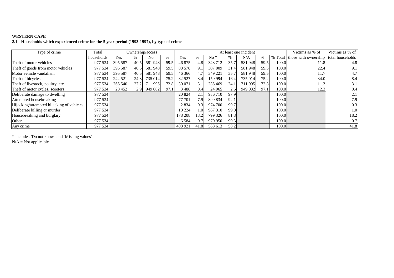### **WESTERN CAPE**

## **2.1 - Households which experienced crime for the 5 year period (1993-1997), by type of crime**

| Type of crime                             | Total      | Ownership/access |      |         |      |         |                  | At least one incident |      | Victims as % of | Victims as % of |         |                                       |      |
|-------------------------------------------|------------|------------------|------|---------|------|---------|------------------|-----------------------|------|-----------------|-----------------|---------|---------------------------------------|------|
|                                           | households | Yes              | $\%$ | No.     | $\%$ | Yes     | %                | $No*$                 | $\%$ | N/A             | $\%$            | % Total | those with ownership total households |      |
| Theft of motor vehicles                   | 977 534    | 395 587          | 40.5 | 581948  | 59.5 | 46 875  | 4.8              | 348 712               | 35.7 | 581948          | 59.5            | 100.0   | 11.8                                  | 4.8  |
| Theft of goods from motor vehicles        | 977 534    | 395 587          | 40.5 | 581948  | 59.5 | 88 578  | 9.1              | 307 009               | 31.4 | 581948          | 59.5            | 100.0   | 22.4                                  | 9.1  |
| Motor vehicle vandalism                   | 977 534    | 395 587          | 40.5 | 581948  | 59.5 | 46 36 6 | 4.7              | 349 221               | 35.7 | 581948          | 59.5            | 100.0   | 11.7                                  | 4.7  |
| Theft of bicycles                         | 977 534    | 242 521          | 24.8 | 735 014 | 75.2 | 82 5 27 | 8.4              | 159 994               | 16.4 | 735 014         | 75.2            | 100.0   | 34.0                                  | 8.4  |
| Theft of livestock, poultry, etc.         | 977 534    | 265 540          | 27.2 | 711 995 | 72.8 | 30 071  | 3.1              | 235 469               | 24.1 | 711 995         | 72.8            | 100.0   | 11.3                                  | 3.1  |
| Theft of motor cycles, scooters           | 977 534    | 28 452           | 2.9  | 949 082 | 97.1 | 3 4 8 8 | 0.4              | 24 9 65               | 2.6  | 949 082         | 97.1            | 100.0   | 12.3                                  | 0.4  |
| Deliberate damage to dwelling             | 977 534    |                  |      |         |      | 20 824  | 2.1              | 956 710               | 97.9 |                 |                 | 100.0   |                                       | 2.1  |
| Attempted housebreaking                   | 977 534    |                  |      |         |      | 77 701  | 7.9 <sub>1</sub> | 899 834               | 92.1 |                 |                 | 100.0   |                                       | 7.9  |
| Hijacking/attempted hijacking of vehicles | 977 534    |                  |      |         |      | 2834    | 0.3              | 974 700               | 99.7 |                 |                 | 100.0   |                                       | 0.3  |
| Deliberate killing or murder              | 977 534    |                  |      |         |      | 10 224  | 1.0              | 967 310               | 99.0 |                 |                 | 100.0   |                                       | 1.0  |
| Housebreaking and burglary                | 977 534    |                  |      |         |      | 178 208 | 18.2             | 799 326               | 81.8 |                 |                 | 100.0   |                                       | 18.2 |
| Other                                     | 977 534    |                  |      |         |      | 6 5 8 4 | 0.7              | 970 950               | 99.3 |                 |                 | 100.0   |                                       | 0.7  |
| Any crime                                 | 977 534    |                  |      |         |      | 408 921 | 41.8             | 568 613               | 58.2 |                 |                 | 100.0   |                                       | 41.8 |

\* Includes ''Do not know" and ''Missing values''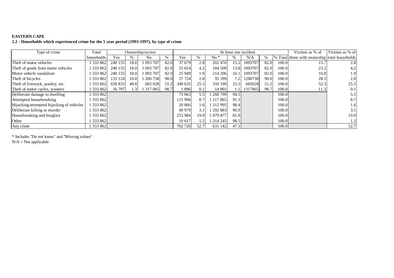# **EASTERN CAPE**

#### **2.2 - Households which experienced crime for the 5 year period (1993-1997), by type of crime**

| Type of crime                             | Total      |            |      | Ownership/access |               |         |                  |           |       | At least one incident |      |        | Victims as % of                                | Victims as % of |
|-------------------------------------------|------------|------------|------|------------------|---------------|---------|------------------|-----------|-------|-----------------------|------|--------|------------------------------------------------|-----------------|
|                                           | households | <b>Yes</b> | %    | No               | $\frac{0}{6}$ | Yes.    | $\%$             | $No*$     | %     | N/A                   | $\%$ |        | \% Total those with ownership total households |                 |
| Theft of motor vehicles                   | 333 862    | 240 155    | 18.0 | 1 093 707        | 82.0          | 37 679  | 2.8              | 202 476   | 15.2  | 1093707               | 82.0 | 100.0  | 15.7                                           | 2.8             |
| Theft of goods from motor vehicles        | 1 333 862  | 240 155    | 18.0 | 1 093 707        | 82.0          | 55 654  | 4.2              | 184 500   | 13.8  | 1093707               | 82.0 | 100.0  | 23.2                                           | 4.2             |
| Motor vehicle vandalism                   | 333 862    | 240 155    | 18.0 | 1 093 707        | 82.0          | 25 949  | 1.9 <sup>1</sup> | 214 206   | 16.1  | 1093707               | 82.0 | 100.0  | 10.8                                           | 1.9             |
| Theft of bicycles                         | 1 333 862  | 133 124    | 10.0 | 1 200 738        | 90.0          | 37 724  | 2.8              | 95 399    | 7.2   | 1200738               | 90.0 | 100.0  | 28.3                                           | 2.8             |
| Theft of livestock, poultry, etc.         | 1 333 862  | 650 833    | 48.8 | 683 028          | 51.2          | 340 635 | 25.5             | 310 199   | 23.3  | 683028                | 51.2 | 100.0  | 52.3                                           | 25.5            |
| Theft of motor cycles, scooters           | 1 333 862  | 16 797     |      | 317 065          | 98.7          | 896     | 0.1              | 14 901    |       | 1317065               | 98.7 | 100.0  | 11.3                                           | 0.1             |
| Deliberate damage to dwelling             | 1 333 862  |            |      |                  |               | 73 063  | 5.5              | 260 799   | 94.51 |                       |      | 100.0  |                                                | 5.5             |
| Attempted housebreaking                   | 1 333 862  |            |      |                  |               | 115 996 | 8.7              | 217 865   | 91.3  |                       |      | 100.0  |                                                | 8.7             |
| Hijacking/attempted hijacking of vehicles | 1 333 862  |            |      |                  |               | 20 866  | 1.61             | 312995    | 98.4  |                       |      | 100.0  |                                                | 1.6             |
| Deliberate killing or murder              | 1 333 862  |            |      |                  |               | 40 979  |                  | 292 883   | 96.9  |                       |      | 100.0  |                                                | 3.1             |
| Housebreaking and burglary                | 1 333 862  |            |      |                  |               | 253 984 | 19.0             | 1 079 877 | 81.0  |                       |      | 100.0  |                                                | 19.0            |
| Other                                     | 1 333 862  |            |      |                  |               | 19 617  | 1.5              | ا 314 245 | 98.5  |                       |      | 100.01 |                                                | 1.5             |
| Any crime                                 | 1 333 8621 |            |      |                  |               | 702 720 | 52.7             | 631 142   | 47.3  |                       |      | 100.01 |                                                | 52.7            |

\* Includes ''Do not know" and ''Missing values''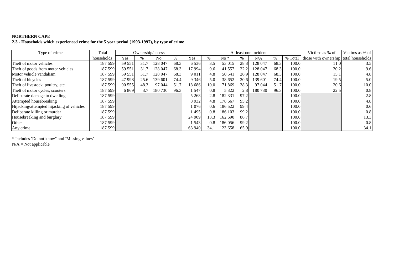# **NORTHERN CAPE 2.3 - Households which experienced crime for the 5 year period (1993-1997), by type of crime**

| Type of crime                             | Total      |        |      | Ownership/access |      |         |                  | At least one incident |      | Victims as % of | Victims as % of |         |                                       |                  |
|-------------------------------------------|------------|--------|------|------------------|------|---------|------------------|-----------------------|------|-----------------|-----------------|---------|---------------------------------------|------------------|
|                                           | households | Yes    | %    | N <sub>0</sub>   | $\%$ | Yes     |                  | $No*$                 |      | N/A             | $\frac{0}{0}$   | % Total | those with ownership total households |                  |
| Theft of motor vehicles                   | 187 599    | 59 551 | 31.7 | 128 047          | 68.3 | 6536    | 3.5              | 53 015                | 28.3 | 128 047         | 68.3            | 100.0   | 11.0                                  | 3.5              |
| Theft of goods from motor vehicles        | 187 599    | 59 551 | 31.7 | 128 047          | 68.3 | 17 994  | 9.6              | 41 5 5 7              | 22.2 | 128 047         | 68.3            | 100.0   | 30.2                                  | 9.6              |
| Motor vehicle vandalism                   | 187 5991   | 59 551 | 31.7 | 128 047          | 68.3 | 9 0 1 1 | 4.8              | 50 541                | 26.9 | 128 047         | 68.3            | 100.0   | 15.1                                  | 4.8              |
| Theft of bicycles                         | 187 599    | 47 998 | 25.6 | 139 601          | 74.4 | 9 3 4 6 | 5.0              | 38 652                | 20.6 | 139 601         | 74.4            | 100.0   | 19.5                                  | 5.0              |
| Theft of livestock, poultry, etc.         | 187 5991   | 90 555 | 48.3 | 97 044           | 51.7 | 18 686  | 10.0             | 71869                 | 38.3 | 97 044          | 51.7            | 100.0   | 20.6                                  | 10.0             |
| Theft of motor cycles, scooters           | 187 599    | 6869   | 3.7  | 180 730          | 96.3 | 1547    | 0.8              | 5 3 2 2               | 2.8  | 180 730         | 96.3            | 100.0   | 22.5                                  | 0.8              |
| Deliberate damage to dwelling             | 187 599    |        |      |                  |      | 5 2 6 8 | 2.8 <sub>1</sub> | 182 331               | 97.2 |                 |                 | 100.0   |                                       | 2.8              |
| Attempted housebreaking                   | 187 599    |        |      |                  |      | 8932    | 4.8              | 178 667               | 95.2 |                 |                 | 100.0   |                                       | 4.8              |
| Hijacking/attempted hijacking of vehicles | 187 599    |        |      |                  |      | 1 076   | 0.6              | 186 522               | 99.4 |                 |                 | 100.0   |                                       | 0.6              |
| Deliberate killing or murder              | 187 599    |        |      |                  |      | 495     | 0.8              | 186 103               | 99.2 |                 |                 | 100.0   |                                       | 0.8              |
| Housebreaking and burglary                | 187 599    |        |      |                  |      | 24 909  | 13.3             | 162 690               | 86.7 |                 |                 | 100.0   |                                       | 13.3             |
| Other                                     | 187 599    |        |      |                  |      | 543     | 0.8              | 186 056               | 99.2 |                 |                 | 100.0   |                                       | 0.8 <sub>1</sub> |
| Any crime                                 | 187 599    |        |      |                  |      | 63 940  | 34.1             | 123 658               | 65.9 |                 |                 | 100.0   |                                       | 34.1             |

\* Includes ''Do not know" and ''Missing values''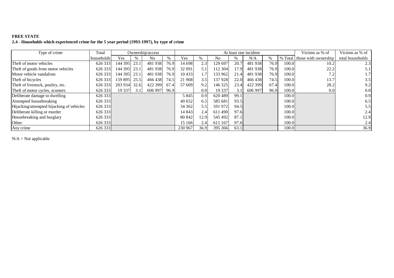# **FREE STATE 2.4 - Households which experienced crime for the 5 year period (1993-1997), by type of crime**

| Type of crime                             | Total      |              |      | Ownership/access |      |         |                  |         |      | At least one incident |               |       | Victims as % of              | Victims as % of  |
|-------------------------------------------|------------|--------------|------|------------------|------|---------|------------------|---------|------|-----------------------|---------------|-------|------------------------------|------------------|
|                                           | households | Yes          | $\%$ | No               |      | Yes     | $\%$             | No      | $\%$ | N/A                   | $\frac{0}{0}$ |       | % Total those with ownership | total households |
| Theft of motor vehicles                   | 626 333    | 144 395      | 23.1 | 481938           | 76.9 | 14 698  | 2.3              | 129 697 | 20.7 | 481938                | 76.9          | 100.0 | 10.2                         | 2.3              |
| Theft of goods from motor vehicles        | 626 333    | 144 395 23.1 |      | 481938           | 76.9 | 32 091  | 5.1              | 112 304 | 17.9 | 481938                | 76.9          | 100.0 | 22.2                         | 5.1              |
| Motor vehicle vandalism                   | 626 333    | 144 395 23.1 |      | 481938           | 76.9 | 10 4 33 | $1.7^{\circ}$    | 133 962 | 21.4 | 481938                | 76.9          | 100.0 | 7.2                          | 1.7              |
| Theft of bicycles                         | 626 333    | 159 895 25.5 |      | 466438           | 74.5 | 21 968  | 3.5              | 137 928 | 22.0 | 466438                | 74.5          | 100.0 | 13.7                         | 3.5              |
| Theft of livestock, poultry, etc.         | 626 333    | 203 934      | 32.6 | 422 399          | 67.4 | 57 609  | 9.2              | 146 325 | 23.4 | 422 399               | 67.4          | 100.0 | 28.2                         | 9.2              |
| Theft of motor cycles, scooters           | 626 333    | 19 337       | 3.1  | 606 997          | 96.9 |         | 0.0 <sub>l</sub> | 19 3 37 | 3.1  | 606 997               | 96.9          | 100.0 | 0.0                          | 0.0              |
| Deliberate damage to dwelling             | 626 333    |              |      |                  |      | 5845    | 0.9              | 620489  | 99.1 |                       |               | 100.0 |                              | 0.9              |
| Attempted housebreaking                   | 626 333    |              |      |                  |      | 40 652  | 6.5              | 585 681 | 93.5 |                       |               | 100.0 |                              | 6.5              |
| Hijacking/attempted hijacking of vehicles | 626 333    |              |      |                  |      | 34 362  | 5.5              | 591 972 | 94.5 |                       |               | 100.0 |                              | 5.5              |
| Deliberate killing or murder              | 626 333    |              |      |                  |      | 14 843  | 2.4              | 611490  | 97.6 |                       |               | 100.0 |                              | 2.4              |
| Housebreaking and burglary                | 626 333    |              |      |                  |      | 80 842  | 12.9             | 545 492 | 87.1 |                       |               | 100.0 |                              | 12.9             |
| Other                                     | 626 333    |              |      |                  |      | 15 16 6 | 2.4              | 611 167 | 97.6 |                       |               | 100.0 |                              | 2.4              |
| Any crime                                 | 626 333    |              |      |                  |      | 230 967 | 36.9             | 395 366 | 63.1 |                       |               | 100.0 |                              | 36.9             |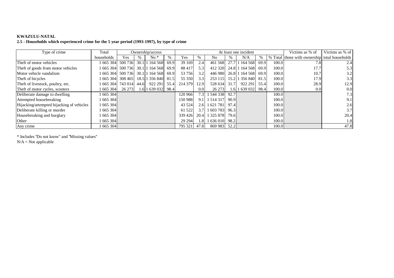# **KWAZULU-NATAL2.5 - Households which experienced crime for the 5 year period (1993-1997), by type of crime**

| Type of crime                             | Total      |         | Ownership/access |                    |      |         |               |               |      | At least one incident  |               |       | Victims as % of                               | Victims as % of |
|-------------------------------------------|------------|---------|------------------|--------------------|------|---------|---------------|---------------|------|------------------------|---------------|-------|-----------------------------------------------|-----------------|
|                                           | households | Yes     | $\%$             | $No*$              | $\%$ | Yes     | ‰             | No.           | $\%$ | N/A                    | $\frac{0}{0}$ |       | % Total those with ownership total households |                 |
| Theft of motor vehicles                   | 1 665 304  | 500 736 |                  | 30.1 1 164 568     | 69.9 | 39 169  | 2.4           | 461 568       |      | 27.7 1 164 568         | 69.9          | 100.0 | 7.8                                           | 2.4             |
| Theft of goods from motor vehicles        | 1 665 304  | 500 736 |                  | 30.1 1 1 1 1 5 6 8 | 69.9 | 88 417  | 5.3           | 412 320       |      | 24.8 1 164 568         | 69.9          | 100.0 | 17.7                                          | 5.3             |
| Motor vehicle vandalism                   | 1665304    | 500 736 |                  | 30.1 1 1 1 1 5 6 8 | 69.9 | 53 756  | 3.2           | 446 980       |      | 26.8 1 164 568         | 69.9          | 100.0 | 10.7                                          | 3.2             |
| Theft of bicycles                         | 1 665 3041 | 308 465 |                  | 18.5 1 356 840     | 81.5 | 55 350  | 3.3           | 253 115       |      | 15.2 1 356 840 81.5    |               | 100.0 | 17.9                                          | 3.3             |
| Theft of livestock, poultry, etc.         | 1665304    | 743 014 | 44.6             | 922 291            | 55.4 | 214 379 | 12.9          | 528 634       | 31.7 | 922 291                | 55.4          | 100.0 | 28.9                                          | 12.9            |
| Theft of motor cycles, scooters           | 1 665 304  | 26 273  |                  | 1.6 1 639 032 98.4 |      |         | 0.0           | 26 273        |      | 1.6   1 639 032   98.4 |               | 100.0 | 0.0                                           | 0.0             |
| Deliberate damage to dwelling             | 1 665 304  |         |                  |                    |      | 120 966 | 7.3           | 544 338       | 92.7 |                        |               | 100.0 |                                               | 7.3             |
| Attempted housebreaking                   | 1 665 304  |         |                  |                    |      | 150 988 | 9.11          | 1 5 1 4 3 1 7 | 90.9 |                        |               | 100.0 |                                               | 9.1             |
| Hijacking/attempted hijacking of vehicles | 1 665 304  |         |                  |                    |      | 43 5 24 | $2.6 \quad 1$ | 1 621 781     | 97.4 |                        |               | 100.0 |                                               | 2.6             |
| Deliberate killing or murder              | 1 665 304  |         |                  |                    |      | 61 522  | 3.7           | 1603783       | 96.3 |                        |               | 100.0 |                                               | 3.7             |
| Housebreaking and burglary                | 1 665 304  |         |                  |                    |      | 339 426 | 20.4          | 325 878       | 79.6 |                        |               | 100.0 |                                               | 20.4            |
| Other                                     | 1 665 304  |         |                  |                    |      | 29 29 4 |               | 1.8 1 636 010 | 98.2 |                        |               | 100.0 |                                               | 1.8             |
| Any crime                                 | 1 665 304  |         |                  |                    |      | 795 321 | 47.8          | 869 983       | 52.2 |                        |               | 100.0 |                                               | 47.8            |

\* Includes ''Do not know" and ''Missing values''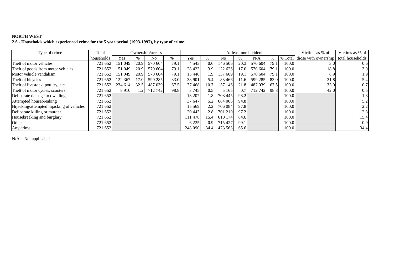# **NORTH WEST 2.6 - Households which experienced crime for the 5 year period (1993-1997), by type of crime**

| Type of crime                             | Total      |         | Ownership/access |         |      |         |                  |         |      | At least one incident |               |         | Victims as % of      | Victims as % of  |
|-------------------------------------------|------------|---------|------------------|---------|------|---------|------------------|---------|------|-----------------------|---------------|---------|----------------------|------------------|
|                                           | households | Yes     | $\%$             | No.     | %    | Yes     | $\%$             | No.     | %    | N/A                   | $\frac{0}{0}$ | % Total | those with ownership | total households |
| Theft of motor vehicles                   | 721 652    | 151 049 | 20.9             | 570 604 | 79.1 | 4 5 4 3 | 0.6              | 146 506 | 20.3 | 570 604               | 79.1          | 100.0   | 3.0                  | 0.6              |
| Theft of goods from motor vehicles        | 721 652    | 151 049 | 20.9             | 570 604 | 79.1 | 28 4 23 | 3.9              | 122 626 | 17.0 | 570 604               | 79.1          | 100.0   | 18.8                 | 3.9              |
| Motor vehicle vandalism                   | 721 652    | 151 049 | 20.9             | 570 604 | 79.1 | 13 440  | 1.9              | 137 609 | 19.1 | 570 604               | 79.1          | 100.0   | 8.9                  | 1.9              |
| Theft of bicycles                         | 721 652    | 122 367 | 17.0             | 599 285 | 83.0 | 38 901  | 5.4              | 83 4 66 | 11.6 | 599 285               | 83.0          | 100.0   | 31.8                 | 5.4              |
| Theft of livestock, poultry, etc.         | 721 652    | 234 614 | 32.5             | 487 039 | 67.5 | 77468   | 10.7             | 157 146 | 21.8 | 487 039               | 67.5          | 100.0   | 33.0                 | 10.7             |
| Theft of motor cycles, scooters           | 721 652    | 8910    | 1.2              | 712 742 | 98.8 | 3745    | 0.5              | 5 1 6 5 | 0.7  | 712 742               | 98.8          | 100.0   | 42.0                 | 0.5              |
| Deliberate damage to dwelling             | 721 652    |         |                  |         |      | 13 207  | 1.8              | 708 445 | 98.2 |                       |               | 100.0   |                      | 1.8              |
| Attempted housebreaking                   | 721 652    |         |                  |         |      | 37 647  | 5.2              | 684 005 | 94.8 |                       |               | 100.0   |                      | 5.2              |
| Hijacking/attempted hijacking of vehicles | 721 652    |         |                  |         |      | 15 5 69 | 2.2              | 706 084 | 97.8 |                       |               | 100.0   |                      | 2.2              |
| Deliberate killing or murder              | 721 652    |         |                  |         |      | 20 4 43 | 2.8              | 701 210 | 97.2 |                       |               | 100.0   |                      | 2.8              |
| Housebreaking and burglary                | 721 652    |         |                  |         |      | 11 478  | 15.4             | 610 174 | 84.6 |                       |               | 100.0   |                      | 15.4             |
| Other                                     | 721 652    |         |                  |         |      | 6 2 2 5 | 0.9 <sup>°</sup> | 715 427 | 99.1 |                       |               | 100.0   |                      | 0.9              |
| Any crime                                 | 721 652    |         |                  |         |      | 248 090 | 34.4             | 473 563 | 65.6 |                       |               | 100.0   |                      | 34.4             |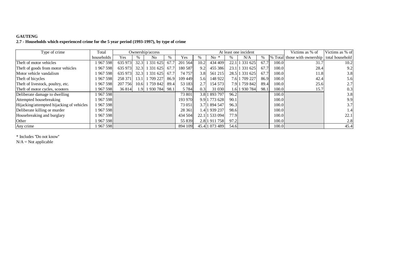## **GAUTENG**

#### **2.7 - Households which experienced crime for the 5 year period (1993-1997), by type of crime**

| Type of crime                             | Total      |         | Ownership/access |                |      |         |      |                |      | At least one incident |      |       | Victims as % of                              | Victims as % of |
|-------------------------------------------|------------|---------|------------------|----------------|------|---------|------|----------------|------|-----------------------|------|-------|----------------------------------------------|-----------------|
|                                           | households | Yes     |                  | N <sub>0</sub> | %    | Yes     |      | No.            |      | N/A                   | %    |       | % Total those with ownership total household |                 |
| Theft of motor vehicles                   | 1967598    | 635 973 | 32.3             | 1 331 625      | 67.7 | 201 564 | 10.2 | 434 409        |      | 22.1 1 331 625        | 67.7 | 100.0 | 31.7                                         | 10.2            |
| Theft of goods from motor vehicles        | 1967598    | 635 973 | 32.3             | 1 331 625      | 67.7 | 180 587 | 9.2  | 455 386        |      | 23.1 1 331 625        | 67.7 | 100.0 | 28.4                                         | 9.2             |
| Motor vehicle vandalism                   | 1967598    | 635 973 | 32.3             | 1 331 625      | 67.7 | 74 757  | 3.8  | 561 215        |      | 28.5 1 331 625        | 67.7 | 100.0 | 11.8                                         | 3.8             |
| Theft of bicycles                         | 1967598    | 258 371 | 13.1             | 709 227        | 86.9 | 109 449 | 5.6  | 148 922        |      | 7.6 1 709 227         | 86.9 | 100.0 | 42.4                                         | 5.6             |
| Theft of livestock, poultry, etc.         | 1967598    | 207 756 | 10.6             | 1 759 842 1    | 89.4 | 53 183  | 2.7  | 154 573        |      | 7.9 1 759 842         | 89.4 | 100.0 | 25.6                                         | 2.7             |
| Theft of motor cycles, scooters           | 1 967 598  | 36 814  | 1.9              | 1 930 784 98.1 |      | 5 7 8 4 | 0.3  | 31 030         |      | 1.6 1 930 784         | 98.1 | 100.0 | 15.7                                         | 0.3             |
| Deliberate damage to dwelling             | 1967598    |         |                  |                |      | 73 801  |      | 3.8 1 893 797  | 96.2 |                       |      | 100.0 |                                              | 3.8             |
| Attempted housebreaking                   | 1967598    |         |                  |                |      | 193 970 |      | 9.9 1 773 628  | 90.1 |                       |      | 100.0 |                                              | 9.9             |
| Hijacking/attempted hijacking of vehicles | 1967598    |         |                  |                |      | 73 051  |      | 3.7 1 894 547  | 96.3 |                       |      | 100.0 |                                              | 3.7             |
| Deliberate killing or murder              | 1967598    |         |                  |                |      | 28 361  |      | 1.4 1 939 237  | 98.6 |                       |      | 100.0 |                                              | 1.4             |
| Housebreaking and burglary                | 1 967 598  |         |                  |                |      | 434 504 |      | 22.1 1 533 094 | 77.9 |                       |      | 100.0 |                                              | 22.1            |
| Other                                     | 1967598    |         |                  |                |      | 55 839  |      | 2.8 1 911 758  | 97.2 |                       |      | 100.0 |                                              | 2.8             |
| Any crime                                 | 1967598    |         |                  |                |      | 894 109 |      | 45.4 1 073 489 | 54.6 |                       |      | 100.0 |                                              | 45.4            |

\* Includes ''Do not know''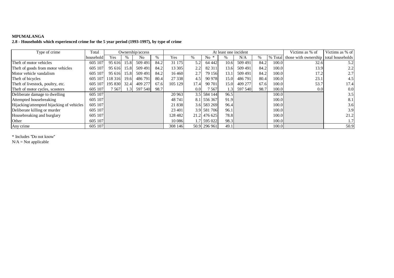### **MPUMALANGA**

#### **2.8 - Households which experienced crime for the 5 year period (1993-1997), by type of crime**

| Type of crime                             | Total     |         |      | Ownership/access |      |         |      |              | At least one incident |         |      |         | Victims as % of                       | Victims as % of |
|-------------------------------------------|-----------|---------|------|------------------|------|---------|------|--------------|-----------------------|---------|------|---------|---------------------------------------|-----------------|
|                                           | household | Yes     | %    | N <sub>0</sub>   | $\%$ | Yes     | ℅    | $No *$       |                       | N/A     | $\%$ | % Total | those with ownership total households |                 |
| Theft of motor vehicles                   | 605 107   | 95 616  | 15.8 | 509 491          | 84.2 | 31 175  | 5.2  | 64 4 42      | 10.6                  | 509 491 | 84.2 | 100.0   | 32.6                                  | 5.2             |
| Theft of goods from motor vehicles        | 605 107   | 95 616  | 15.8 | 509 491          | 84.2 | 13 30 5 | 2.2  | 82 311       | 13.6                  | 509 491 | 84.2 | 100.0   | 13.9                                  | 2.2             |
| Motor vehicle vandalism                   | 605 107   | 95 616  | 15.8 | 509 491          | 84.2 | 16 4 60 | 2.7  | 79 156       | 13.1                  | 509 491 | 84.2 | 100.0   | 17.2                                  | 2.7             |
| Theft of bicycles                         | 605 107   | 118 316 | 19.6 | 486 791          | 80.4 | 27 338  | 4.5  | 90 978       | 15.0                  | 486 791 | 80.4 | 100.0   | 23.1                                  | 4.5             |
| Theft of livestock, poultry, etc.         | 605 107   | 195 830 | 32.4 | 409 277          | 67.6 | 105 129 | 17.4 | 90 701       | 15.0                  | 409 277 | 67.6 | 100.0   | 53.7                                  | 17.4            |
| Theft of motor cycles, scooters           | 605 107   | 7 567   | 1.3  | 597 540          | 98.7 |         | 0.0  | 7 567        | 1.3                   | 597 540 | 98.7 | 100.0   | 0.0                                   | 0.0             |
| Deliberate damage to dwelling             | 605 107   |         |      |                  |      | 20 963  |      | 3.5 584 144  | 96.5                  |         |      | 100.0   |                                       | 3.5             |
| Attempted housebreaking                   | 605 107   |         |      |                  |      | 48 741  |      | 8.1 556 367  | 91.9                  |         |      | 100.0   |                                       | 8.1             |
| Hijacking/attempted hijacking of vehicles | 605 107   |         |      |                  |      | 21 838  |      | 3.6 583 269  | 96.4                  |         |      | 100.0   |                                       | 3.6             |
| Deliberate killing or murder              | 605 107   |         |      |                  |      | 23 401  |      | 3.9 581 706  | 96.1                  |         |      | 100.0   |                                       | 3.9             |
| Housebreaking and burglary                | 605 107   |         |      |                  |      | 128 482 |      | 21.2 476 625 | 78.8                  |         |      | 100.0   |                                       | 21.2            |
| Other                                     | 605 107   |         |      |                  |      | 10 0 86 |      | 1.7 595 022  | 98.3                  |         |      | 100.0   |                                       |                 |
| Any crime                                 | 605 107   |         |      |                  |      | 308 146 |      | 50.9 296 961 | 49.1                  |         |      | 100.0   |                                       | 50.9            |

\* Includes ''Do not know''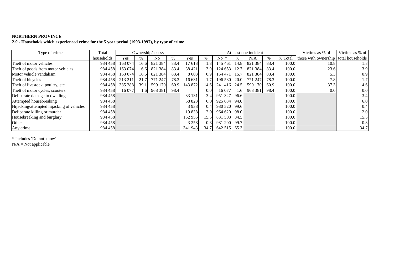#### **NORTHERN PROVINCE**

## **2.9 - Households which experienced crime for the 5 year period (1993-1997), by type of crime**

| Type of crime                             | Total      |         |                 | Ownership/access |      |         |                  |              |      | At least one incident |      |         | Victims as % of                       | Victims as % of |
|-------------------------------------------|------------|---------|-----------------|------------------|------|---------|------------------|--------------|------|-----------------------|------|---------|---------------------------------------|-----------------|
|                                           | households | Yes     | $\frac{0}{0}$   | N <sub>0</sub>   | $\%$ | Yes     |                  | $No *$       |      | N/A                   | $\%$ | % Total | those with ownership total households |                 |
| Theft of motor vehicles                   | 984 458    | 163 074 | 16.6            | 821 384          | 83.4 | 17 613  | 1.8              | 145 461      | 14.8 | 821 384               | 83.4 | 100.0   | 10.8                                  | 1.8             |
| Theft of goods from motor vehicles        | 984 458    | 163 074 | 16.6            | 821 384          | 83.4 | 38 4 21 | 3.9              | 124 653      | 12.7 | 821 384               | 83.4 | 100.0   | 23.6                                  | 3.9             |
| Motor vehicle vandalism                   | 984 458    | 163 074 | 16.6            | 821 384          | 83.4 | 8 6 0 3 | 0.9              | 154 471      | 15.7 | 821 384               | 83.4 | 100.0   | 5.3                                   | 0.9             |
| Theft of bicycles                         | 984 458    | 213 211 | 21.7            | 771 247          | 78.3 | 16 631  | 1.7              | 196 580      | 20.0 | 771 247               | 78.3 | 100.0   | 7.8                                   | 1.7             |
| Theft of livestock, poultry, etc.         | 984 458    | 385 288 | 39.1            | 599 170          | 60.9 | 143 872 | 14.61            | 241416       | 24.5 | 599 170               | 60.9 | 100.0   | 37.3                                  | 14.6            |
| Theft of motor cycles, scooters           | 984 458    | 16 077  | .6 <sup>1</sup> | 968 381          | 98.4 |         | 0.0 <sub>l</sub> | 16 077       | 1.61 | 968 381               | 98.4 | 100.0   | 0.0                                   | 0.0             |
| Deliberate damage to dwelling             | 984 458    |         |                 |                  |      | 33 131  | 3.4              | 951 327      | 96.6 |                       |      | 100.0   |                                       | 3.4             |
| Attempted housebreaking                   | 984 458    |         |                 |                  |      | 58 823  | 6.0              | 925 634      | 94.0 |                       |      | 100.0   |                                       | 6.0             |
| Hijacking/attempted hijacking of vehicles | 984 458    |         |                 |                  |      | 3938    | 0.4              | 980 520 99.6 |      |                       |      | 100.0   |                                       | 0.4             |
| Deliberate killing or murder              | 984 458    |         |                 |                  |      | 19838   | 2.0              | 964 620      | 98.0 |                       |      | 100.0   |                                       | 2.0             |
| Housebreaking and burglary                | 984 458    |         |                 |                  |      | 152 955 | 15.5             | 831 503 84.5 |      |                       |      | 100.0   |                                       | 15.5            |
| Other                                     | 984 458    |         |                 |                  |      | 3 2 5 8 | 0.3              | 981 200 99.7 |      |                       |      | 100.0   |                                       | 0.3             |
| Any crime                                 | 984 458    |         |                 |                  |      | 341 943 | 34.7             | 642 515 65.3 |      |                       |      | 100.0   |                                       | 34.7            |

\* Includes ''Do not know''

 $N/A = Not$  applicable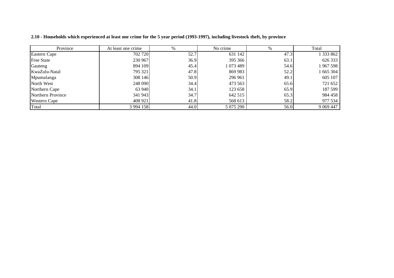| Province            | At least one crime | $\%$ | No crime  | $\%$ | Total       |
|---------------------|--------------------|------|-----------|------|-------------|
| Eastern Cape        | 702 720            | 52.7 | 631 142   | 47.3 | 1 333 862   |
| <b>Free State</b>   | 230 967            | 36.9 | 395 366   | 63.1 | 626 333     |
| Gauteng             | 894 109            | 45.4 | 073 489   | 54.6 | 1 967 598   |
| KwaZulu-Natal       | 795 321            | 47.8 | 869 983   | 52.2 | 1 665 304   |
| Mpumalanga          | 308 146            | 50.9 | 296 961   | 49.1 | 605 107     |
| North West          | 248 090            | 34.4 | 473 563   | 65.6 | 721 652     |
| Northern Cape       | 63 940             | 34.1 | 123 658   | 65.9 | 187 599     |
| Northern Province   | 341 943            | 34.7 | 642 515   | 65.3 | 984 458     |
| <b>Western Cape</b> | 408 921            | 41.8 | 568 613   | 58.2 | 977 534     |
| Total               | 3 9 9 4 1 5 8      | 44.0 | 5 075 290 | 56.0 | 9 0 69 4 47 |

2.10 - Households which experienced at least one crime for the 5 year period (1993-1997), including livestock theft, by province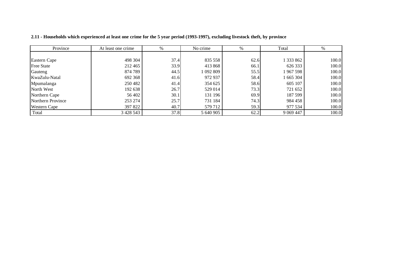| Province            | At least one crime | $\%$ | No crime  | $\%$ | Total       | %     |
|---------------------|--------------------|------|-----------|------|-------------|-------|
|                     |                    |      |           |      |             |       |
| Eastern Cape        | 498 304            | 37.4 | 835 558   | 62.6 | 1 333 862   | 100.0 |
| <b>Free State</b>   | 212 465            | 33.9 | 413 868   | 66.1 | 626 333     | 100.0 |
| Gauteng             | 874 789            | 44.5 | 1 092 809 | 55.5 | 1967 598    | 100.0 |
| KwaZulu-Natal       | 692 368            | 41.6 | 972 937   | 58.4 | 1 665 304   | 100.0 |
| Mpumalanga          | 250 482            | 41.4 | 354 625   | 58.6 | 605 107     | 100.0 |
| North West          | 192 638            | 26.7 | 529 014   | 73.3 | 721 652     | 100.0 |
| Northern Cape       | 56 402             | 30.1 | 131 196   | 69.9 | 187 599     | 100.0 |
| Northern Province   | 253 274            | 25.7 | 731 184   | 74.3 | 984 458     | 100.0 |
| <b>Western Cape</b> | 397 822            | 40.7 | 579 712   | 59.3 | 977 534     | 100.0 |
| Total               | 3 4 2 8 5 4 3      | 37.8 | 5 640 905 | 62.2 | 9 0 69 4 47 | 100.0 |

2.11 - Households which experienced at least one crime for the 5 year period (1993-1997), excluding livestock theft, by province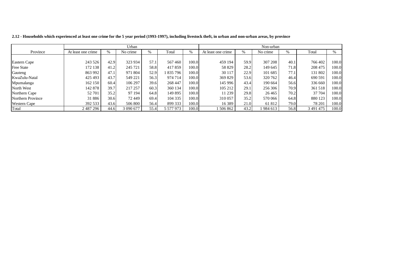|                     |                    |      | Urban     |      |           |       |                    |      | Non-urban |               |               |       |
|---------------------|--------------------|------|-----------|------|-----------|-------|--------------------|------|-----------|---------------|---------------|-------|
| Province            | At least one crime | %    | No crime  | $\%$ | Total     | $\%$  | At least one crime | $\%$ | No crime  | $\frac{0}{0}$ | Total         | %     |
|                     |                    |      |           |      |           |       |                    |      |           |               |               |       |
| Eastern Cape        | 243 526            | 42.9 | 323 934   | 57.1 | 567460    | 100.0 | 459 194            | 59.9 | 307 208   | 40.1          | 766 402       | 100.0 |
| <b>Free State</b>   | 172 138            | 41.2 | 245 721   | 58.8 | 417859    | 100.0 | 58 829             | 28.2 | 149 645   | 71.8          | 208 475       | 100.0 |
| Gauteng             | 863 992            | 47.1 | 971 804   | 52.9 | 835 796   | 100.0 | 30 117             | 22.9 | 101 685   | 77.1          | 131 802       | 100.0 |
| KwaZulu-Natal       | 425 493            | 43.7 | 549 221   | 56.3 | 974 714   | 100.0 | 369 829            | 53.6 | 320 762   | 46.4          | 690 591       | 100.0 |
| Mpumalanga          | 162 150            | 60.4 | 106 297   | 39.6 | 268 447   | 100.0 | 145 996            | 43.4 | 190 664   | 56.6          | 336 660       | 100.0 |
| North West          | 142 878            | 39.7 | 217 257   | 60.3 | 360 134   | 100.0 | 105 212            | 29.1 | 256 306   | 70.9          | 361 518       | 100.0 |
| Northern Cape       | 52 701             | 35.2 | 97 194    | 64.8 | 149 895   | 100.0 | 11 239             | 29.8 | 26 4 65   | 70.2          | 37 704        | 100.0 |
| Northern Province   | 31886              | 30.6 | 72 449    | 69.4 | 104 335   | 100.0 | 310 057            | 35.2 | 570 066   | 64.8          | 880 123       | 100.0 |
| <b>Western Cape</b> | 392 533            | 43.6 | 506 800   | 56.4 | 899 333   | 100.0 | 16 3 8 9           | 21.0 | 61 812    | 79.0          | 78 201        | 100.0 |
| Total               | 2 487 296          | 44.6 | 3 090 677 | 55.4 | 5 577 973 | 100.0 | 1506862            | 43.2 | 984 613   | 56.8          | 3 4 9 1 4 7 5 | 100.0 |

2.12 - Households which experienced at least one crime for the 5 year period (1993-1997), including livestock theft, in urban and non-urban areas, by province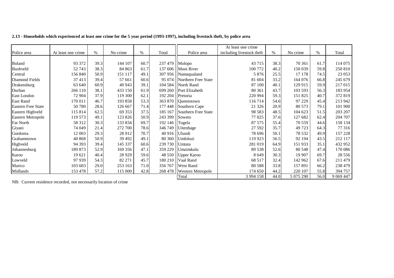|                           |                    |      |          |      |                 |                        | At least one crime        |      |           |               |             |
|---------------------------|--------------------|------|----------|------|-----------------|------------------------|---------------------------|------|-----------|---------------|-------------|
| Police area               | At least one crime | $\%$ | No crime | $\%$ | Total           | Police area            | including livestock theft | %    | No crime  | $\frac{0}{0}$ | Total       |
|                           |                    |      |          |      |                 |                        |                           |      |           |               |             |
| <b>Boland</b>             | 93 372             | 39.3 | 144 107  | 60.7 | 237 479         | Molopo                 | 43 7 15                   | 38.3 | 70 361    | 61.7          | 114 075     |
| Bushveld                  | 52743              | 38.3 | 84 863   | 61.7 | 137 606         | Mooi River             | 100 772                   | 40.2 | 150 039   | 59.8          | 250 810     |
| Central                   | 156 840            | 50.9 | 151 117  | 49.1 | 307 956         | Namaqualand            | 5 8 7 6                   | 25.5 | 17 178    | 74.5          | 23 053      |
| Diamond Fields            | 37413              | 39.4 | 57 661   | 60.6 | 95 074 11       | Northern Free State    | 81 604                    | 33.2 | 164 076   | 66.8          | 245 679     |
| Drakensburg               | 63 640             | 60.9 | 40 943   | 39.1 | 104 584         | North Rand             | 87 100                    | 40.1 | 129 915   | 59.9          | 217 015     |
| Durban                    | 266 110            | 38.1 | 433 150  | 61.9 |                 | 699 260 Port Elizabeth | 80 361                    | 43.7 | 103 593   | 56.3          | 183 954     |
| East London               | 72 904             | 37.9 | 119 300  | 62.1 | 192 204         | Pretoria               | 220 994                   | 59.3 | 151 825   | 40.7          | 372 819     |
| <b>East Rand</b>          | 170 011            | 46.7 | 193 858  | 53.3 | 363 870         | Queenstown             | 116714                    | 54.6 | 97 229    | 45.4          | 213 942     |
| <b>Eastern Free State</b> | 50780              | 28.6 | 126 667  | 71.4 | 177 448         | Southern Cape          | 21 3 26                   | 20.9 | 80 573    | 79.1          | 101 900     |
| Eastern Highveld          | 115 814            | 62.5 | 69 353   | 37.5 | 185 167         | Southern Free State    | 98 5 83                   | 48.5 | 104 623   | 51.5          | 203 207     |
| Eastern Metropole         | 119 573            | 49.1 | 123 826  | 50.9 | 243 399         | Soweto                 | 77 025                    | 37.6 | 127 682   | 62.4          | 204 707     |
| Far North                 | 58 312             | 30.3 | 133 834  | 69.7 | 192 146         | Tugela                 | 87 575                    | 55.4 | 70 559    | 44.6          | 158 134     |
| Giyani                    | 74 049             | 21.4 | 272 700  | 78.6 | 346 749         | Uitenhage              | 27 592                    | 35.7 | 49 723    | 64.3          | 77 316      |
| Gordonia                  | 12 003             | 29.3 | 28 912   | 70.7 | 40 916   Ulundi |                        | 78 696                    | 50.1 | 78 532    | 49.9          | 157 228     |
| Grahamstown               | 40 868             | 50.9 | 39 492   | 49.1 | 80 360          | Umfolozi               | 119 923                   | 56.5 | 92 194    | 43.5          | 212 117     |
| Highveld                  | 94 3 93            | 39.4 | 145 337  | 60.6 | 239 730         | Umtata                 | 281 019                   | 64.9 | 151 933   | 35.1          | 432 952     |
| Johannesburg              | 189 873            | 52.9 | 169 356  | 47.1 | 359 229         | Umzimkulu              | 89 538                    | 52.6 | 80 548    | 47.4          | 170 086     |
| Karoo                     | 19621              | 40.4 | 28 9 29  | 59.6 | 48 550          | <b>Upper Karoo</b>     | 8 6 4 9                   | 30.3 | 19 907    | 69.7          | 28 5 5 6    |
| Lowveld                   | 97939              | 54.3 | 82 271   | 45.7 | 180 210         | Vaal Rand              | 68 517                    | 32.4 | 142 962   | 67.6          | 211 479     |
| Marico                    | 103 603            | 29.0 | 253 163  | 71.0 | 356 767         | <b>West Rand</b>       | 80 5 88                   | 33.8 | 157 891   | 66.2          | 238 479     |
| Midlands                  | 153 478            | 57.2 | 115 000  | 42.8 | 268 478         | Western Metropole      | 174 650                   | 44.2 | 220 107   | 55.8          | 394 757     |
|                           |                    |      |          |      |                 | Total                  | 3 9 9 4 1 5 8             | 44.0 | 5 075 290 | 56.0          | 9 0 69 4 47 |

2.13 - Households which experienced at least one crime for the 5 year period (1993-1997), including livestock theft, by police area

NB: Current residence recorded, not necessarily location of crime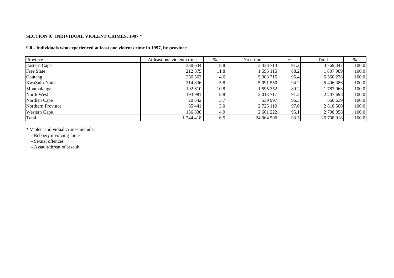#### **SECTION 9: INDIVIDUAL VIOLENT CRIMES, 1997 \***

## **9.0 - Individuals who experienced at least one violent crime in 1997, by province**

| Province            | At least one violent crime | $\%$ | No crime      | $\%$ | Total      | $\%$  |
|---------------------|----------------------------|------|---------------|------|------------|-------|
| Eastern Cape        | 330 634                    | 8.8  | 3 4 3 8 7 1 3 | 91.2 | 3 769 347  | 100.0 |
| <b>Free State</b>   | 212 875                    | 11.8 | 1 595 115     | 88.2 | 1807989    | 100.0 |
| Gauteng             | 256 563                    | 4.6  | 5 303 715     | 95.4 | 5 5 6 278  | 100.0 |
| KwaZulu-Natal       | 314 836                    | 5.8  | 5 091 550     | 94.2 | 5 406 386  | 100.0 |
| Mpumalanga          | 192 610                    | 10.8 | 1 595 352     | 89.2 | 1 787 963  | 100.0 |
| North West          | 193 981                    | 8.8  | 2 013 717     | 91.2 | 2 207 698  | 100.0 |
| Northen Cape        | 20 642                     | 3.7  | 539 997       | 96.3 | 560 639    | 100.0 |
| Northern Province   | 85 441                     | 3.0  | 2 7 25 1 19   | 97.0 | 2 810 560  | 100.0 |
| <b>Western Cape</b> | 136 836                    | 4.9  | 2 661 222     | 95.1 | 2 798 058  | 100.0 |
| Total               | 744 418                    | 6.5  | 24 964 500    | 93.5 | 26 708 918 | 100.0 |

\* Violent individual crimes include:

- Robbery involving force

- Sexual offences

- Assault/threat of assault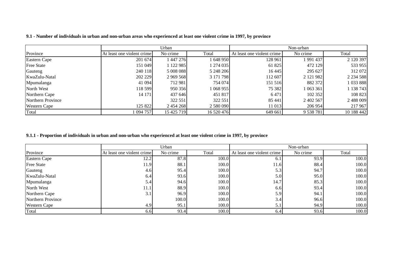|                     |                            | Urban       |            |                            | Non-urban |               |
|---------------------|----------------------------|-------------|------------|----------------------------|-----------|---------------|
| Province            | At least one violent crime | No crime    | Total      | At least one violent crime | No crime  | Total         |
| Eastern Cape        | 201 674                    | 1 447 276   | 648950     | 128 961                    | 1 991 437 | 2 120 397     |
| <b>Free State</b>   | 151 049                    | 1 122 985   | 274035     | 61 825                     | 472 129   | 533 955       |
| Gauteng             | 240 118                    | 5 008 088   | 5 248 206  | 16 4 45                    | 295 627   | 312 072       |
| KwaZulu-Natal       | 202 229                    | 2 9 69 5 68 | 3 171 798  | 112 607                    | 2 121 982 | 2 2 3 4 5 8 8 |
| Mpumalanga          | 41 094                     | 712 981     | 754 074    | 151 516                    | 882 372   | 1 033 888     |
| North West          | 118 599                    | 950 356     | 068 955    | 75 382                     | 1 063 361 | 138743        |
| Northern Cape       | 14 171                     | 437 646     | 451 817    | 6471                       | 102 352   | 108 823       |
| Northern Province   |                            | 322 551     | 322 551    | 85 441                     | 2 402 567 | 2 488 009     |
| <b>Western Cape</b> | 125 822                    | 2 454 268   | 2 580 090  | 11 013                     | 206 954   | 217 967       |
| Total               | 094 757                    | 15 425 719  | 16 520 476 | 649 661                    | 9 538 781 | 10 188 442    |

9.1 - Number of individuals in urban and non-urban areas who experienced at least one violent crime in 1997, by province

### 9.1.1 - Proportion of individuals in urban and non-urban who experienced at least one violent crime in 1997, by province

|                     |                            | Urban    |       |                            | Non-urban |       |
|---------------------|----------------------------|----------|-------|----------------------------|-----------|-------|
| Province            | At least one violent crime | No crime | Total | At least one violent crime | No crime  | Total |
| Eastern Cape        | 12.2                       | 87.8     | 100.0 | 6.1                        | 93.9      | 100.0 |
| <b>Free State</b>   | 11.9                       | 88.1     | 100.0 | 11.6                       | 88.4      | 100.0 |
| Gauteng             | 4.6                        | 95.4     | 100.0 | 5.3                        | 94.7      | 100.0 |
| KwaZulu-Natal       | 6.4                        | 93.6     | 100.0 | 5.0                        | 95.0      | 100.0 |
| Mpumalanga          | 5.4                        | 94.6     | 100.0 | 14.7                       | 85.3      | 100.0 |
| North West          | 11.1                       | 88.9     | 100.0 | 6.6                        | 93.4      | 100.0 |
| Northern Cape       | 3.1                        | 96.9     | 100.0 | 5.9                        | 94.1      | 100.0 |
| Northern Province   |                            | 100.0    | 100.0 | 3.4                        | 96.6      | 100.0 |
| <b>Western Cape</b> | 4.9                        | 95.1     | 100.0 | 5.1                        | 94.9      | 100.0 |
| Total               | 6.6                        | 93.4     | 100.0 | 6.4                        | 93.6      | 100.0 |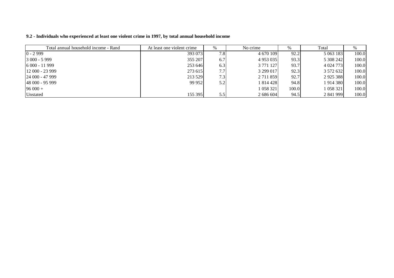| Total annual household income - Rand | At least one violent crime | %                | No crime      | %     | Total       |       |
|--------------------------------------|----------------------------|------------------|---------------|-------|-------------|-------|
| $0 - 2999$                           | 393 073                    | 7.8 <sub>1</sub> | 4 670 109     | 92.2  | 5 063 183   | 100.0 |
| $3000 - 5999$                        | 355 207                    | 6.7              | 4 9 5 3 0 3 5 | 93.3  | 5 308 242   | 100.0 |
| $6000 - 11999$                       | 253 646                    | 6.3              | 3 771 127     | 93.7  | 4 0 24 7 73 | 100.0 |
| $12000 - 23999$                      | 273 615                    | 7.7              | 3 299 017     | 92.3  | 3 572 632   | 100.0 |
| $124000 - 47999$                     | 213 529                    | 7.3              | 2 7 1 1 8 5 9 | 92.7  | 2925388     | 100.0 |
| 48 000 - 95 999                      | 99 952                     | 5.2              | 1 814 428     | 94.8  | 1 914 380   | 100.0 |
| $96000 +$                            |                            |                  | 1 058 321     | 100.0 | 1 058 321   | 100.0 |
| Unstated                             | 155 395                    |                  | 2 686 604     | 94.5  | 2 841 999   | 100.0 |

9.2 - Individuals who experienced at least one violent crime in 1997, by total annual household income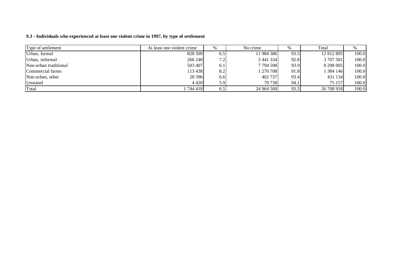#### **9.3 - Individuals who experienced at least one violent crime in 1997, by type of settlement**

| Type of settlement    | At least one violent crime |     | No crime   | %    | Total      |       |
|-----------------------|----------------------------|-----|------------|------|------------|-------|
| Urban, formal         | 828 509                    | 6.5 | 11 984 386 | 93.5 | 12 812 895 | 100.0 |
| Urban, informal       | 266 248                    | 7.2 | 3 441 334  | 92.8 | 3 707 581  | 100.0 |
| Non-urban traditional | 503 407                    | 6.1 | 7794598    | 93.9 | 8 298 005  | 100.0 |
| Commercial farms      | 113 438                    | 8.2 | 1 270 708  | 91.8 | 1 384 146  | 100.0 |
| Non-urban, other      | 28 3 9 6                   | 6.6 | 402 737    | 93.4 | 431 134    | 100.0 |
| Unstated              | 4 4 2 0                    | 5.9 | 70 738     | 94.1 | 75 157     | 100.0 |
| Total                 | 1 744 418                  | 6.5 | 24 964 500 | 93.5 | 26 708 918 | 100.0 |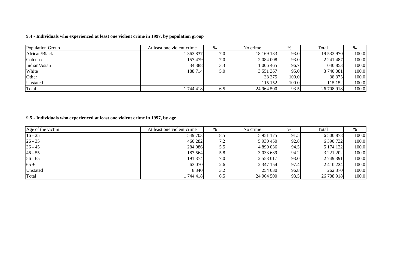### **9.4 - Individuals who experienced at least one violent crime in 1997, by population group**

| Population Group | At least one violent crime | $\%$             | No crime      | %     | Total      | $\%$  |
|------------------|----------------------------|------------------|---------------|-------|------------|-------|
| African/Black    | 363 837                    | 7.0I             | 18 169 133    | 93.0  | 19 532 970 | 100.0 |
| Coloured         | 157479                     | 7.0 <sub>l</sub> | 2 0 8 4 0 0 8 | 93.0  | 2 241 487  | 100.0 |
| Indian/Asian     | 34 388                     | 3.3              | 1 006 465     | 96.7  | 1 040 853  | 100.0 |
| White            | 188 714                    | 5.0              | 3 5 5 1 3 6 7 | 95.0  | 3 740 081  | 100.0 |
| Other            |                            |                  | 38 375        | 100.0 | 38 375     | 100.0 |
| Unstated         |                            |                  | 115 152       | 100.0 | 115 152    | 100.0 |
| Total            | 744 418                    | 6.5              | 24 964 500    | 93.5  | 26 708 918 | 100.0 |

#### **9.5 - Individuals who experienced at least one violent crime in 1997, by age**

| Age of the victim | At least one violent crime |     | No crime        | %    | Total      | %     |
|-------------------|----------------------------|-----|-----------------|------|------------|-------|
| $16 - 25$         | 549 703                    | 8.5 | 5 9 5 1 1 7 5   | 91.5 | 6 500 878  | 100.0 |
| $26 - 35$         | 460 282                    | 7.2 | 5 930 450       | 92.8 | 6 390 732  | 100.0 |
| $36 - 45$         | 284 086                    | 5.5 | 4 890 036       | 94.5 | 5 174 122  | 100.0 |
| $46 - 55$         | 187 564                    | 5.8 | 3 0 3 6 5 6 3 9 | 94.2 | 3 221 202  | 100.0 |
| $56 - 65$         | 191 374                    | 7.0 | 2 558 017       | 93.0 | 2 749 391  | 100.0 |
| $65 +$            | 63 070                     | 2.6 | 2 347 154       | 97.4 | 2 410 224  | 100.0 |
| Unstated          | 8 3 4 0                    | 3.2 | 254 030         | 96.8 | 262 370    | 100.0 |
| Total             | 1744418                    | 6.5 | 24 964 500      | 93.5 | 26 708 918 | 100.0 |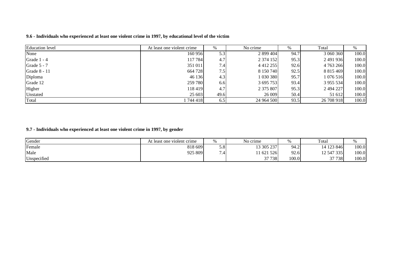| <b>Education</b> level | At least one violent crime |      | No crime      | %    | Total         | %     |
|------------------------|----------------------------|------|---------------|------|---------------|-------|
| None                   | 160 956                    | 5.31 | 2 899 404     | 94.7 | 3 060 360     | 100.0 |
| Grade 1 - 4            | 117 784                    | 4.7  | 2 374 152     | 95.3 | 2491936       | 100.0 |
| Grade 5 - 7            | 351 011                    | 7.4  | 4 4 1 2 2 5 5 | 92.6 | 4 763 266     | 100.0 |
| Grade 8 - 11           | 664 728                    | 7.5  | 8 150 740     | 92.5 | 8 8 1 5 4 6 9 | 100.0 |
| Diploma                | 46 136                     | 4.3  | 1 030 380     | 95.7 | 1 076 516     | 100.0 |
| Grade 12               | 259 780                    | 6.6  | 3 695 753     | 93.4 | 3 955 534     | 100.0 |
| Higher                 | 118 419                    | 4.7  | 2 375 807     | 95.3 | 2 494 227     | 100.0 |
| Unstated               | 25 603                     | 49.6 | 26 009        | 50.4 | 51 612        | 100.0 |
| Total                  | 1 744 418 1                | 6.5  | 24 964 500    | 93.5 | 26 708 918    | 100.0 |

9.6 - Individuals who experienced at least one violent crime in 1997, by educational level of the victim

**9.7 - Individuals who experienced at least one violent crime in 1997, by gender**

| Gender      | At least one violent crime | %   | No crime   | $\sim$ | Total      | %     |
|-------------|----------------------------|-----|------------|--------|------------|-------|
| Female      | 818 609                    | 5.8 | 13 305 237 | 94.2   | 14 123 846 | 100.0 |
| Male        | 925 809                    | -   | 1621526    | 92.6   | 12 547 335 | 100.0 |
| Unspecified |                            |     | 37 738     | 100.0  | 37 738     | 100.0 |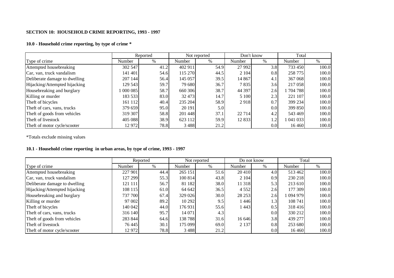## **SECTION 10: HOUSEHOLD CRIME REPORTING, 1993 - 1997**

#### **10.0 - Household crime reporting, by type of crime \***

|                               |         | Reported |         | Not reported | Don't know |                  | Total     |       |
|-------------------------------|---------|----------|---------|--------------|------------|------------------|-----------|-------|
| Type of crime                 | Number  | $\%$     | Number  | $\%$         | Number     | $\%$             | Number    | $\%$  |
| Attempted housebreaking       | 302 547 | 41.2     | 402 911 | 54.9         | 27 9 92    | 3.8              | 733 450   | 100.0 |
| Car, van, truck vandalism     | 141 401 | 54.6     | 115 270 | 44.5         | 2 1 0 4    | 0.8              | 258 775   | 100.0 |
| Deliberate damage to dwelling | 207 144 | 56.4     | 145 057 | 39.5         | 14 8 67    | 4.1              | 367 068   | 100.0 |
| Hijacking/Attempted hijacking | 129 543 | 59.7     | 79 680  | 36.7         | 7835       | 3.6              | 217 058   | 100.0 |
| Housebreaking and burglary    | 1000085 | 58.7     | 660 306 | 38.7         | 44 397     | 2.6              | 1 704 788 | 100.0 |
| Killing or murder             | 183 533 | 83.0     | 32 473  | 14.7         | 5 100      | 2.3              | 221 107   | 100.0 |
| Theft of bicycles             | 161 112 | 40.4     | 235 204 | 58.9         | 2918       | 0.7              | 399 234   | 100.0 |
| Theft of cars, vans, trucks   | 379 659 | 95.0     | 20 191  | 5.0          |            | 0.0 <sub>l</sub> | 399 850   | 100.0 |
| Theft of goods from vehicles  | 319 307 | 58.8     | 201 448 | 37.1         | 22 7 14    | 4.2              | 543 469   | 100.0 |
| Theft of livestock            | 405 088 | 38.9     | 623 112 | 59.9         | 12 8 33    | 1.2              | 1 041 033 | 100.0 |
| Theft of motor cycle/scooter  | 12 972  | 78.8     | 3488    | 21.2         |            | 0.0              | 16 4 6 0  | 100.0 |

\*Totals exclude missing values

# **10.1 - Household crime reporting in urban areas, by type of crime, 1993 - 1997**

|                               |         | Reported |         | Not reported |         | Do not know | Total     |       |
|-------------------------------|---------|----------|---------|--------------|---------|-------------|-----------|-------|
| Type of crime                 | Number  | $\%$     | Number  | $\%$         | Number  | %           | Number    | $\%$  |
| Attempted housebreaking       | 227 901 | 44.4     | 265 151 | 51.6         | 20 410  | 4.0         | 513462    | 100.0 |
| Car, van, truck vandalism     | 127 299 | 55.3     | 100 814 | 43.8         | 2 1 0 4 | 0.9         | 230 218   | 100.0 |
| Deliberate damage to dwelling | 121 111 | 56.7     | 81 182  | 38.0         | 11 318  | 5.3         | 213 610   | 100.0 |
| Hijacking/Attempted hijacking | 108 115 | 61.0     | 64 642  | 36.5         | 4 5 5 2 | 2.6         | 177 309   | 100.0 |
| Housebreaking and burglary    | 737 700 | 67.4     | 329 026 | 30.0         | 28 25 3 | 2.6         | 1 094 979 | 100.0 |
| Killing or murder             | 97 002  | 89.2     | 10 29 2 | 9.5          | 1446    | 1.3         | 108 741   | 100.0 |
| Theft of bicycles             | 140 042 | 44.0     | 176 931 | 55.6         | 1443    | 0.5         | 318416    | 100.0 |
| Theft of cars, vans, trucks   | 316 140 | 95.7     | 14 071  | 4.3          |         | 0.0         | 330 212   | 100.0 |
| Theft of goods from vehicles  | 283 844 | 64.6     | 138 788 | 31.6         | 16 646  | 3.8         | 439 277   | 100.0 |
| Theft of livestock            | 76 445  | 30.1     | 175 099 | 69.0         | 2 1 3 7 | 0.8         | 253 680   | 100.0 |
| Theft of motor cycle/scooter  | 12 972  | 78.8     | 3488    | 21.2         |         | 0.0         | 16 4 6 0  | 100.0 |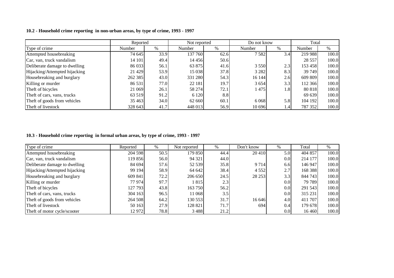| 10.2 - Household crime reporting in non-urban areas, by type of crime, 1993 - 1997 |  |
|------------------------------------------------------------------------------------|--|
|------------------------------------------------------------------------------------|--|

|                               |         | Reported |         | Not reported | Do not know |      | Total      |       |
|-------------------------------|---------|----------|---------|--------------|-------------|------|------------|-------|
| Type of crime                 | Number  | $\%$     | Number  | %            | Number      | $\%$ | Number     | $\%$  |
| Attempted housebreaking       | 74 645  | 33.9     | 137 760 | 62.6         | 7582        | 3.4  | 219 988    | 100.0 |
| Car, van, truck vandalism     | 14 101  | 49.4     | 14 45 6 | 50.6         |             |      | 28 5 5 7 1 | 100.0 |
| Deliberate damage to dwelling | 86 033  | 56.1     | 63 875  | 41.6         | 3 5 5 0     | 2.3  | 153 458    | 100.0 |
| Hijacking/Attempted hijacking | 21 4 29 | 53.9     | 15 038  | 37.8         | 3 2 8 2     | 8.3  | 39 749     | 100.0 |
| Housebreaking and burglary    | 262 385 | 43.0     | 331 280 | 54.3         | 16 144      | 2.6  | 609 809    | 100.0 |
| Killing or murder             | 86 531  | 77.0     | 22 181  | 19.7         | 3 6 5 4     | 3.3  | 112 366    | 100.0 |
| Theft of bicycles             | 21 069  | 26.1     | 58 274  | 72.1         | 1475        | 1.8  | 80 818     | 100.0 |
| Theft of cars, vans, trucks   | 63 519  | 91.2     | 6 1 2 0 | 8.8          |             |      | 69 639     | 100.0 |
| Theft of goods from vehicles  | 35 4 63 | 34.0     | 62 660  | 60.1         | 6 0 6 8     | 5.8  | 104 192    | 100.0 |
| Theft of livestock            | 328 643 | 41.7     | 448 013 | 56.9         | 10 696      | 1.4  | 787 352    | 100.0 |

### **10.3 - Household crime reporting in formal urban areas, by type of crime, 1993 - 1997**

| Type of crime                 | Reported | $\%$ | Not reported | $\%$ | Don't know | $\%$             | Total   | $\%$  |
|-------------------------------|----------|------|--------------|------|------------|------------------|---------|-------|
| Attempted housebreaking       | 204 598  | 50.5 | 179 850      | 44.4 | 20 4 10    | 5.0              | 404 857 | 100.0 |
| Car, van, truck vandalism     | 119 856  | 56.0 | 94 321       | 44.0 |            | 0.0              | 214 177 | 100.0 |
| Deliberate damage to dwelling | 84 694   | 57.6 | 52 539       | 35.8 | 9714       | 6.6              | 146 947 | 100.0 |
| Hijacking/Attempted hijacking | 99 194   | 58.9 | 64 642       | 38.4 | 4 5 5 2    | 2.7              | 168 388 | 100.0 |
| Housebreaking and burglary    | 609 841  | 72.2 | 206 650      | 24.5 | 28 253     | 3.3              | 844 743 | 100.0 |
| Killing or murder             | 77 974   | 97.7 | 1 815        | 2.3  |            | 0.0 <sub>l</sub> | 79 789  | 100.0 |
| Theft of bicycles             | 127 793  | 43.8 | 163 750      | 56.2 |            | 0.0              | 291 543 | 100.0 |
| Theft of cars, vans, trucks   | 304 163  | 96.5 | 11 068       | 3.5  |            | 0.0 <sub>l</sub> | 315 231 | 100.0 |
| Theft of goods from vehicles  | 264 508  | 64.2 | 130 553      | 31.7 | 16 646     | 4.0              | 411 707 | 100.0 |
| Theft of livestock            | 50 163   | 27.9 | 128 821      | 71.7 | 694        | 0.4              | 179 678 | 100.0 |
| Theft of motor cycle/scooter  | 12 972   | 78.8 | 3 4 8 8      | 21.2 |            | 0.0 <sub>l</sub> | 16 4 60 | 100.0 |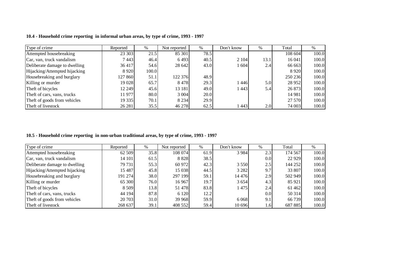| Type of crime                 | Reported | $\%$   | Not reported | $\%$ | Don't know | %                | Total   | $\%$  |
|-------------------------------|----------|--------|--------------|------|------------|------------------|---------|-------|
| Attempted housebreaking       | 23 303   | 21.5   | 85 301       | 78.5 |            |                  | 108 604 | 100.0 |
| Car, van, truck vandalism     | 7443     | 46.4   | 6493         | 40.5 | 2 1 0 4    | 13.1             | 16 041  | 100.0 |
| Deliberate damage to dwelling | 36 417   | 54.6   | 28 642       | 43.0 | 1 604      | 2.4              | 66 663  | 100.0 |
| Hijacking/Attempted hijacking | 8 9 2 0  | 100.01 |              |      |            |                  | 8920    | 100.0 |
| Housebreaking and burglary    | 127 860  | 51.1   | 122 376      | 48.9 |            |                  | 250 236 | 100.0 |
| Killing or murder             | 19 028   | 65.7   | 8478         | 29.3 | 1446       | 5.0 <sub>l</sub> | 28 9 52 | 100.0 |
| Theft of bicycles             | 12 249   | 45.6   | 13 18 1      | 49.0 | 14431      | 5.4              | 26 873  | 100.0 |
| Theft of cars, vans, trucks   | 11 977   | 80.0   | 3 0 0 4      | 20.0 |            |                  | 14 981  | 100.0 |
| Theft of goods from vehicles  | 19 3 35  | 70.1   | 8 2 3 4      | 29.9 |            |                  | 27 570  | 100.0 |
| Theft of livestock            | 26 281   | 35.5   | 46 278       | 62.5 | 443        | 2.0              | 74 003  | 100.0 |

**10.4 - Household crime reporting in informal urban areas, by type of crime, 1993 - 1997**

#### **10.5 - Household crime reporting in non-urban traditional areas, by type of crime, 1993 - 1997**

| Type of crime                 | Reported   | $\%$ | Not reported | $\%$ | Don't know | %                | Total   | %     |
|-------------------------------|------------|------|--------------|------|------------|------------------|---------|-------|
| Attempted housebreaking       | 62 509     | 35.8 | 108 074      | 61.9 | 3 9 8 4    | 2.3              | 174 567 | 100.0 |
| Car, van, truck vandalism     | 14 101     | 61.5 | 8 8 2 8      | 38.5 |            | 0.0 <sub>l</sub> | 22 9 29 | 100.0 |
| Deliberate damage to dwelling | 79 731     | 55.3 | 60 972       | 42.3 | 3 5 5 0    | 2.5              | 144 252 | 100.0 |
| Hijacking/Attempted hijacking | 15 4 8 7 1 | 45.8 | 15 038       | 44.5 | 3 2 8 2    | 9.7              | 33 807  | 100.0 |
| Housebreaking and burglary    | 191 274    | 38.0 | 297 199      | 59.1 | 14 4 7 6   | 2.9              | 502 949 | 100.0 |
| Killing or murder             | 65 300     | 76.0 | 16 9 67      | 19.7 | 3 6 5 4    | 4.3              | 85 921  | 100.0 |
| Theft of bicycles             | 8 5 0 9    | 13.8 | 51 478       | 83.8 | 1475       | 2.4              | 61 4 62 | 100.0 |
| Theft of cars, vans, trucks   | 44 194     | 87.8 | 6 1 2 0      | 12.2 |            | 0.0 <sub>l</sub> | 50 314  | 100.0 |
| Theft of goods from vehicles  | 20 703     | 31.0 | 39 968       | 59.9 | 6 0 6 8    | 9.1              | 66 739  | 100.0 |
| Theft of livestock            | 268 637    | 39.1 | 408 552      | 59.4 | 10 696     | 1.6              | 687 885 | 100.0 |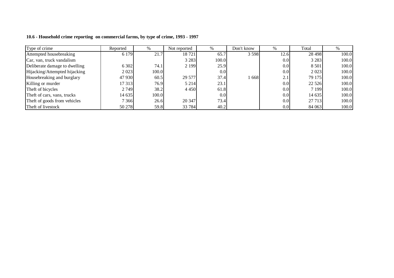| Type of crime                 | Reported | %     | Not reported |                  | Don't know | $\frac{0}{0}$    | Total   | $\%$  |
|-------------------------------|----------|-------|--------------|------------------|------------|------------------|---------|-------|
| Attempted housebreaking       | 6 1 7 9  | 21.7  | 18721        | 65.7             | 3 5 9 8    | 12.6             | 28 4 98 | 100.0 |
| Car, van, truck vandalism     |          |       | 3 2 8 3      | 100.0            |            | 0.01             | 3 2 8 3 | 100.0 |
| Deliberate damage to dwelling | 6 3 0 2  | 74.1  | 2 1 9 9      | 25.9             |            | 0.0 <sub>l</sub> | 8 5 0 1 | 100.0 |
| Hijacking/Attempted hijacking | 2 0 23   | 100.0 |              | 0.0 <sub>l</sub> |            | 0.0 <sub>l</sub> | 2 0 2 3 | 100.0 |
| Housebreaking and burglary    | 47 930   | 60.5  | 29 577       | 37.4             | 668        | 2.1              | 79 175  | 100.0 |
| Killing or murder             | 17 313   | 76.9  | 5 2 1 4      | 23.1             |            | 0.0 <sub>l</sub> | 22 5 26 | 100.0 |
| Theft of bicycles             | 2 7 4 9  | 38.2  | 4 4 5 0      | 61.8             |            | 0.0 <sub>l</sub> | 7 1 9 9 | 100.0 |
| Theft of cars, vans, trucks   | 14 635   | 100.0 |              | 0.0 <sub>l</sub> |            | 0.0 <sub>l</sub> | 14 635  | 100.0 |
| Theft of goods from vehicles  | 7 3 6 6  | 26.6  | 20 347       | 73.4             |            | 0.0 <sub>l</sub> | 27 7 13 | 100.0 |
| Theft of livestock            | 50 278   | 59.8  | 33 784       | 40.2             |            | 0.0 <sub>l</sub> | 84 063  | 100.0 |

**10.6 - Household crime reporting on commercial farms, by type of crime, 1993 - 1997**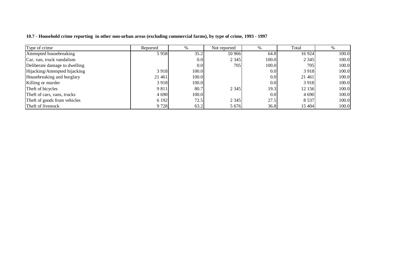| Type of crime                 | Reported | $\%$             | Not reported | %                | Total   |       |
|-------------------------------|----------|------------------|--------------|------------------|---------|-------|
| Attempted housebreaking       | 5958     | 35.2             | 10 966       | 64.8             | 16 9 24 | 100.0 |
| Car, van, truck vandalism     |          | 0.0 <sub>l</sub> | 2 3 4 5      | 100.0            | 2 3 4 5 | 100.0 |
| Deliberate damage to dwelling |          | 0.0 <sub>l</sub> | 705          | 100.0            | 705     | 100.0 |
| Hijacking/Attempted hijacking | 3918     | 100.0            |              | 0.0 <sub>l</sub> | 3918    | 100.0 |
| Housebreaking and burglary    | 21 461   | 100.0            |              | 0.0 <sub>l</sub> | 21 461  | 100.0 |
| Killing or murder             | 3918     | 100.0            |              | 0.0 <sub>l</sub> | 3918    | 100.0 |
| Theft of bicycles             | 9 8 1 1  | 80.7             | 2 3 4 5      | 19.3             | 12 15 6 | 100.0 |
| Theft of cars, vans, trucks   | 4 6 9 0  | 100.0            |              | 0.0 <sub>l</sub> | 4 6 9 0 | 100.0 |
| Theft of goods from vehicles  | 6 1 9 2  | 72.5             | 2 3 4 5      | 27.5             | 8 5 3 7 | 100.0 |
| Theft of livestock            | 9 7 2 8  | 63.2             | 5 6 7 6      | 36.8             | 15 404  | 100.0 |

10.7 - Household crime reporting in other non-urban areas (excluding commercial farms), by type of crime, 1993 - 1997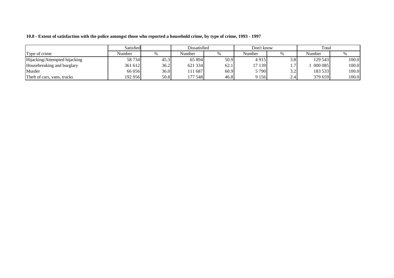|                               | Satisfied | Dissatisfied |         |      | Don't know |                  | Total   |       |
|-------------------------------|-----------|--------------|---------|------|------------|------------------|---------|-------|
| Type of crime                 | Number    | $\%$         | Number  |      | Number     |                  | Number  |       |
| Hijacking/Attempted hijacking | 58 734    | 45.3         | 65 894  | 50.9 | 4915       | 3.8              | 129 543 | 100.0 |
| Housebreaking and burglary    | 361 612   | 36.2         | 621 334 | 62.1 | 17 139     |                  | 000 085 | 100.0 |
| Murder                        | 66 056    | 36.0         | 11 687  | 60.9 | 5790       | 3.2 <sub>1</sub> | 183 533 | 100.0 |
| Theft of cars, vans, trucks   | 192 956   | 50.8         | 177 548 | 46.8 | 9 1 5 6    | $\angle .4$      | 379 659 | 100.0 |

10.8 - Extent of satisfaction with the police amongst those who reported a household crime, by type of crime, 1993 - 1997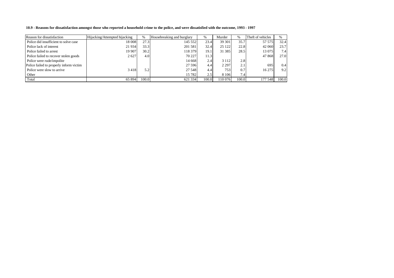10.9 - Reasons for dissatisfaction amongst those who reported a household crime to the police, and were dissatisfied with the outcome, 1993 - 1997

| Reason for dissatisfaction              | Hijacking/Attempted hijacking | $\%$  | Housebreaking and burglary | $\%$  | Murder  | $\%$             | Theft of vehicles | %     |
|-----------------------------------------|-------------------------------|-------|----------------------------|-------|---------|------------------|-------------------|-------|
| Police did insufficient to solve case   | 18 008                        | 27.3  | 145 552                    | 23.4  | 39 301  | 35.7             | 57 575            | 32.4  |
| Police lack of interest                 | 21 9 34                       | 33.3  | 201 581                    | 32.4  | 25 1 22 | 22.8             | 42 060            | 23.7  |
| Police failed to arrest                 | 19 907                        | 30.2  | 118 379                    | 19.1  | 31 385  | 28.5             | 13 0 75           | 7.4   |
| Police failed to recover stolen goods   | 2627                          | 4.0   | 70 227                     | 11.3  |         |                  | 47 868            | 27.0  |
| Police were rude/impolite               |                               |       | 14 6 68                    | 2.4   | 3 1 1 2 | 2.8              |                   |       |
| Police failed to properly inform victim |                               |       | 27 596                     | 4.4   | 2 2 9 7 | 2.1 <sub>1</sub> | 695               | 0.4   |
| Police were slow to arrive              | 3418                          | 5.2   | 27 548                     | 4.4   | 753     | 0.7              | 16 275            | 9.2   |
| Other                                   |                               |       | 15 7 8 2                   | 2.5   | 8 1 0 6 | 7.4 <sub>1</sub> |                   |       |
| Total                                   | 65 894                        | 100.0 | 621 334                    | 100.0 | 110 076 | 100.0            | 177 548           | 100.0 |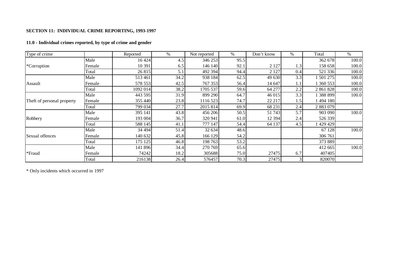## **SECTION 11: INDIVIDUAL CRIME REPORTING, 1993-1997**

#### **11.0 - Individual crimes reported, by type of crime and gender**

| Type of crime              |        | Reported | %    | Not reported | %    | Don't know | $\%$ | Total     | $\%$  |
|----------------------------|--------|----------|------|--------------|------|------------|------|-----------|-------|
|                            | Male   | 16 4 24  | 4.5  | 346 253      | 95.5 |            |      | 362 678   | 100.0 |
| *Corruption                | Female | 10 391   | 6.5  | 146 140      | 92.1 | 2 1 2 7    | 1.3  | 158 658   | 100.0 |
|                            | Total  | 26 815   | 5.1  | 492 394      | 94.4 | 2 1 2 7    | 0.4  | 521 336   | 100.0 |
|                            | Male   | 513 461  | 34.2 | 938 184      | 62.5 | 49 630     | 3.3  | 1 501 275 | 100.0 |
| Assault                    | Female | 578 553  | 42.5 | 767 353      | 56.4 | 14 647     | 1.1  | 1 360 553 | 100.0 |
|                            | Total  | 1092 014 | 38.2 | 1705 537     | 59.6 | 64 277     | 2.2  | 2 861 828 | 100.0 |
|                            | Male   | 443 595  | 31.9 | 899 290      | 64.7 | 46 015     | 3.3  | 1 388 899 | 100.0 |
| Theft of personal property | Female | 355 440  | 23.8 | 1116 523     | 74.7 | 22 217     | 1.5  | 1494 180  |       |
|                            | Total  | 799 034  | 27.7 | 2015 814     | 69.9 | 68 231     | 2.4  | 2 883 079 |       |
|                            | Male   | 395 141  | 43.8 | 456 206      | 50.5 | 51 743     | 5.7  | 903 090   | 100.0 |
| Robbery                    | Female | 193 004  | 36.7 | 320 941      | 61.0 | 12 3 9 4   | 2.4  | 526 339   |       |
|                            | Total  | 588 145  | 41.1 | 777 147      | 54.4 | 64 137     | 4.5  | 429 429   |       |
|                            | Male   | 34 4 94  | 51.4 | 32 634       | 48.6 |            |      | 67 128    | 100.0 |
| Sexual offences            | Female | 140 632  | 45.8 | 166 129      | 54.2 |            |      | 306 761   |       |
|                            | Total  | 175 125  | 46.8 | 198 763      | 53.2 |            |      | 373 889   |       |
|                            | Male   | 141 896  | 34.4 | 270 769      | 65.6 |            |      | 412 665   | 100.0 |
| *Fraud                     | Female | 74242    | 18.2 | 305688       | 75.0 | 27475      | 6.7  | 407405    |       |
|                            | Total  | 216138   | 26.4 | 576457       | 70.3 | 27475      |      | 820070    |       |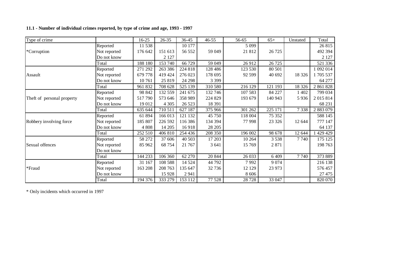## **11.1 - Number of individual crimes reported, by type of crime and age, 1993 - 1997**

| Type of crime              |              | 16-25   | 26-35   | 36-45   | 46-55   | 56-65   | $65+$   | Unstated | Total     |
|----------------------------|--------------|---------|---------|---------|---------|---------|---------|----------|-----------|
|                            | Reported     | 11 538  |         | 10 177  |         | 5 0 9 9 |         |          | 26 815    |
| *Corruption                | Not reported | 176 642 | 151 613 | 56 552  | 59 049  | 21 812  | 26 7 25 |          | 492 394   |
|                            | Do not know  |         | 2 1 2 7 |         |         |         |         |          | 2 1 2 7   |
|                            | Total        | 188 180 | 153 740 | 66 729  | 59 049  | 26 912  | 26 7 25 |          | 521 336   |
|                            | Reported     | 271 292 | 263 386 | 224 818 | 128 486 | 123 530 | 80 501  |          | 092 014   |
| Assault                    | Not reported | 679 778 | 419 424 | 276 023 | 178 695 | 92 599  | 40 692  | 18 3 26  | 1705 537  |
|                            | Do not know  | 10761   | 25 819  | 24 29 8 | 3 3 9 9 |         |         |          | 64 277    |
|                            | Total        | 961 832 | 708 628 | 525 139 | 310 580 | 216 129 | 121 193 | 18 3 26  | 2 861 828 |
|                            | Reported     | 98 842  | 132 559 | 241 675 | 132 746 | 107 583 | 84 227  | 1 402    | 799 034   |
| Theft of personal property | Not reported | 517790  | 573 646 | 358 989 | 224 829 | 193 679 | 140 943 | 5936     | 2 015 814 |
|                            | Do not know  | 19 012  | 4 3 0 5 | 26 5 23 | 18 391  |         |         |          | 68 231    |
|                            | Total        | 635 644 | 710 511 | 627 187 | 375 966 | 301 262 | 225 171 | 7338     | 2 883 079 |
|                            | Reported     | 61 894  | 166 013 | 121 132 | 45 750  | 118 004 | 75 352  |          | 588 145   |
| Robbery involving force    | Not reported | 185 807 | 226 592 | 116 386 | 134 394 | 77998   | 23 3 26 | 12 644   | 777 147   |
|                            | Do not know  | 4 8 0 8 | 14 205  | 16918   | 28 205  |         |         |          | 64 137    |
|                            | Total        | 252 510 | 406 810 | 254 436 | 208 350 | 196 002 | 98 678  | 12 644   | 429 429   |
|                            | Reported     | 58 272  | 37 606  | 40 503  | 17 203  | 10 264  | 3 5 3 8 | 7740     | 175 125   |
| Sexual offences            | Not reported | 85 962  | 68 754  | 21 7 67 | 3 641   | 15 769  | 2 8 7 1 |          | 198 763   |
|                            | Do not know  |         |         |         |         |         |         |          |           |
|                            | Total        | 144 233 | 106 360 | 62 270  | 20 844  | 26 033  | 6 4 0 9 | 7740     | 373 889   |
|                            | Reported     | 31 167  | 108 588 | 14 5 24 | 44 792  | 7992    | 9 0 7 4 |          | 216 138   |
| *Fraud                     | Not reported | 163 208 | 208 763 | 135 647 | 32 736  | 12 129  | 23 973  |          | 576 457   |
|                            | Do not know  |         | 15 9 28 | 2941    |         | 8 6 0 6 |         |          | 27 475    |
|                            | Total        | 194 376 | 333 279 | 153 112 | 77 528  | 28 7 28 | 33 047  |          | 820 070   |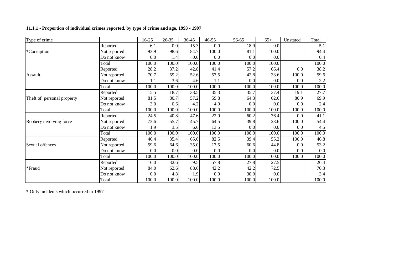## **11.1.1 - Proportion of individual crimes reported, by type of crime and age, 1993 - 1997**

| Type of crime              |              | 16-25   | $26 - 35$ | 36-45 | $46 - 55$ | 56-65 | $65+$ | Unstated | Total |
|----------------------------|--------------|---------|-----------|-------|-----------|-------|-------|----------|-------|
|                            | Reported     | 6.1     | 0.0       | 15.3  | 0.0       | 18.9  | 0.0   |          | 5.1   |
| *Corruption                | Not reported | 93.9    | 98.6      | 84.7  | 100.0     | 81.1  | 100.0 |          | 94.4  |
|                            | Do not know  | 0.0     | 1.4       | 0.0   | 0.0       | 0.0   | 0.0   |          | 0.4   |
|                            | Total        | 100.0   | 100.0     | 100.0 | 100.0     | 100.0 | 100.0 |          | 100.0 |
|                            | Reported     | 28.2    | 37.2      | 42.8  | 41.4      | 57.2  | 66.4  | 0.0      | 38.2  |
| Assault                    | Not reported | 70.7    | 59.2      | 52.6  | 57.5      | 42.8  | 33.6  | 100.0    | 59.6  |
|                            | Do not know  | 1.1     | 3.6       | 4.6   | 1.1       | 0.0   | 0.0   | 0.0      | 2.2   |
|                            | Total        | 100.0   | 100.0     | 100.0 | 100.0     | 100.0 | 100.0 | 100.0    | 100.0 |
|                            | Reported     | 15.5    | 18.7      | 38.5  | 35.3      | 35.7  | 37.4  | 19.1     | 27.7  |
| Theft of personal property | Not reported | 81.5    | 80.7      | 57.2  | 59.8      | 64.3  | 62.6  | 80.9     | 69.9  |
|                            | Do not know  | 3.0     | 0.6       | 4.2   | 4.9       | 0.0   | 0.0   | 0.0      | 2.4   |
|                            | Total        | 100.0   | 100.0     | 100.0 | 100.0     | 100.0 | 100.0 | 100.0    | 100.0 |
|                            | Reported     | 24.5    | 40.8      | 47.6  | 22.0      | 60.2  | 76.4  | 0.0      | 41.1  |
| Robbery involving force    | Not reported | 73.6    | 55.7      | 45.7  | 64.5      | 39.8  | 23.6  | 100.0    | 54.4  |
|                            | Do not know  | 1.9     | 3.5       | 6.6   | 13.5      | 0.0   | 0.0   | 0.0      | 4.5   |
|                            | Total        | 100.0   | 100.0     | 100.0 | 100.0     | 100.0 | 100.0 | 100.0    | 100.0 |
|                            | Reported     | 40.4    | 35.4      | 65.0  | 82.5      | 39.4  | 55.2  | 100.0    | 46.8  |
| Sexual offences            | Not reported | 59.6    | 64.6      | 35.0  | 17.5      | 60.6  | 44.8  | 0.0      | 53.2  |
|                            | Do not know  | 0.0     | 0.0       | 0.0   | 0.0       | 0.0   | 0.0   | 0.0      | 0.0   |
|                            | Total        | 100.0   | 100.0     | 100.0 | 100.0     | 100.0 | 100.0 | 100.0    | 100.0 |
|                            | Reported     | 16.0    | 32.6      | 9.5   | 57.8      | 27.8  | 27.5  |          | 26.4  |
| *Fraud                     | Not reported | 84.0    | 62.6      | 88.6  | 42.2      | 42.2  | 72.5  |          | 70.3  |
|                            | Do not know  | $0.0\,$ | 4.8       | 1.9   | 0.0       | 30.0  | 0.0   |          | 3.4   |
|                            | Total        | 100.0   | 100.0     | 100.0 | 100.0     | 100.0 | 100.0 |          | 100.0 |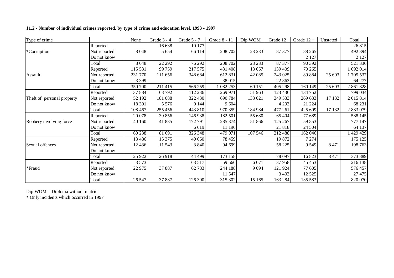## **11.2 - Number of individual crimes reported, by type of crime and education level, 1993 - 1997**

| Type of crime              |              | None     | Grade 3 - 4 | Grade 5 - 7 | Grade 8 - 11 | Dip WOM | Grade 12 | Grade $12 +$ | Unstated | Total     |
|----------------------------|--------------|----------|-------------|-------------|--------------|---------|----------|--------------|----------|-----------|
|                            | Reported     |          | 16 638      | 10 177      |              |         |          |              |          | 26 815    |
| *Corruption                | Not reported | 8 0 4 8  | 5 6 5 4     | 66 114      | 208 702      | 28 233  | 87 377   | 88 265       |          | 492 394   |
|                            | Do not know  |          |             |             |              |         |          | 2 1 2 7      |          | 2 1 2 7   |
|                            | Total        | 8 0 4 8  | 22 29 2     | 76 292      | 208 702      | 28 233  | 87 377   | 90 392       |          | 521 336   |
|                            | Reported     | 115 531  | 99 759      | 217 575     | 431 408      | 18 067  | 139 409  | 70 265       |          | 1092014   |
| Assault                    | Not reported | 231 770  | 111 656     | 348 684     | 612 831      | 42 085  | 243 025  | 89 884       | 25 603   | 1705537   |
|                            | Do not know  | 3 3 9 9  |             |             | 38 015       |         | 22 863   |              |          | 64 277    |
|                            | Total        | 350 700  | 211 415     | 566 259     | 1 082 253    | 60 151  | 405 298  | 160 149      | 25 603   | 2 861 828 |
|                            | Reported     | 37 884   | 68 792      | 112 236     | 269 971      | 51 963  | 123 436  | 134 752      |          | 799 034   |
| Theft of personal property | Not reported | 52 192   | 181 088     | 322 430     | 690 784      | 133 021 | 349 533  | 269 633      | 17 132   | 2 015 814 |
|                            | Do not know  | 18 391   | 5 5 7 6     | 9 1 4 4     | 9 604        |         | 4 2 9 3  | 21 224       |          | 68 231    |
|                            | Total        | 108 467  | 255 456     | 443 810     | 970 359      | 184 984 | 477 261  | 425 609      | 17 132   | 2 883 079 |
|                            | Reported     | 20 078   | 39 856      | 146 938     | 182 501      | 55 680  | 65 404   | 77 689       |          | 588 145   |
| Robbery involving force    | Not reported | 40 160   | 41 835      | 172 791     | 285 374      | 51 866  | 125 267  | 59 853       |          | 777 147   |
|                            | Do not know  |          |             | 6 6 19      | 11 196       |         | 21 818   | 24 504       |          | 64 137    |
|                            | Total        | 60 238   | 81 691      | 326 348     | 479 071      | 107 546 | 212 488  | 162 046      |          | 429 429   |
|                            | Reported     | 13 4 8 6 | 15 375      | 40 660      | 78 459       |         | 19 872   | 7 2 7 4      |          | 175 125   |
| Sexual offences            | Not reported | 12 4 36  | 11 543      | 3 8 4 0     | 94 699       |         | 58 225   | 9 5 4 9      | 8 4 7 1  | 198 763   |
|                            | Do not know  |          |             |             |              |         |          |              |          |           |
|                            | Total        | 25 9 22  | 26918       | 44 499      | 173 158      |         | 78 097   | 16823        | 8 4 7 1  | 373 889   |
|                            | Reported     | 3 5 7 3  |             | 63 517      | 59 566       | 6 0 7 1 | 37 958   | 45 453       |          | 216 138   |
| *Fraud                     | Not reported | 22 975   | 37 887      | 62 783      | 244 188      | 9 0 9 4 | 121 924  | 77 605       |          | 576 457   |
|                            | Do not know  |          |             |             | 11 547       |         | 3 4 0 3  | 12 5 25      |          | 27 475    |
|                            | Total        | 26 547   | 37 887      | 126 300     | 315 302      | 15 165  | 163 284  | 135 583      |          | 820 070   |

Dip WOM <sup>=</sup> Diploma without matric \* Only incidents which occurred in 1997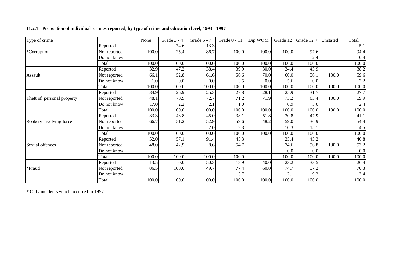# **11.2.1 - Proportion of individual crimes reported, by type of crime and education level, 1993 - 1997**

| Type of crime              |              | None  | Grade 3 - 4 | Grade 5 - 7 | Grade 8 - 11 | Dip WOM | Grade 12 | Grade $12 +$ | Unstated | Total     |
|----------------------------|--------------|-------|-------------|-------------|--------------|---------|----------|--------------|----------|-----------|
|                            | Reported     |       | 74.6        | 13.3        |              |         |          |              |          | 5.1       |
| *Corruption                | Not reported | 100.0 | 25.4        | 86.7        | 100.0        | 100.0   | 100.0    | 97.6         |          | 94.4      |
|                            | Do not know  |       |             |             |              |         |          | 2.4          |          | 0.4       |
|                            | Total        | 100.0 | 100.0       | 100.0       | 100.0        | 100.0   | 100.0    | 100.0        |          | 100.0     |
|                            | Reported     | 32.9  | 47.2        | 38.4        | 39.9         | 30.0    | 34.4     | 43.9         |          | 38.2      |
| Assault                    | Not reported | 66.1  | 52.8        | 61.6        | 56.6         | 70.0    | 60.0     | 56.1         | 100.0    | 59.6      |
|                            | Do not know  | 1.0   | 0.0         | 0.0         | 3.5          | 0.0     | 5.6      | 0.0          |          | 2.2       |
|                            | Total        | 100.0 | 100.0       | 100.0       | 100.0        | 100.0   | 100.0    | 100.0        | 100.0    | 100.0     |
|                            | Reported     | 34.9  | 26.9        | 25.3        | 27.8         | 28.1    | 25.9     | 31.7         |          | 27.7      |
| Theft of personal property | Not reported | 48.1  | 70.9        | 72.7        | 71.2         | 71.9    | 73.2     | 63.4         | 100.0    | 69.9      |
|                            | Do not know  | 17.0  | 2.2         | 2.1         | 1.0          |         | 0.9      | 5.0          |          | 2.4       |
|                            | Total        | 100.0 | 100.0       | 100.0       | 100.0        | 100.0   | 100.0    | 100.0        | 100.0    | 100.0     |
|                            | Reported     | 33.3  | 48.8        | 45.0        | 38.1         | 51.8    | 30.8     | 47.9         |          | 41.1      |
| Robbery involving force    | Not reported | 66.7  | 51.2        | 52.9        | 59.6         | 48.2    | 59.0     | 36.9         |          | 54.4      |
|                            | Do not know  |       |             | 2.0         | 2.3          |         | 10.3     | 15.1         |          | 4.5       |
|                            | Total        | 100.0 | 100.0       | 100.0       | 100.0        | 100.0   | 100.0    | 100.0        |          | 100.0     |
|                            | Reported     | 52.0  | 57.1        | 91.4        | 45.3         |         | 25.4     | 43.2         |          | 46.8      |
| Sexual offences            | Not reported | 48.0  | 42.9        | 8.6         | 54.7         |         | 74.6     | 56.8         | 100.0    | 53.2      |
|                            | Do not know  |       |             |             |              |         | 0.0      | 0.0          |          | 0.0       |
|                            | Total        | 100.0 | 100.0       | 100.0       | 100.0        |         | 100.0    | 100.0        | 100.0    | 100.0     |
|                            | Reported     | 13.5  | 0.0         | 50.3        | 18.9         | 40.0    | 23.2     | 33.5         |          | 26.4      |
| *Fraud                     | Not reported | 86.5  | 100.0       | 49.7        | 77.4         | 60.0    | 74.7     | 57.2         |          | 70.3      |
|                            | Do not know  |       |             |             | 3.7          |         | 2.1      | 9.2          |          | 3.4       |
|                            | Total        | 100.0 | 100.0       | 100.0       | 100.0        | 100.0   | 100.0    | 100.0        |          | $100.0\,$ |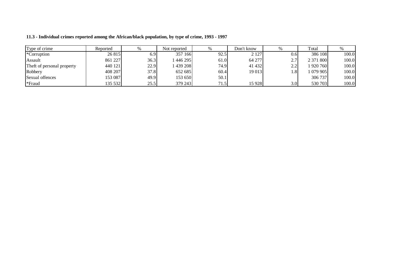| Type of crime              | Reported |      | Not reported | $\%$ | Don't know |                  | Total     |       |
|----------------------------|----------|------|--------------|------|------------|------------------|-----------|-------|
| *Corruption                | 26 815   | 6.9  | 357 166      | 92.5 | 2 1 2 7    | 0.61             | 386 108   | 100.0 |
| Assault                    | 861 227  | 36.3 | 446 295      | 61.0 | 64 277     | ، ت              | 2 371 800 | 100.0 |
| Theft of personal property | 440 121  | 22.9 | 439 208      | 74.9 | 41 432     | າ າ<br>ر.        | 920 760   | 100.0 |
| Robbery                    | 408 207  | 37.8 | 652 685      | 60.4 | 19 013     |                  | 079905    | 100.0 |
| Sexual offences            | 153 087  | 49.9 | 153 650      | 50.1 |            |                  | 306 737   | 100.0 |
| *Fraud                     | 35 532   | 25.5 | 379 243      | 71.5 | 15 9 28    | 3.0 <sub>l</sub> | 530 703   | 100.0 |

**11.3 - Individual crimes reported among the African/black population, by type of crime, 1993 - 1997**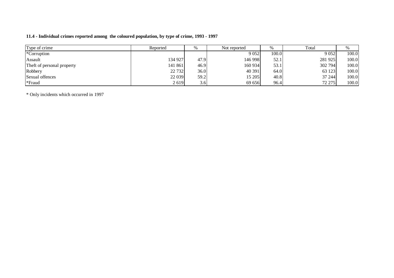## **11.4 - Individual crimes reported among the coloured population, by type of crime, 1993 - 1997**

| Type of crime              | Reported | %    | Not reported | $\%$  | Total   |       |
|----------------------------|----------|------|--------------|-------|---------|-------|
| *Corruption                |          |      | 9 0 5 2      | 100.0 | 9 0 5 2 | 100.0 |
| Assault                    | 134 927  | 47.9 | 146 998      | 52.1  | 281 925 | 100.0 |
| Theft of personal property | 141 861  | 46.9 | 160 934      | 53.1  | 302 794 | 100.0 |
| Robbery                    | 22 7 32  | 36.0 | 40 391       | 64.0  | 63 123  | 100.0 |
| Sexual offences            | 22 039   | 59.2 | 15 205       | 40.8  | 37 244  | 100.0 |
| *Fraud                     | 2619     | 3.6  | 69 656       | 96.4  | 72 275  | 100.0 |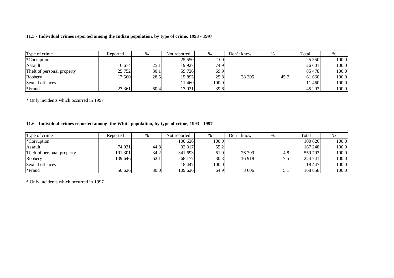## **11.5 - Individual crimes reported among the Indian population, by type of crime, 1993 - 1997**

| Type of crime              | Reported | %    | Not reported | $\%$  | Don't know | $\%$ | Total  | %     |
|----------------------------|----------|------|--------------|-------|------------|------|--------|-------|
| *Corruption                |          |      | 25 550       | 1001  |            |      | 25 550 | 100.0 |
| Assault                    | 6 6 7 4  | 25.1 | 19 9 27      | 74.9  |            |      | 26 601 | 100.0 |
| Theft of personal property | 25 752   | 30.1 | 59 726       | 69.9  |            |      | 85 478 | 100.0 |
| Robbery                    | 17 560   | 28.5 | 15 895       | 25.8  | 28 205     | 45.7 | 61 660 | 100.0 |
| Sexual offences            |          |      | 11460        | 100.0 |            |      | 11 460 | 100.0 |
| *Fraud                     | 27 361   | 60.4 | 17931        | 39.6  |            |      | 45 293 | 100.0 |

\* Only incidents which occurred in 1997

# **11.6 - Individual crimes reported among the White population, by type of crime, 1993 - 1997**

| Type of crime              | Reported | %    | Not reported |       | Don't know |     | Total   | %     |
|----------------------------|----------|------|--------------|-------|------------|-----|---------|-------|
| <i>*</i> Corruption        |          |      | 100626       | 100.0 |            |     | 100 626 | 100.0 |
| Assault                    | 74 931   | 44.8 | 92 317       | 55.2  |            |     | 167 248 | 100.0 |
| Theft of personal property | 191 301  | 34.2 | 341 693      | 61.0  | 26 799     | 4.8 | 559 793 | 100.0 |
| Robbery                    | 139 646  | 62.1 | 68 177       | 30.3  | 16918      | 7.5 | 224 741 | 100.0 |
| Sexual offences            |          |      | 18 447       | 100.0 |            |     | 18 447  | 100.0 |
| *Fraud                     | 50 626   | 30.0 | 109 626      | 64.9  | 8 606      | 5.1 | 168 858 | 100.0 |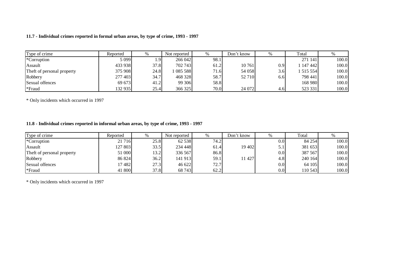## **11.7 - Individual crimes reported in formal urban areas, by type of crime, 1993 - 1997**

| Type of crime              | Reported | %    | Not reported | %    | Don't know |     | Total     |       |
|----------------------------|----------|------|--------------|------|------------|-----|-----------|-------|
| *Corruption                | 5 0 9 9  | 1.91 | 266 042      | 98.1 |            |     | 271 141   | 100.0 |
| Assault                    | 433 938  | 37.8 | 702 743      | 61.2 | 10761      | 0.9 | 1 147 442 | 100.0 |
| Theft of personal property | 375 908  | 24.8 | 085 588      | 71.6 | 54 058     | 3.6 | 1 515 554 | 100.0 |
| Robbery                    | 277 403  | 34.7 | 468 328      | 58.7 | 52 710     | 6.6 | 798 441   | 100.0 |
| Sexual offences            | 69 673   | 41.2 | 99 30 6      | 58.8 |            |     | 168 980   | 100.0 |
| *Fraud                     | 132 935  | 25.4 | 366 325      | 70.0 | 24 072     | 4.6 | 523 331   | 100.0 |

\* Only incidents which occurred in 1997

## **11.8 - Individual crimes reported in informal urban areas, by type of crime, 1993 - 1997**

| Type of crime              | Reported | $\%$ | Not reported | %    | Don't know | %               | Total   |       |
|----------------------------|----------|------|--------------|------|------------|-----------------|---------|-------|
| *Corruption                | 21 716   | 25.8 | 62 538       | 74.2 |            | $0.0\mathsf{I}$ | 84 254  | 100.0 |
| Assault                    | 127 803  | 33.5 | 234 448      | 61.4 | 19 402     | 5.1             | 381 653 | 100.0 |
| Theft of personal property | 51 000   | 13.2 | 336 567      | 86.8 |            | 0.0             | 387 567 | 100.0 |
| Robbery                    | 86 824   | 36.2 | 141 913      | 59.1 | 11 427     | 4.8             | 240 164 | 100.0 |
| Sexual offences            | 17482    | 27.3 | 46 622       | 72.7 |            | 0.0             | 64 105  | 100.0 |
| *Fraud                     | 41 800   | 37.8 | 68 743       | 62.2 |            | 0.0             | 110 543 | 100.0 |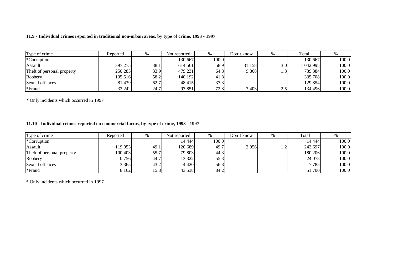## **11.9 - Individual crimes reported in traditional non-urban areas, by type of crime, 1993 - 1997**

| Type of crime              | Reported | %    | Not reported | %     | Don't know |                  | Total     |       |
|----------------------------|----------|------|--------------|-------|------------|------------------|-----------|-------|
| *Corruption                |          |      | 130 667      | 100.0 |            |                  | 130 667   | 100.0 |
| Assault                    | 397 275  | 38.1 | 614 561      | 58.9  | 31 158     | 3.0 <sub>l</sub> | 1 042 995 | 100.0 |
| Theft of personal property | 250 285  | 33.9 | 479 231      | 64.8  | 9868       | 1.3              | 739 384   | 100.0 |
| Robbery                    | 195 516  | 58.2 | 140 1921     | 41.8  |            |                  | 335 708   | 100.0 |
| Sexual offences            | 81 439   | 62.7 | 48 415       | 37.3  |            |                  | 129 854   | 100.0 |
| *Fraud                     | 33 24 2  | 24.7 | 97 851       | 72.8  | 3 4 0 3    | 2.5              | 134 496   | 100.0 |

\* Only incidents which occurred in 1997

## **11.10 - Individual crimes reported on commercial farms, by type of crime, 1993 - 1997**

| Type of crime              | Reported |      | Not reported | %     | Don't know | $\%$            | Total   |       |
|----------------------------|----------|------|--------------|-------|------------|-----------------|---------|-------|
| *Corruption                |          |      | 14 4 44      | 100.0 |            |                 | 14 444  | 100.0 |
| Assault                    | 119 053  | 49.1 | 120 689      | 49.7  | 2956       | $\gamma$<br>⊥.∠ | 242 697 | 100.0 |
| Theft of personal property | 100 403  | 55.7 | 79 803       | 44.3  |            |                 | 180 206 | 100.0 |
| Robbery                    | 10756    | 44.7 | 13 322       | 55.3  |            |                 | 24 078  | 100.0 |
| Sexual offences            | 3 3 6 5  | 43.2 | 4 4 2 0      | 56.8  |            |                 | 7785    | 100.0 |
| *Fraud                     | 8 1 6 2  | 15.8 | 43 538       | 84.2  |            |                 | 51 700  | 100.0 |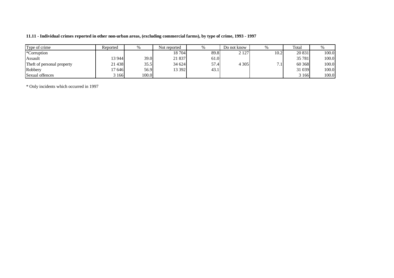| 11.11 - Individual crimes reported in other non-urban areas, (excluding commercial farms), by type of crime, 1993 - 1997 |  |  |  |
|--------------------------------------------------------------------------------------------------------------------------|--|--|--|
|--------------------------------------------------------------------------------------------------------------------------|--|--|--|

| Type of crime              | Reported | 0/2   | Not reported |      | Do not know | $\%$                              | Total   |       |
|----------------------------|----------|-------|--------------|------|-------------|-----------------------------------|---------|-------|
| *Corruption                |          |       | 18 704       | 89.8 | 2 1 2 7     | 10.2                              | 20 831  | 100.0 |
| Assault                    | 13 944   | 39.0  | 21 837       | 61.0 |             |                                   | 35 781  | 100.0 |
| Theft of personal property | 21 438   | 35.5  | 34 624       | 57.4 | 4 3 0 5     | $\overline{ }$<br>$^{\prime}$ . 1 | 60 368  | 100.0 |
| Robbery                    | 17 646   | 56.9  | 13 392       | 43.1 |             |                                   | 31 039  | 100.0 |
| Sexual offences            | 166      | 100.0 |              |      |             |                                   | 3 1 6 6 | 100.0 |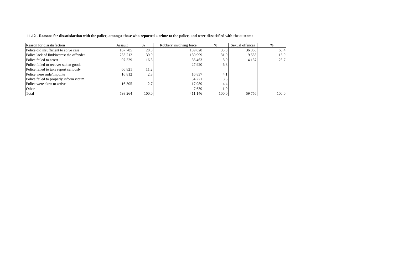11.12 - Reasons for dissatisfaction with the police, amongst those who reported a crime to the police, and were dissatisfied with the outcome

| Reason for dissatisfaction                | Assault | $\%$  | Robbery involving force | $\frac{0}{6}$ | Sexual offences |       |
|-------------------------------------------|---------|-------|-------------------------|---------------|-----------------|-------|
| Police did insufficient to solve case     | 167 785 | 28.0  | 139 028                 | 33.8          | 36 065          | 60.4  |
| Police lack of find/interest the offender | 233 212 | 39.0  | 130 999                 | 31.9          | 9 5 5 3         | 16.0  |
| Police failed to arrest                   | 97 329  | 16.3  | 36 4 63                 | 8.9           | 14 137          | 23.7  |
| Police failed to recover stolen goods     |         |       | 27 9 20                 | 6.8           |                 |       |
| Police failed to take report seriously    | 66 821  | 11.2  |                         |               |                 |       |
| Police were rude/impolite                 | 16 812  | 2.8   | 16837                   | 4.1           |                 |       |
| Police failed to properly inform victim   |         |       | 34 271                  | 8.3           |                 |       |
| Police were slow to arrive                | 16 30 5 | 2.7   | 17 989                  | 4.4           |                 |       |
| Other                                     |         |       | 7639                    | 1.9           |                 |       |
| Total                                     | 598 264 | 100.0 | 411 146                 | 100.0         | 59 756          | 100.0 |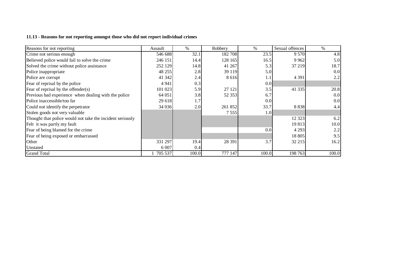#### **11.13 - Reasons for not reporting amongst those who did not report individual crimes**

| Reasons for not reporting                                 | Assault | $\%$  | Robbery | %     | Sexual offences | $\%$  |
|-----------------------------------------------------------|---------|-------|---------|-------|-----------------|-------|
| Crime not serious enough                                  | 546 688 | 32.1  | 182 708 | 23.5  | 9 5 7 0         | 4.8   |
| Believed police would fail to solve the crime             | 246 151 | 14.4  | 128 165 | 16.5  | 9 9 6 2         | 5.0   |
| Solved the crime without police assistance                | 252 129 | 14.8  | 41 267  | 5.3   | 37 219          | 18.7  |
| Police inappropriate                                      | 48 255  | 2.8   | 39 119  | 5.0   |                 | 0.0   |
| Police are corrupt                                        | 41 342  | 2.4   | 8 6 1 6 | 1.1   | 4 3 9 1         | 2.2   |
| Fear of reprisal by the police                            | 4 9 4 1 | 0.3   |         | 0.0   |                 |       |
| Fear of reprisal by the offender $(s)$                    | 101 023 | 5.9   | 27 121  | 3.5   | 41 3 35         | 20.8  |
| Previous bad experience when dealing with the police      | 64 051  | 3.8   | 52 353  | 6.7   |                 | 0.0   |
| Police inaccessible/too far                               | 29 618  | 1.7   |         | 0.0   |                 | 0.0   |
| Could not identify the perpetrator                        | 34 0 36 | 2.0   | 261 852 | 33.7  | 8 8 3 8         | 4.4   |
| Stolen goods not very valuable                            |         |       | 7 5 5 5 | 1.0   |                 |       |
| Thought that police would not take the incident seriously |         |       |         |       | 12 3 23         | 6.2   |
| Felt it was partly my fault                               |         |       |         |       | 19813           | 10.0  |
| Fear of being blamed for the crime                        |         |       |         | 0.0   | 4 2 9 3         | 2.2   |
| Fear of being exposed or embarrassed                      |         |       |         |       | 18 805          | 9.5   |
| Other                                                     | 331 297 | 19.4  | 28 391  | 3.7   | 32 215          | 16.2  |
| Unstated                                                  | 6 0 0 7 | 0.4   |         |       |                 |       |
| <b>Grand Total</b>                                        | 705 537 | 100.0 | 777 147 | 100.0 | 198 763         | 100.0 |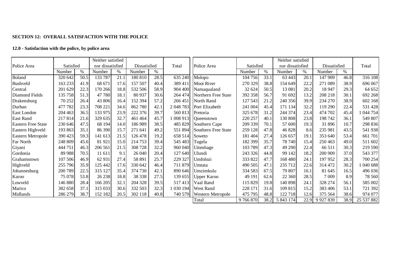#### **SECTION 12: OVERALL SATISFACTION WITH THE POLICE**

#### **12.0 - Satisfaction with the police, by police area**

|                           |           |      | Neither satisfied |      |              |      |                |                                    |           |      | Neither satisfied |      |              |      |            |
|---------------------------|-----------|------|-------------------|------|--------------|------|----------------|------------------------------------|-----------|------|-------------------|------|--------------|------|------------|
| Police Area               | Satisfied |      | nor dissatisfied  |      | Dissatisfied |      | Total          | Police Area                        | Satisfied |      | nor dissatisfied  |      | Dissatisfied |      | Total      |
|                           | Number    | $\%$ | Number            | $\%$ | Number       | $\%$ |                |                                    | Number    | $\%$ | Number            | %    | Number       | $\%$ |            |
| Boland                    | 320 642   | 50.5 | 133 787           | 21.1 | 180 810      | 28.5 | 635 240        | Molopo                             | 104 756   | 33.1 | 63 443            | 20.1 | 147 909      | 46.8 | 316 108    |
| Bushveld                  | 163 233   | 41.9 | 68 671            | 17.6 | 157 507      | 40.4 | 389 411        | Mooi River                         | 270 329   | 38.8 | 154 649           | 22.2 | 271 089      | 38.9 | 696 067    |
| Central                   | 201 629   | 22.3 | 170 266           | 18.8 | 532 506      | 58.9 |                | 904 400 Namaqualand                | 32 624    | 50.5 | 13 081            | 20.2 | 18 947       | 29.3 | 64 652     |
| Diamond Fields            | 135 758   | 51.3 | 47 780            | 18.1 | 80 937       | 30.6 |                | 264 474 Northern Free State        | 392 358   | 56.7 | 91 692            | 13.2 | 208 218      | 30.1 | 692 268    |
| Drakensburg               | 70 25 2   | 26.4 | 43 806            | 16.4 | 152 394      | 57.2 | 266451         | North Rand                         | 127 543   | 21.2 | 240 356           | 39.9 | 234 270      | 38.9 | 602 168    |
| Durban                    | 477 782   | 23.3 | 708 221           | 34.6 | 862 780      | 42.1 |                | 2 048 783 Port Elizabeth           | 241 004   | 45.4 | 171 134           | 32.2 | 119 290      | 22.4 | 531 428    |
| East London               | 204 463   | 36.5 | 133 975           | 23.9 | 222 376      | 39.7 | 560 813        | Pretoria                           | 325 678   | 31.2 | 244 374           | 23.4 | 474 702      | 45.4 | 1 044 754  |
| <b>East Rand</b>          | 217814    | 21.6 | 329 635           | 32.7 | 461 464      | 45.7 |                | $\left  008913 \right $ Queenstown | 220 257   | 40.1 | 130 808           | 23.8 | 198 742      | 36.1 | 549 807    |
| <b>Eastern Free State</b> | 230 646   | 47.5 | 68 194            | 14.0 | 186 989      | 38.5 | 485 829        | Southern Cape                      | 209 339   | 70.1 | 57 600            | 19.3 | 31 896       | 10.7 | 298 836    |
| Eastern Highveld          | 193 863   | 35.1 | 86 390            | 15.7 | 271 641      | 49.2 | 551 894        | Southern Free State                | 259 128   | 47.8 | 46 828            | 8.6  | 235 981      | 43.5 | 541 938    |
| Eastern Metropole         | 390 423   | 59.3 | 141 613           | 21.5 | 126 478      | 19.2 | 658 514        | Soweto                             | 181 404   | 27.4 | 126 657           | 19.1 | 353 640      | 53.4 | 661 701    |
| Far North                 | 248 809   | 45.6 | 81 921            | 15.0 | 214 753      | 39.4 | 545 483        | Tugela                             | 182 399   | 35.7 | 78 740            | 15.4 | 250463       | 49.0 | 511 602    |
| Giyani                    | 444 751   | 46.3 | 206 561           | 21.5 | 308 728      | 32.2 |                | 960 040 Uitenhage                  | 103 789   | 47.3 | 49 290            | 22.4 | 66 511       | 30.3 | 219 590    |
| Gordonia                  | 89 988    | 70.5 | 11 611            | 9.1  | 26 040       | 20.4 | 127 640 Ulundi |                                    | 243 326   | 44.8 | 99 142            | 18.2 | 200 909      | 37.0 | 543 377    |
| Grahamstown               | 107 506   | 46.9 | 62 931            | 27.4 | 58 891       | 25.7 | 229 327        | Umfolozi                           | 333 822   | 47.7 | 168 480           | 24.1 | 197 952      | 28.3 | 700 254    |
| Highveld                  | 255 796   | 35.9 | 125 442           | 17.6 | 330 642      | 46.4 | 711 879        | <b>U</b> mtata                     | 490 505   | 47.1 | 235 712           | 22.6 | 314 472      | 30.2 | 1 040 688  |
| Johannesburg              | 200 789   | 22.5 | 315 127           | 35.4 | 374 730      | 42.1 |                | 890 646 Umzimkulu                  | 334 583   | 67.5 | 79 807            | 16.1 | 81 645       | 16.5 | 496 036    |
| Karoo                     | 75 078    | 53.8 | 26 238            | 18.8 | 38 338       | 27.5 |                | 139 655   Upper Karoo              | 49 191    | 62.6 | 22 360            | 28.5 | 7 0 0 9      | 8.9  | 78 560     |
| Lowveld                   | 146 880   | 28.4 | 166 205           | 32.1 | 204 328      | 39.5 | 517413         | Vaal Rand                          | 115 829   | 19.8 | 140 898           | 24.1 | 328 274      | 56.1 | 585 002    |
| Marico                    | 382 658   | 37.1 | 315 033           | 30.6 | 332 503      | 32.3 | 1 030 194      | <b>West Rand</b>                   | 228 171   | 31.6 | 109 815           | 15.2 | 383 406      | 53.1 | 721 392    |
| Midlands                  | 286 279   | 38.7 | 152 182           | 20.5 | 302 118      | 40.8 | 740 579        | <b>Western Metropole</b>           | 475 795   | 48.8 | 122 718           | 12.6 | 375 564      | 38.6 | 974 077    |
|                           |           |      |                   |      |              |      |                | Total                              | 9 766 870 | 38.2 | 5 843 174         | 22.9 | 9 9 27 8 39  | 38.9 | 25 537 882 |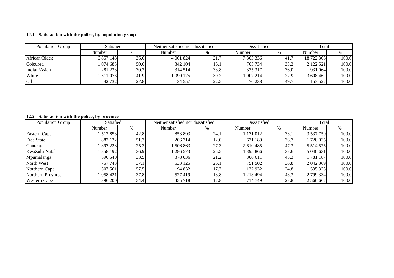#### **12.1 - Satisfaction with the police, by population group**

| Population Group | Satisfied |      | Neither satisfied nor dissatisfied |      | Dissatisfied |      | Total      |       |
|------------------|-----------|------|------------------------------------|------|--------------|------|------------|-------|
|                  | Number    | %    | Number                             |      | Number       | %    | Number     |       |
| African/Black    | 6 857 148 | 36.6 | 4 0 61 8 24                        | 21.7 | 7 803 336    | 41.  | 18 722 308 | 100.0 |
| Coloured         | 1 074 683 | 50.6 | 342 104                            | 16.1 | 705 734      | 33.2 | 2 122 521  | 100.0 |
| Indian/Asian     | 281 233   | 30.2 | 314 514                            | 33.8 | 335 317      | 36.0 | 931 064    | 100.0 |
| White            | 511 073   | 41.9 | 1 090 175                          | 30.2 | 007214       | 27.9 | 3 608 462  | 100.0 |
| Other            | 42 732    | 27.8 | 34 557                             | 22.5 | 76 238       | 49.7 | 153 527    | 100.0 |

#### **12.2 - Satisfaction with the police, by province**

| Population Group    | Satisfied   |      | Neither satisfied nor dissatisfied |      | Dissatisfied |      | Total        |       |
|---------------------|-------------|------|------------------------------------|------|--------------|------|--------------|-------|
|                     | Number      | %    | Number                             | $\%$ | Number       | %    | Number       | %     |
| Eastern Cape        | 512 853     | 42.8 | 853 893                            | 24.1 | 1 171 012    | 33.1 | 3 537 759    | 100.0 |
| <b>Free State</b>   | 882 132     | 51.3 | 206 714                            | 12.0 | 631 189      | 36.7 | 1 720 035    | 100.0 |
| Gauteng             | 1 397 228   | 25.3 | 506863                             | 27.3 | 2 610 485    | 47.3 | 5 5 14 5 7 5 | 100.0 |
| KwaZulu-Natal       | 1 858 1921  | 36.9 | 286573                             | 25.5 | 895 866      | 37.6 | 5 040 631    | 100.0 |
| Mpumalanga          | 596 540     | 33.5 | 378 036                            | 21.2 | 806 611      | 45.3 | 1781187      | 100.0 |
| North West          | 757 743     | 37.1 | 533 125                            | 26.1 | 751 502      | 36.8 | 2 042 369    | 100.0 |
| Northern Cape       | 307 561     | 57.5 | 94 832                             | 17.7 | 132 932      | 24.8 | 535 325      | 100.0 |
| Northern Province   | 1 058 421 1 | 37.8 | 527419                             | 18.8 | 1 213 494    | 43.3 | 2 799 334    | 100.0 |
| <b>Western Cape</b> | 396 200     | 54.4 | 455 718                            | 17.8 | 714 749      | 27.8 | 2 566 667    | 100.0 |